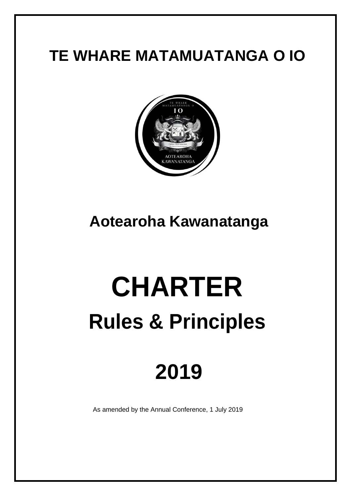## **TE WHARE MATAMUATANGA O IO**



## **Aotearoha Kawanatanga**

# **CHARTER Rules & Principles**

## **2019**

As amended by the Annual Conference, 1 July 2019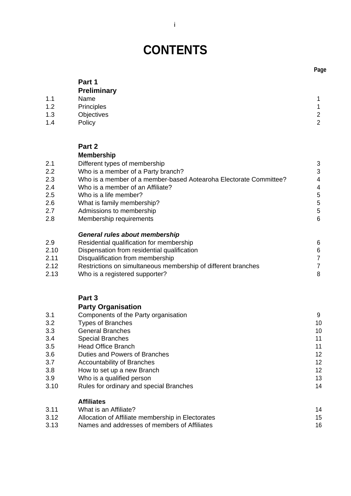### **CONTENTS**

|     | Part 1             |                |
|-----|--------------------|----------------|
|     | <b>Preliminary</b> |                |
| 1.1 | Name               | 1              |
| 1.2 | Principles         | 1              |
| 1.3 | Objectives         | $\overline{2}$ |
| 1.4 | Policy             | $\overline{2}$ |

#### **Part 2**

|      | <b>Membership</b>                                                 |   |
|------|-------------------------------------------------------------------|---|
| 2.1  | Different types of membership                                     | 3 |
| 2.2  | Who is a member of a Party branch?                                | 3 |
| 2.3  | Who is a member of a member-based Aotearoha Electorate Committee? | 4 |
| 2.4  | Who is a member of an Affiliate?                                  | 4 |
| 2.5  | Who is a life member?                                             | 5 |
| 2.6  | What is family membership?                                        | 5 |
| 2.7  | Admissions to membership                                          | 5 |
| 2.8  | Membership requirements                                           | 6 |
|      | General rules about membership                                    |   |
| 2.9  | Residential qualification for membership                          | 6 |
| 2.10 | Dispensation from residential qualification                       | 6 |
| 2.11 | Disqualification from membership                                  | 7 |
| 2.12 | Restrictions on simultaneous membership of different branches     | 7 |
| 2.13 | Who is a registered supporter?                                    | 8 |

#### **Part 3**

#### **Party Organisation**

| 3.1  | Components of the Party organisation              | 9  |
|------|---------------------------------------------------|----|
| 3.2  | <b>Types of Branches</b>                          | 10 |
| 3.3  | <b>General Branches</b>                           | 10 |
| 3.4  | <b>Special Branches</b>                           | 11 |
| 3.5  | <b>Head Office Branch</b>                         | 11 |
| 3.6  | Duties and Powers of Branches                     | 12 |
| 3.7  | <b>Accountability of Branches</b>                 | 12 |
| 3.8  | How to set up a new Branch                        | 12 |
| 3.9  | Who is a qualified person                         | 13 |
| 3.10 | Rules for ordinary and special Branches           | 14 |
|      | <b>Affiliates</b>                                 |    |
| 3.11 | What is an Affiliate?                             | 14 |
| 3.12 | Allocation of Affiliate membership in Electorates | 15 |
|      |                                                   |    |

| 3.12 | Allocation of Affiliate membership in Electorates |    |
|------|---------------------------------------------------|----|
| 3.13 | Names and addresses of members of Affiliates      | 16 |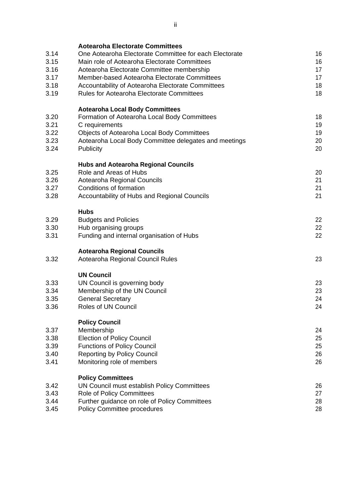|      | <b>Aotearoha Electorate Committees</b>                 |    |
|------|--------------------------------------------------------|----|
| 3.14 | One Aotearoha Electorate Committee for each Electorate | 16 |
| 3.15 | Main role of Aotearoha Electorate Committees           | 16 |
| 3.16 | Aotearoha Electorate Committee membership              | 17 |
| 3.17 | Member-based Aotearoha Electorate Committees           | 17 |
| 3.18 | Accountability of Aotearoha Electorate Committees      | 18 |
| 3.19 | <b>Rules for Aotearoha Electorate Committees</b>       | 18 |
|      | <b>Aotearoha Local Body Committees</b>                 |    |
| 3.20 | Formation of Aotearoha Local Body Committees           | 18 |
| 3.21 | C requirements                                         | 19 |
| 3.22 | Objects of Aotearoha Local Body Committees             | 19 |
| 3.23 | Aotearoha Local Body Committee delegates and meetings  | 20 |
| 3.24 | Publicity                                              | 20 |
|      | <b>Hubs and Aotearoha Regional Councils</b>            |    |
| 3.25 | Role and Areas of Hubs                                 | 20 |
| 3.26 | Aotearoha Regional Councils                            | 21 |
| 3.27 | Conditions of formation                                | 21 |
| 3.28 | Accountability of Hubs and Regional Councils           | 21 |
|      | <b>Hubs</b>                                            |    |
| 3.29 | <b>Budgets and Policies</b>                            | 22 |
| 3.30 | Hub organising groups                                  | 22 |
| 3.31 | Funding and internal organisation of Hubs              | 22 |
|      | <b>Aotearoha Regional Councils</b>                     |    |
| 3.32 | Aotearoha Regional Council Rules                       | 23 |
|      | <b>UN Council</b>                                      |    |
| 3.33 | UN Council is governing body                           | 23 |
| 3.34 | Membership of the UN Council                           | 23 |
| 3.35 | <b>General Secretary</b>                               | 24 |
| 3.36 | Roles of UN Council                                    | 24 |
|      | <b>Policy Council</b>                                  |    |
| 3.37 | Membership                                             | 24 |
| 3.38 | <b>Election of Policy Council</b>                      | 25 |
| 3.39 | <b>Functions of Policy Council</b>                     | 25 |
| 3.40 | <b>Reporting by Policy Council</b>                     | 26 |
| 3.41 | Monitoring role of members                             | 26 |
|      | <b>Policy Committees</b>                               |    |
| 3.42 | UN Council must establish Policy Committees            | 26 |
| 3.43 | <b>Role of Policy Committees</b>                       | 27 |
| 3.44 | Further guidance on role of Policy Committees          | 28 |

3.45 Policy Committee procedures 28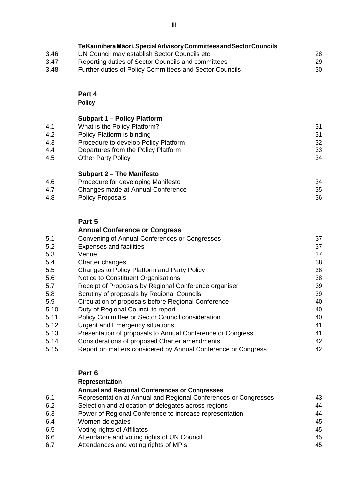| Te Kaunihera Māori, Special Advisory Committees and Sector Councils |                                                         |    |
|---------------------------------------------------------------------|---------------------------------------------------------|----|
| 3.46                                                                | UN Council may establish Sector Councils etc            | 28 |
| 3.47                                                                | Reporting duties of Sector Councils and committees      | 29 |
| 3.48                                                                | Further duties of Policy Committees and Sector Councils | 30 |

#### **Part 4**

**Policy**

#### **Subpart 1 – Policy Platform**

| $\Lambda$ $\Omega$ | <b>Subpart 2 – The Manifesto</b><br><b>Drocodure for developing Menifecto</b> | ΩΛ |
|--------------------|-------------------------------------------------------------------------------|----|
| 4.5                | <b>Other Party Policy</b>                                                     | 34 |
| 4.4                | Departures from the Policy Platform                                           | 33 |
| 4.3                | Procedure to develop Policy Platform                                          | 32 |
| 4.2                | Policy Platform is binding                                                    | 31 |
| 4.1                | What is the Policy Platform?                                                  | 31 |
|                    |                                                                               |    |

4.6 Procedure for developing Manifesto<br>
4.7 Changes made at Annual Conference<br>
35 4.7 Changes made at Annual Conference<br>4.8 Policy Proposals 36 Policy Proposals

#### **Part 5**

#### **Annual Conference or Congress**

| 5.1  | Convening of Annual Conferences or Congresses                 | 37 |
|------|---------------------------------------------------------------|----|
| 5.2  | <b>Expenses and facilities</b>                                | 37 |
| 5.3  | Venue                                                         | 37 |
| 5.4  | Charter changes                                               | 38 |
| 5.5  | Changes to Policy Platform and Party Policy                   | 38 |
| 5.6  | Notice to Constituent Organisations                           | 38 |
| 5.7  | Receipt of Proposals by Regional Conference organiser         | 39 |
| 5.8  | Scrutiny of proposals by Regional Councils                    | 39 |
| 5.9  | Circulation of proposals before Regional Conference           | 40 |
| 5.10 | Duty of Regional Council to report                            | 40 |
| 5.11 | Policy Committee or Sector Council consideration              | 40 |
| 5.12 | Urgent and Emergency situations                               | 41 |
| 5.13 | Presentation of proposals to Annual Conference or Congress    | 41 |
| 5.14 | Considerations of proposed Charter amendments                 | 42 |
| 5.15 | Report on matters considered by Annual Conference or Congress | 42 |

#### **Part 6**

#### **Representation**

#### **Annual and Regional Conferences or Congresses**

| 6.1 | Representation at Annual and Regional Conferences or Congresses | 43 |
|-----|-----------------------------------------------------------------|----|
| 6.2 | Selection and allocation of delegates across regions            | 44 |
| 6.3 | Power of Regional Conference to increase representation         | 44 |
| 6.4 | Women delegates                                                 | 45 |
| 6.5 | Voting rights of Affiliates                                     | 45 |
| 6.6 | Attendance and voting rights of UN Council                      | 45 |
| 6.7 | Attendances and voting rights of MP's                           | 45 |
|     |                                                                 |    |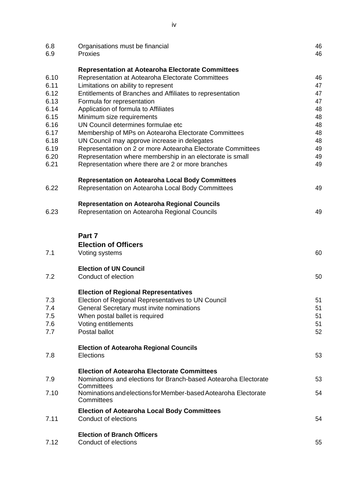| 6.8<br>6.9 | Organisations must be financial<br>Proxies                                    | 46<br>46 |
|------------|-------------------------------------------------------------------------------|----------|
|            | <b>Representation at Aotearoha Electorate Committees</b>                      |          |
| 6.10       | Representation at Aotearoha Electorate Committees                             | 46       |
| 6.11       | Limitations on ability to represent                                           | 47       |
| 6.12       | Entitlements of Branches and Affiliates to representation                     | 47       |
| 6.13       | Formula for representation                                                    | 47       |
| 6.14       | Application of formula to Affiliates                                          | 48       |
| 6.15       | Minimum size requirements                                                     | 48       |
| 6.16       | UN Council determines formulae etc                                            | 48       |
| 6.17       | Membership of MPs on Aotearoha Electorate Committees                          | 48       |
| 6.18       | UN Council may approve increase in delegates                                  | 48       |
| 6.19       | Representation on 2 or more Aotearoha Electorate Committees                   | 49       |
| 6.20       | Representation where membership in an electorate is small                     | 49       |
| 6.21       | Representation where there are 2 or more branches                             | 49       |
|            | <b>Representation on Aotearoha Local Body Committees</b>                      |          |
| 6.22       | Representation on Aotearoha Local Body Committees                             | 49       |
|            | <b>Representation on Aotearoha Regional Councils</b>                          |          |
| 6.23       | Representation on Aotearoha Regional Councils                                 | 49       |
|            |                                                                               |          |
|            | Part 7                                                                        |          |
|            | <b>Election of Officers</b>                                                   |          |
| 7.1        | Voting systems                                                                | 60       |
|            | <b>Election of UN Council</b>                                                 |          |
| 7.2        | Conduct of election                                                           | 50       |
|            | <b>Election of Regional Representatives</b>                                   |          |
| 7.3        | Election of Regional Representatives to UN Council                            | 51       |
| 7.4        | General Secretary must invite nominations                                     | 51       |
| 7.5        | When postal ballet is required                                                | 51       |
| 7.6        | Voting entitlements                                                           | 51       |
| 7.7        | Postal ballot                                                                 | 52       |
|            | <b>Election of Aotearoha Regional Councils</b>                                |          |
| 7.8        | Elections                                                                     | 53       |
|            | <b>Election of Aotearoha Electorate Committees</b>                            |          |
| 7.9        | Nominations and elections for Branch-based Aotearoha Electorate               | 53       |
| 7.10       | Committees<br>Nominations and elections for Member-based Aotearoha Electorate | 54       |
|            | Committees                                                                    |          |
|            | <b>Election of Aotearoha Local Body Committees</b>                            |          |
| 7.11       | Conduct of elections                                                          | 54       |
|            | <b>Election of Branch Officers</b>                                            |          |
| 7.12       | Conduct of elections                                                          | 55       |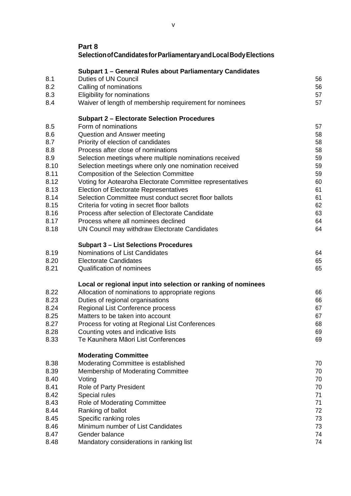|              | Part 8<br>Selection of Candidates for Parliamentary and Local Body Elections                   |          |
|--------------|------------------------------------------------------------------------------------------------|----------|
|              | Subpart 1 - General Rules about Parliamentary Candidates                                       |          |
| 8.1          | <b>Duties of UN Council</b>                                                                    | 56       |
| 8.2          | Calling of nominations                                                                         | 56       |
| 8.3          | Eligibility for nominations                                                                    | 57       |
| 8.4          | Waiver of length of membership requirement for nominees                                        | 57       |
|              | <b>Subpart 2 - Electorate Selection Procedures</b>                                             |          |
| 8.5          | Form of nominations                                                                            | 57       |
| 8.6          | Question and Answer meeting                                                                    | 58       |
| 8.7          | Priority of election of candidates                                                             | 58       |
| 8.8          | Process after close of nominations                                                             | 58       |
| 8.9          | Selection meetings where multiple nominations received                                         | 59       |
| 8.10         | Selection meetings where only one nomination received                                          | 59       |
| 8.11         | <b>Composition of the Selection Committee</b>                                                  | 59       |
| 8.12         | Voting for Aotearoha Electorate Committee representatives                                      | 60       |
| 8.13         | <b>Election of Electorate Representatives</b>                                                  | 61       |
| 8.14         | Selection Committee must conduct secret floor ballots                                          | 61       |
| 8.15         | Criteria for voting in secret floor ballots<br>Process after selection of Electorate Candidate | 62       |
| 8.16<br>8.17 | Process where all nominees declined                                                            | 63       |
| 8.18         | UN Council may withdraw Electorate Candidates                                                  | 64<br>64 |
|              |                                                                                                |          |
|              | <b>Subpart 3 - List Selections Procedures</b>                                                  |          |
| 8.19         | Nominations of List Candidates                                                                 | 64       |
| 8.20<br>8.21 | <b>Electorate Candidates</b><br><b>Qualification of nominees</b>                               | 65<br>65 |
|              |                                                                                                |          |
|              | Local or regional input into selection or ranking of nominees                                  |          |
| 8.22         | Allocation of nominations to appropriate regions                                               | 66       |
| 8.23         | Duties of regional organisations                                                               | 66       |
| 8.24         | Regional List Conference process                                                               | 67       |
| 8.25         | Matters to be taken into account                                                               | 67       |
| 8.27<br>8.28 | Process for voting at Regional List Conferences<br>Counting votes and indicative lists         | 68<br>69 |
| 8.33         | Te Kaunihera Māori List Conferences                                                            | 69       |
|              |                                                                                                |          |
| 8.38         | <b>Moderating Committee</b><br>Moderating Committee is established                             | 70       |
| 8.39         | Membership of Moderating Committee                                                             | 70       |
| 8.40         | Voting                                                                                         | 70       |
| 8.41         | Role of Party President                                                                        | 70       |
| 8.42         | Special rules                                                                                  | 71       |
| 8.43         | Role of Moderating Committee                                                                   | 71       |
| 8.44         | Ranking of ballot                                                                              | 72       |
| 8.45         | Specific ranking roles                                                                         | 73       |
| 8.46         | Minimum number of List Candidates                                                              | 73       |
| 8.47         | Gender balance                                                                                 | 74       |
| 8.48         | Mandatory considerations in ranking list                                                       | 74       |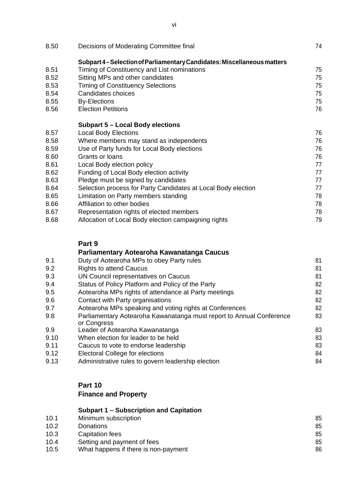| 8.50 | Decisions of Moderating Committee final                                | 74 |
|------|------------------------------------------------------------------------|----|
|      | Subpart 4-Selection of Parliamentary Candidates: Miscellaneous matters |    |
| 8.51 | Timing of Constituency and List nominations                            | 75 |
| 8.52 | Sitting MPs and other candidates                                       | 75 |
| 8.53 | <b>Timing of Constituency Selections</b>                               | 75 |
| 8.54 | Candidates choices                                                     | 75 |
| 8.55 | <b>By-Elections</b>                                                    | 75 |
| 8.56 | <b>Election Petitions</b>                                              | 76 |
|      | <b>Subpart 5 - Local Body elections</b>                                |    |
| 8.57 | <b>Local Body Elections</b>                                            | 76 |
| 8.58 | Where members may stand as independents                                | 76 |
| 8.59 | Use of Party funds for Local Body elections                            | 76 |
| 8.60 | Grants or loans                                                        | 76 |
| 8.61 | Local Body election policy                                             | 77 |
| 8.62 | Funding of Local Body election activity                                | 77 |
| 8.63 | Pledge must be signed by candidates                                    | 77 |
| 8.64 | Selection process for Party Candidates at Local Body election          | 77 |
| 8.65 | Limitation on Party members standing                                   | 78 |
| 8.66 | Affiliation to other bodies                                            | 78 |
| 8.67 | Representation rights of elected members                               | 78 |
|      |                                                                        |    |

8.68 Allocation of Local Body election campaigning rights 79

#### **Part 9**

#### **Parliamentary Aotearoha Kawanatanga Caucus**

| Duty of Aotearoha MPs to obey Party rules                                           | 81 |
|-------------------------------------------------------------------------------------|----|
| <b>Rights to attend Caucus</b>                                                      | 81 |
| UN Council representatives on Caucus                                                | 81 |
| Status of Policy Platform and Policy of the Party                                   | 82 |
| Aotearoha MPs rights of attendance at Party meetings                                | 82 |
| Contact with Party organisations                                                    | 82 |
| Aotearoha MPs speaking and voting rights at Conferences                             | 82 |
| Parliamentary Aotearoha Kawanatanga must report to Annual Conference<br>or Congress | 83 |
| Leader of Aotearoha Kawanatanga                                                     | 83 |
| When election for leader to be held                                                 | 83 |
| Caucus to vote to endorse leadership                                                | 83 |
| Electoral College for elections                                                     | 84 |
| Administrative rules to govern leadership election                                  | 84 |
|                                                                                     |    |

#### **Part 10**

#### **Finance and Property**

#### **Subpart 1 – Subscription and Capitation**

| 10.1 | Minimum subscription                 | 85 |
|------|--------------------------------------|----|
| 10.2 | Donations                            | 85 |
| 10.3 | Capitation fees                      | 85 |
| 10.4 | Setting and payment of fees          | 85 |
| 10.5 | What happens if there is non-payment | 86 |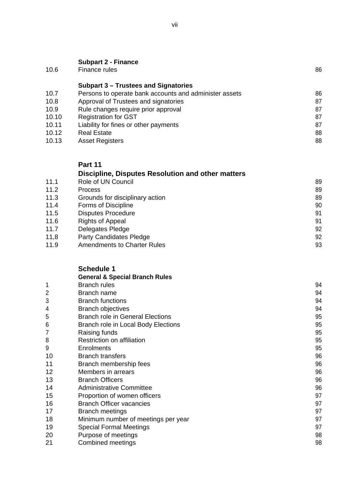|       | <b>Subpart 2 - Finance</b>                             |    |
|-------|--------------------------------------------------------|----|
| 10.6  | Finance rules                                          | 86 |
|       | Subpart 3 – Trustees and Signatories                   |    |
| 10.7  | Persons to operate bank accounts and administer assets | 86 |
| 10.8  | Approval of Trustees and signatories                   | 87 |
| 10.9  | Rule changes require prior approval                    | 87 |
| 10.10 | <b>Registration for GST</b>                            | 87 |
| 10.11 | Liability for fines or other payments                  | 87 |
| 10.12 | <b>Real Estate</b>                                     | 88 |
| 10.13 | <b>Asset Registers</b>                                 | 88 |

#### **Part 11**

#### **Discipline, Disputes Resolution and other matters**

11.1 Role of UN Council 89<br>11.2 Process 89 11.2 Process 89 11.3 Grounds for disciplinary action 89 11.4 Forms of Discipline 90 11.5 Disputes Procedure 11.5 91 11.6 Rights of Appeal 11.6 Rights of Appeal 11.7 September 2014 11.7 September 2014 11.7 September 2021 11.7 September 2021 11.7 September 2021 11.7 September 2021 11.7 September 2021 11.7 September 2021 11.7 September 202 Delegates Pledge 11,8 Party Candidates Pledge 11,8 92<br>11.9 Amendments to Charter Rules 93 Amendments to Charter Rules

#### **Schedule 1**

|    | <b>General &amp; Special Branch Rules</b> |    |
|----|-------------------------------------------|----|
| 1  | <b>Branch rules</b>                       | 94 |
| 2  | Branch name                               | 94 |
| 3  | <b>Branch functions</b>                   | 94 |
| 4  | <b>Branch objectives</b>                  | 94 |
| 5  | <b>Branch role in General Elections</b>   | 95 |
| 6  | Branch role in Local Body Elections       | 95 |
| 7  | Raising funds                             | 95 |
| 8  | Restriction on affiliation                | 95 |
| 9  | Enrolments                                | 95 |
| 10 | <b>Branch transfers</b>                   | 96 |
| 11 | Branch membership fees                    | 96 |
| 12 | Members in arrears                        | 96 |
| 13 | <b>Branch Officers</b>                    | 96 |
| 14 | <b>Administrative Committee</b>           | 96 |
| 15 | Proportion of women officers              | 97 |
| 16 | <b>Branch Officer vacancies</b>           | 97 |
| 17 | <b>Branch meetings</b>                    | 97 |
| 18 | Minimum number of meetings per year       | 97 |
| 19 | <b>Special Formal Meetings</b>            | 97 |
| 20 | Purpose of meetings                       | 98 |
| 21 | Combined meetings                         | 98 |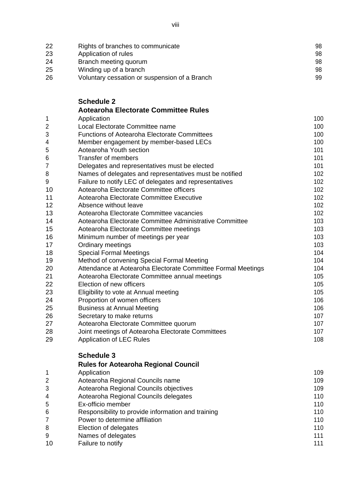| 22 | Rights of branches to communicate             | 98 |
|----|-----------------------------------------------|----|
| 23 | Application of rules                          | 98 |
| 24 | Branch meeting quorum                         | 98 |
| 25 | Winding up of a branch                        | 98 |
| 26 | Voluntary cessation or suspension of a Branch | 99 |

|                | <b>Aotearoha Electorate Committee Rules</b>                  |     |
|----------------|--------------------------------------------------------------|-----|
| 1              | Application                                                  | 100 |
| $\overline{2}$ | Local Electorate Committee name                              | 100 |
| 3              | <b>Functions of Aotearoha Electorate Committees</b>          | 100 |
| 4              | Member engagement by member-based LECs                       | 100 |
| 5              | Aotearoha Youth section                                      | 101 |
| 6              | <b>Transfer of members</b>                                   | 101 |
| 7              | Delegates and representatives must be elected                | 101 |
| 8              | Names of delegates and representatives must be notified      | 102 |
| 9              | Failure to notify LEC of delegates and representatives       | 102 |
| 10             | Aotearoha Electorate Committee officers                      | 102 |
| 11             | Aotearoha Electorate Committee Executive                     | 102 |
| 12             | Absence without leave                                        | 102 |
| 13             | Aotearoha Electorate Committee vacancies                     | 102 |
| 14             | Aotearoha Electorate Committee Administrative Committee      | 103 |
| 15             | Aotearoha Electorate Committee meetings                      | 103 |
| 16             | Minimum number of meetings per year                          | 103 |
| 17             | <b>Ordinary meetings</b>                                     | 103 |
| 18             | <b>Special Formal Meetings</b>                               | 104 |
| 19             | Method of convening Special Formal Meeting                   | 104 |
| 20             | Attendance at Aotearoha Electorate Committee Formal Meetings | 104 |
| 21             | Aotearoha Electorate Committee annual meetings               | 105 |
| 22             | Election of new officers                                     | 105 |
| 23             | Eligibility to vote at Annual meeting                        | 105 |
| 24             | Proportion of women officers                                 | 106 |
| 25             | <b>Business at Annual Meeting</b>                            | 106 |
| 26             | Secretary to make returns                                    | 107 |
| 27             | Aotearoha Electorate Committee quorum                        | 107 |
| 28             | Joint meetings of Aotearoha Electorate Committees            | 107 |
| 29             | <b>Application of LEC Rules</b>                              | 108 |

#### **Schedule 3**

**Schedule 2**

|                | <b>Rules for Aotearoha Regional Council</b>        |     |
|----------------|----------------------------------------------------|-----|
|                | Application                                        | 109 |
| $\overline{2}$ | Aotearoha Regional Councils name                   | 109 |
| 3              | Aotearoha Regional Councils objectives             | 109 |
| $\overline{4}$ | Aotearoha Regional Councils delegates              | 110 |
| 5              | Ex-officio member                                  | 110 |
| 6              | Responsibility to provide information and training | 110 |
|                | Power to determine affiliation                     | 110 |
| 8              | Election of delegates                              | 110 |
| 9              | Names of delegates                                 | 111 |
| 10             | Failure to notify                                  | 111 |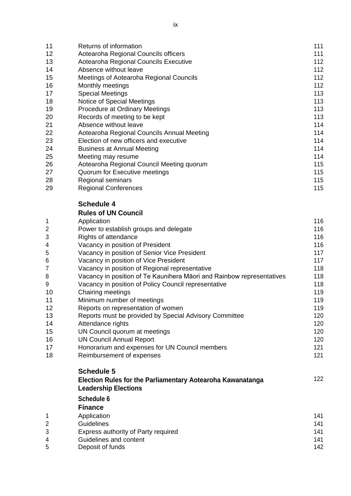| 11 | Returns of information                     | 111 |
|----|--------------------------------------------|-----|
| 12 | Aotearoha Regional Councils officers       | 111 |
| 13 | Aotearoha Regional Councils Executive      | 112 |
| 14 | Absence without leave                      | 112 |
| 15 | Meetings of Aotearoha Regional Councils    | 112 |
| 16 | Monthly meetings                           | 112 |
| 17 | <b>Special Meetings</b>                    | 113 |
| 18 | Notice of Special Meetings                 | 113 |
| 19 | <b>Procedure at Ordinary Meetings</b>      | 113 |
| 20 | Records of meeting to be kept              | 113 |
| 21 | Absence without leave                      | 114 |
| 22 | Aotearoha Regional Councils Annual Meeting | 114 |
| 23 | Election of new officers and executive     | 114 |
| 24 | <b>Business at Annual Meeting</b>          | 114 |
| 25 | Meeting may resume                         | 114 |
| 26 | Aotearoha Regional Council Meeting quorum  | 115 |
| 27 | Quorum for Executive meetings              | 115 |
| 28 | <b>Regional seminars</b>                   | 115 |

29 Regional Conferences 115

#### **Schedule 4**

#### **Rules of UN Council**

| 1              | Application                                                           | 116 |
|----------------|-----------------------------------------------------------------------|-----|
| $\overline{2}$ | Power to establish groups and delegate                                | 116 |
| 3              | Rights of attendance                                                  | 116 |
| 4              | Vacancy in position of President                                      | 116 |
| 5              | Vacancy in position of Senior Vice President                          | 117 |
| 6              | Vacancy in position of Vice President                                 | 117 |
| 7              | Vacancy in position of Regional representative                        | 118 |
| 8              | Vacancy in position of Te Kaunihera Māori and Rainbow representatives | 118 |
| 9              | Vacancy in position of Policy Council representative                  | 118 |
| 10             | Chairing meetings                                                     | 119 |
| 11             | Minimum number of meetings                                            | 119 |
| 12             | Reports on representation of women                                    | 119 |
| 13             | Reports must be provided by Special Advisory Committee                | 120 |
| 14             | Attendance rights                                                     | 120 |
| 15             | UN Council quorum at meetings                                         | 120 |
| 16             | <b>UN Council Annual Report</b>                                       | 120 |
| 17             | Honorarium and expenses for UN Council members                        | 121 |
| 18             | Reimbursement of expenses                                             | 121 |
|                | .                                                                     |     |

#### **Schedule 5 Election Rules for the Parliamentary Aotearoha Kawanatanga Leadership Elections**

122

#### **Schedule 6**

|   | <b>Finance</b>                      |     |
|---|-------------------------------------|-----|
|   | Application                         | 141 |
| 2 | <b>Guidelines</b>                   | 141 |
| 3 | Express authority of Party required | 141 |
| 4 | Guidelines and content              | 141 |
| 5 | Deposit of funds                    | 142 |
|   |                                     |     |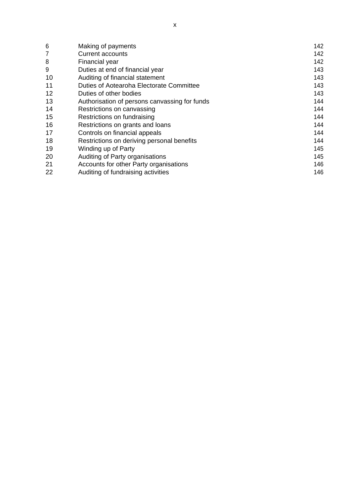| 6  | Making of payments                            | 142 |
|----|-----------------------------------------------|-----|
| 7  | <b>Current accounts</b>                       | 142 |
| 8  | Financial year                                | 142 |
| 9  | Duties at end of financial year               | 143 |
| 10 | Auditing of financial statement               | 143 |
| 11 | Duties of Aotearoha Electorate Committee      | 143 |
| 12 | Duties of other bodies                        | 143 |
| 13 | Authorisation of persons canvassing for funds | 144 |
| 14 | Restrictions on canvassing                    | 144 |
| 15 | Restrictions on fundraising                   | 144 |
| 16 | Restrictions on grants and loans              | 144 |
| 17 | Controls on financial appeals                 | 144 |
| 18 | Restrictions on deriving personal benefits    | 144 |
| 19 | Winding up of Party                           | 145 |
| 20 | Auditing of Party organisations               | 145 |
| 21 | Accounts for other Party organisations        | 146 |
| 22 | Auditing of fundraising activities            | 146 |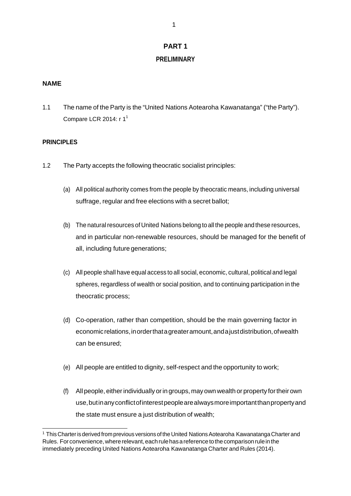#### **PART 1 PRELIMINARY**

#### **NAME**

1.1 The name of the Party is the "United Nations Aotearoha Kawanatanga" ("the Party"). Compare LCR 2014:  $r 1<sup>1</sup>$ 

#### **PRINCIPLES**

- 1.2 The Party accepts the following theocratic socialist principles:
	- (a) All political authority comes from the people by theocratic means, including universal suffrage, regular and free elections with a secret ballot;
	- (b) The natural resources of United Nations belong to all the people and these resources, and in particular non-renewable resources, should be managed for the benefit of all, including future generations;
	- (c) All people shall have equal access to all social, economic, cultural, political and legal spheres, regardless of wealth or social position, and to continuing participation in the theocratic process;
	- (d) Co-operation, rather than competition, should be the main governing factor in economicrelations,inorderthatagreateramount,andajustdistribution,ofwealth can be ensured;
	- (e) All people are entitled to dignity, self-respect and the opportunity to work;
	- (f) All people, eitherindividually orin groups,mayownwealth or property fortheirown use,butinanyconflictofinterestpeoplearealwaysmoreimportantthanpropertyand the state must ensure a just distribution of wealth;

<sup>1</sup> This Charteris derived from previous versions of the United NationsAotearoha Kawanatanga Charter and Rules. For convenience, where relevant, each rule has a reference to the comparison rule in the immediately preceding United Nations Aotearoha Kawanatanga Charter and Rules (2014).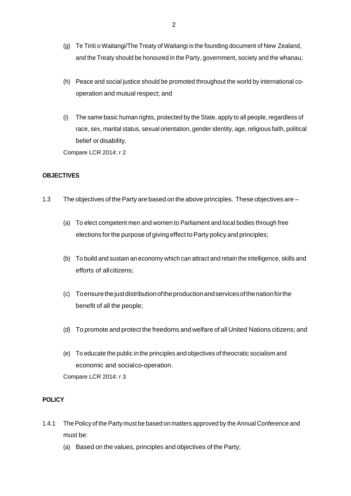- (g) Te Tiriti o Waitangi/The Treaty of Waitangi is the founding document of New Zealand, and the Treaty should be honoured in the Party, government, society and the whanau;
- (h) Peace and social justice should be promoted throughout the world by international cooperation and mutual respect; and
- (i) The same basic human rights, protected by the State, apply to all people, regardless of race, sex, marital status, sexual orientation, gender identity, age, religious faith, political belief or disability.

Compare LCR 2014: r 2

#### **OBJECTIVES**

- 1.3 The objectives of the Party are based on the above principles. These objectives are
	- (a) To elect competent men and women to Parliament and local bodies through free elections for the purpose of giving effect to Party policy and principles;
	- (b) To build and sustain an economy which can attract and retain the intelligence, skills and efforts of allcitizens;
	- (c) Toensurethejustdistributionoftheproductionandservicesofthenationforthe benefit of all the people;
	- (d) To promote and protect the freedoms and welfare of all United Nations citizens; and
	- (e) To educate the public in the principles and objectives of theocratic socialism and economic and socialco-operation. Compare LCR 2014: r 3

#### **POLICY**

- 1.4.1 The Policy of the Party must be based on matters approved by the Annual Conference and must be:
	- (a) Based on the values, principles and objectives of the Party;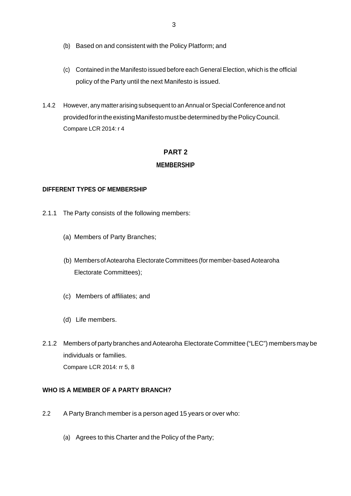- (b) Based on and consistent with the Policy Platform; and
- (c) Contained in the Manifesto issued before each General Election, which is the official policy of the Party until the next Manifesto is issued.
- 1.4.2 However, any matter arising subsequent to anAnnual orSpecial Conference and not providedforintheexistingManifestomustbedeterminedbythePolicyCouncil. Compare LCR 2014: r 4

#### **PART 2 MEMBERSHIP**

#### **DIFFERENT TYPES OF MEMBERSHIP**

- 2.1.1 The Party consists of the following members:
	- (a) Members of Party Branches;
	- (b) Members of Aotearoha Electorate Committees (for member-based Aotearoha Electorate Committees);
	- (c) Members of affiliates; and
	- (d) Life members.
- 2.1.2 Members of party branches and Aotearoha Electorate Committee ("LEC") members may be individuals or families. Compare LCR 2014: rr 5, 8

#### **WHO IS A MEMBER OF A PARTY BRANCH?**

- 2.2 A Party Branch member is a person aged 15 years or over who:
	- (a) Agrees to this Charter and the Policy of the Party;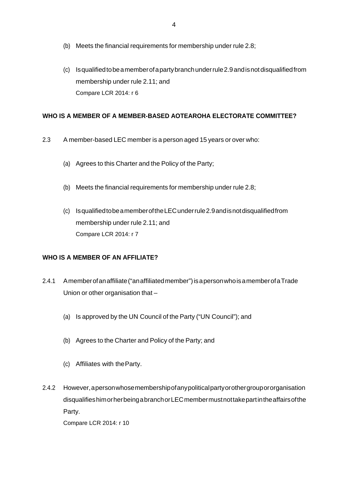- (b) Meets the financial requirements for membership under rule 2.8;
- (c) Isqualifiedtobeamemberofapartybranchunderrule2.9andisnotdisqualifiedfrom membership under rule 2.11; and Compare LCR 2014: r 6

#### **WHO IS A MEMBER OF A MEMBER-BASED AOTEAROHA ELECTORATE COMMITTEE?**

- 2.3 A member-based LEC member is a person aged 15 years or over who:
	- (a) Agrees to this Charter and the Policy of the Party;
	- (b) Meets the financial requirements for membership under rule 2.8;
	- (c) IsqualifiedtobeamemberoftheLECunderrule2.9andisnotdisqualifiedfrom membership under rule 2.11; and Compare LCR 2014: r 7

#### **WHO IS A MEMBER OF AN AFFILIATE?**

- 2.4.1 Amemberofanaffiliate("anaffiliatedmember")isapersonwhoisamemberofaTrade Union or other organisation that –
	- (a) Is approved by the UN Council of the Party ("UN Council"); and
	- (b) Agrees to the Charter and Policy of the Party; and
	- (c) Affiliates with theParty.
- 2.4.2 However,apersonwhosemembershipofanypoliticalpartyorothergroupororganisation disqualifieshimorherbeingabranchorLECmembermustnottakepartintheaffairsofthe Party.

Compare LCR 2014: r 10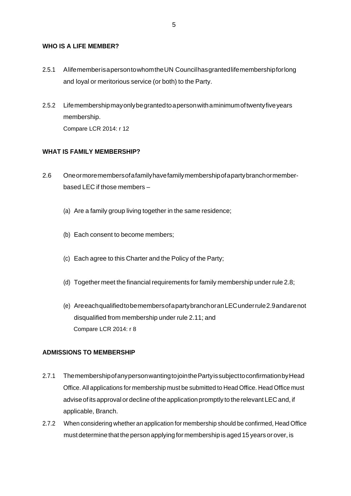#### **WHO IS A LIFE MEMBER?**

- 2.5.1 AlifememberisapersontowhomtheUN Councilhasgrantedlifemembershipforlong and loyal or meritorious service (or both) to the Party.
- 2.5.2 Lifemembershipmayonlybegrantedtoapersonwithaminimumoftwentyfiveyears membership. Compare LCR 2014: r 12

#### **WHAT IS FAMILY MEMBERSHIP?**

- 2.6 Oneormoremembersofafamilyhavefamilymembershipofapartybranchormemberbased LEC if those members  $-$ 
	- (a) Are a family group living together in the same residence;
	- (b) Each consent to become members;
	- (c) Each agree to this Charter and the Policy of the Party;
	- (d) Together meet the financial requirements for family membership under rule 2.8;
	- (e) AreeachqualifiedtobemembersofapartybranchoranLECunderrule2.9andarenot disqualified from membership under rule 2.11; and Compare LCR 2014: r 8

#### **ADMISSIONS TO MEMBERSHIP**

- 2.7.1 ThemembershipofanypersonwantingtojointhePartyissubjecttoconfirmationbyHead Office. All applications for membership must be submitted to Head Office. Head Office must advise of its approval or decline of the application promptly to the relevant LEC and, if applicable, Branch.
- 2.7.2 When considering whether an application for membership should be confirmed, Head Office must determine that the person applying formembership is aged 15 years or over, is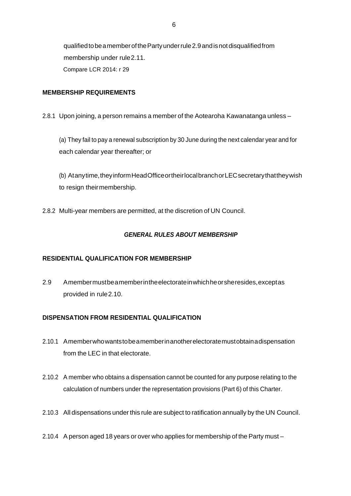qualifiedtobeamemberofthePartyunderrule2.9andisnotdisqualifiedfrom membership under rule2.11. Compare LCR 2014: r 29

#### **MEMBERSHIP REQUIREMENTS**

2.8.1 Upon joining, a person remains a member of the Aotearoha Kawanatanga unless –

(a) They fail to pay a renewal subscription by 30 June during the next calendar year and for each calendar year thereafter; or

(b) Atanytime,theyinformHeadOfficeortheirlocalbranchorLECsecretarythattheywish to resign theirmembership.

2.8.2 Multi-year members are permitted, at the discretion of UN Council.

#### *GENERAL RULES ABOUT MEMBERSHIP*

#### **RESIDENTIAL QUALIFICATION FOR MEMBERSHIP**

2.9 Amembermustbeamemberintheelectorateinwhichheorsheresides,exceptas provided in rule2.10.

#### **DISPENSATION FROM RESIDENTIAL QUALIFICATION**

- 2.10.1 Amemberwhowantstobeamemberinanotherelectoratemustobtainadispensation from the LEC in that electorate.
- 2.10.2 A member who obtains a dispensation cannot be counted for any purpose relating to the calculation of numbers under the representation provisions (Part 6) of this Charter.
- 2.10.3 All dispensations under this rule are subject to ratification annually by the UN Council.
- 2.10.4 A person aged 18 years or over who applies for membership of the Party must –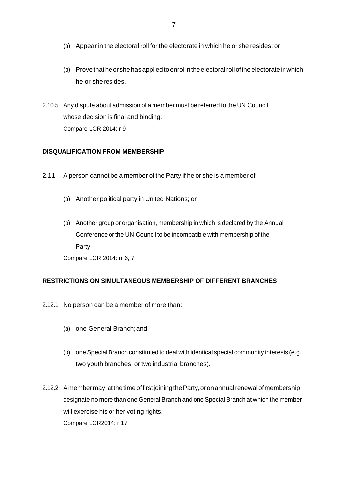- (a) Appear in the electoral roll for the electorate in which he or she resides; or
- (b) Provethatheorshehasappliedtoenrol intheelectoralrolloftheelectorateinwhich he or sheresides.
- 2.10.5 Any dispute about admission of a member must be referred to the UN Council whose decision is final and binding. Compare LCR 2014: r 9

#### **DISQUALIFICATION FROM MEMBERSHIP**

- 2.11 A person cannot be a member of the Party if he or she is a member of
	- (a) Another political party in United Nations; or
	- (b) Another group or organisation, membership in which is declared by the Annual Conference or the UN Council to be incompatible with membership of the Party.

Compare LCR 2014: rr 6, 7

#### **RESTRICTIONS ON SIMULTANEOUS MEMBERSHIP OF DIFFERENT BRANCHES**

- 2.12.1 No person can be a member of more than:
	- (a) one General Branch;and
	- (b) one Special Branch constituted to deal with identical special community interests (e.g. two youth branches, or two industrial branches).
- 2.12.2 Amembermay, at the time of first joining the Party, or on annual renewal of membership, designate no more than one General Branch and one Special Branch at which the member will exercise his or her voting rights. Compare LCR2014: r 17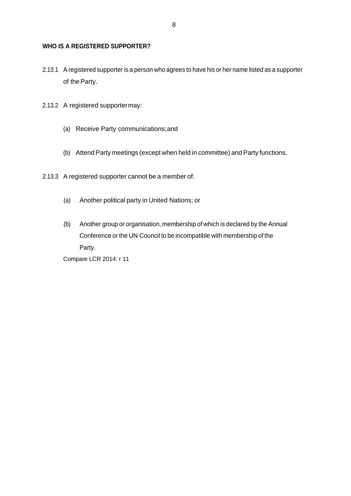#### **WHO IS A REGISTERED SUPPORTER?**

- 2.13.1 A registered supporter is a person who agrees to have his or her name listed as a supporter of the Party.
- 2.13.2 A registered supportermay:
	- (a) Receive Party communications;and
	- (b) Attend Party meetings (except when held in committee) and Party functions.
- 2.13.3 A registered supporter cannot be a member of:
	- (a) Another political party in United Nations; or
	- (b) Another group or organisation, membership of which is declared by the Annual Conference or the UN Council to be incompatible with membership of the Party.

Compare LCR 2014: r 11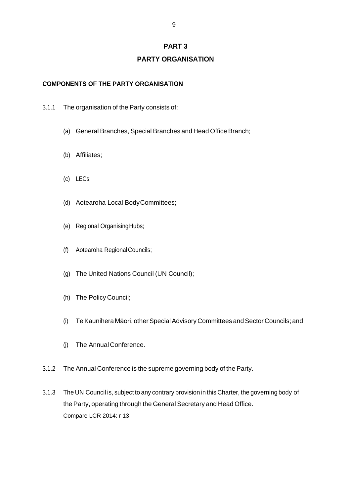#### **PART 3**

#### **PARTY ORGANISATION**

#### **COMPONENTS OF THE PARTY ORGANISATION**

- 3.1.1 The organisation of the Party consists of:
	- (a) General Branches, Special Branches and Head Office Branch;
	- (b) Affiliates;
	- (c) LECs;
	- (d) Aotearoha Local BodyCommittees;
	- (e) Regional OrganisingHubs;
	- (f) Aotearoha RegionalCouncils;
	- (g) The United Nations Council (UN Council);
	- (h) The Policy Council;
	- (i) Te Kaunihera Māori, other Special Advisory Committees and Sector Councils; and
	- (j) The Annual Conference.
- 3.1.2 The Annual Conference is the supreme governing body of the Party.
- 3.1.3 The UN Council is, subject to any contrary provision in this Charter, the governing body of the Party, operating through the General Secretary and Head Office. Compare LCR 2014: r 13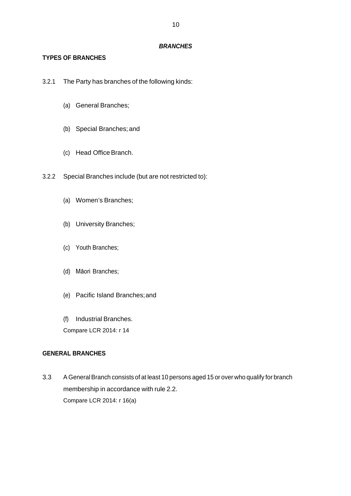#### *BRANCHES*

#### **TYPES OF BRANCHES**

- 3.2.1 The Party has branches of the following kinds:
	- (a) General Branches;
	- (b) Special Branches; and
	- (c) Head Office Branch.
- 3.2.2 Special Branches include (but are not restricted to):
	- (a) Women's Branches;
	- (b) University Branches;
	- (c) Youth Branches;
	- (d) Māori Branches;
	- (e) Pacific Island Branches;and
	- (f) Industrial Branches.
	- Compare LCR 2014: r 14

#### **GENERAL BRANCHES**

3.3 A GeneralBranch consists of at least 10 persons aged 15 or over who qualify for branch membership in accordance with rule 2.2. Compare LCR 2014: r 16(a)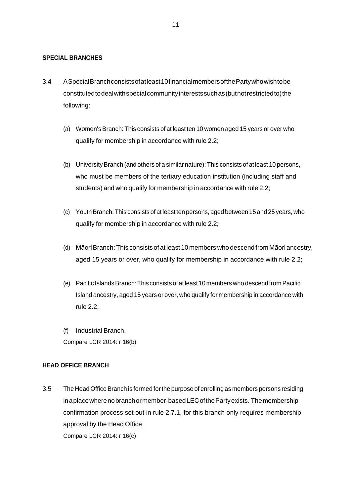#### **SPECIAL BRANCHES**

- 3.4 ASpecialBranchconsistsofatleast10financialmembersofthePartywhowishtobe constitutedtodealwithspecialcommunityinterestssuchas(butnotrestrictedto)the following:
	- (a) Women's Branch: This consists of at least ten 10 women aged 15 years or over who qualify for membership in accordance with rule 2.2;
	- (b) UniversityBranch (and others of a similar nature): This consists of at least 10 persons, who must be members of the tertiary education institution (including staff and students) and who qualify for membership in accordance with rule 2.2;
	- (c) Youth Branch: This consists of at least ten persons, aged between 15 and 25 years, who qualify for membership in accordance with rule 2.2;
	- (d) Māori Branch: This consists of at least 10 members who descend from Māori ancestry, aged 15 years or over, who qualify for membership in accordance with rule 2.2;
	- (e) Pacific IslandsBranch:This consists of at least 10 members who descend from Pacific Island ancestry, aged 15 years or over, who qualify for membership in accordance with rule 2.2;
	- (f) Industrial Branch.

Compare LCR 2014: r 16(b)

#### **HEAD OFFICE BRANCH**

3.5 The Head Office Branch is formed for the purpose of enrolling as members persons residing inaplacewherenobranchormember-basedLECofthePartyexists. Themembership confirmation process set out in rule 2.7.1, for this branch only requires membership approval by the Head Office. Compare LCR 2014: r 16(c)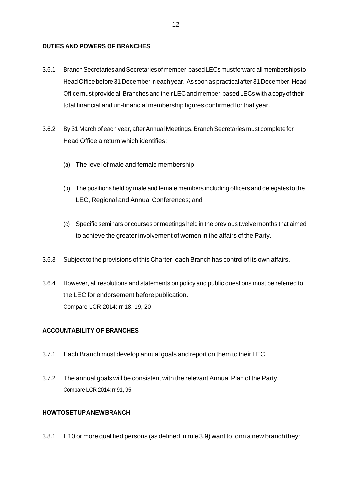#### **DUTIES AND POWERS OF BRANCHES**

- 3.6.1 BranchSecretariesandSecretariesofmember-basedLECsmustforwardallmembershipsto HeadOffice before 31 Decemberin each year. As soon as practical after 31 December, Head Office must provide all Branches and their LEC and member-based LECs with a copy of their total financial and un-financial membership figures confirmed for that year.
- 3.6.2 By 31 March of each year, after Annual Meetings, Branch Secretaries must complete for Head Office a return which identifies:
	- (a) The level of male and female membership;
	- (b) The positions held by male and female members including officers and delegates to the LEC, Regional and Annual Conferences; and
	- (c) Specific seminars or courses or meetings held in the previous twelve months that aimed to achieve the greater involvement of women in the affairs of the Party.
- 3.6.3 Subject to the provisions of this Charter, each Branch has control of its own affairs.
- 3.6.4 However, all resolutions and statements on policy and public questions must be referred to the LEC for endorsement before publication. Compare LCR 2014: rr 18, 19, 20

#### **ACCOUNTABILITY OF BRANCHES**

- 3.7.1 Each Branch must develop annual goals and report on them to their LEC.
- 3.7.2 The annual goals will be consistent with the relevant Annual Plan of the Party. Compare LCR 2014: rr 91, 95

#### **HOWTOSETUPANEWBRANCH**

3.8.1 If 10 or more qualified persons (as defined in rule 3.9) want to form a new branch they: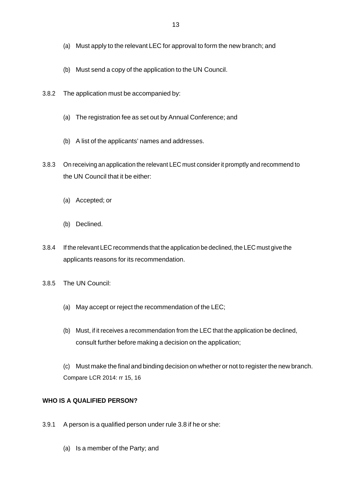- (a) Must apply to the relevant LEC for approval to form the new branch; and
- (b) Must send a copy of the application to the UN Council.
- 3.8.2 The application must be accompanied by:
	- (a) The registration fee as set out by Annual Conference; and
	- (b) A list of the applicants' names and addresses.
- 3.8.3 On receiving an application the relevant LEC must consider it promptly and recommend to the UN Council that it be either:
	- (a) Accepted; or
	- (b) Declined.
- 3.8.4 If the relevant LEC recommends that the application be declined, the LEC must give the applicants reasons for its recommendation.
- 3.8.5 The UN Council:
	- (a) May accept or reject the recommendation of the LEC;
	- (b) Must, if it receives a recommendation from the LEC that the application be declined, consult further before making a decision on the application;
	- (c) Must make the final and binding decision on whether or not to registerthe new branch. Compare LCR 2014: rr 15, 16

#### **WHO IS A QUALIFIED PERSON?**

- 3.9.1 A person is a qualified person under rule 3.8 if he or she:
	- (a) Is a member of the Party; and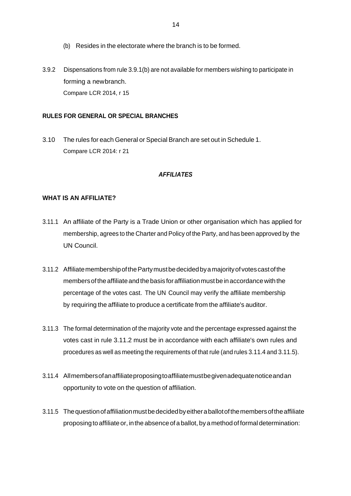- (b) Resides in the electorate where the branch is to be formed.
- 3.9.2 Dispensations from rule 3.9.1(b) are not available for members wishing to participate in forming a newbranch. Compare LCR 2014, r 15

#### **RULES FOR GENERAL OR SPECIAL BRANCHES**

3.10 The rules for each General or Special Branch are set out in Schedule 1. Compare LCR 2014: r 21

#### *AFFILIATES*

#### **WHAT IS AN AFFILIATE?**

- 3.11.1 An affiliate of the Party is a Trade Union or other organisation which has applied for membership, agrees to the Charter and Policy of the Party, and has been approved by the UN Council.
- 3.11.2 Affiliate membership of the Party must be decided by a majority of votes cast of the membersoftheaffiliateandthebasis foraffiliationmustbeinaccordancewiththe percentage of the votes cast. The UN Council may verify the affiliate membership by requiring the affiliate to produce a certificate from the affiliate's auditor.
- 3.11.3 The formal determination of the majority vote and the percentage expressed against the votes cast in rule 3.11.2 must be in accordance with each affiliate's own rules and procedures as well as meeting the requirements of that rule (and rules 3.11.4 and 3.11.5).
- 3.11.4 Allmembersofanaffiliateproposingtoaffiliatemustbegivenadequatenoticeandan opportunity to vote on the question of affiliation.
- 3.11.5 Thequestionofaffiliationmustbedecidedbyeitheraballotofthemembersoftheaffiliate proposing to affiliate or, in the absence of a ballot, by a method of formal determination: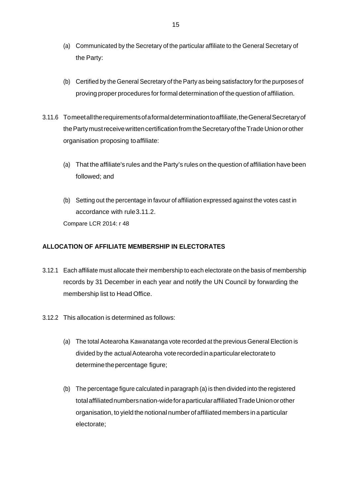- (a) Communicated by the Secretary of the particular affiliate to the General Secretary of the Party:
- (b) Certified by the General Secretary of the Party as being satisfactory for the purposes of proving proper procedures forformal determination of the question of affiliation.
- 3.11.6 Tomeetalltherequirementsofaformaldeterminationtoaffiliate,theGeneralSecretaryof the Party must receive written certification from the Secretary of the Trade Union or other organisation proposing toaffiliate:
	- (a) That the affiliate's rules and the Party's rules on the question of affiliation have been followed; and
	- (b) Setting out the percentage in favour of affiliation expressed against the votes cast in accordance with rule3.11.2. Compare LCR 2014: r 48

#### **ALLOCATION OF AFFILIATE MEMBERSHIP IN ELECTORATES**

- 3.12.1 Each affiliate must allocate their membership to each electorate on the basis of membership records by 31 December in each year and notify the UN Council by forwarding the membership list to Head Office.
- 3.12.2 This allocation is determined as follows:
	- (a) The total Aotearoha Kawanatanga vote recorded at the previous General Election is divided by the actual Aotearoha vote recorded in a particular electorate to determinethepercentage figure;
	- (b) The percentage figure calculated in paragraph (a) is then divided into the registered totalaffiliatednumbersnation-wideforaparticularaffiliatedTradeUnionorother organisation, to yield thenotional numberof affiliated members in a particular electorate;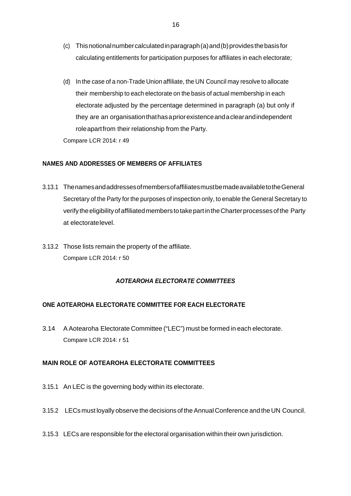- (c) Thisnotionalnumbercalculatedinparagraph(a)and(b)providesthebasisfor calculating entitlements for participation purposes for affiliates in each electorate;
- (d) In the case of a non-Trade Union affiliate, the UN Council may resolve to allocate their membership to each electorate on the basis of actual membership in each electorate adjusted by the percentage determined in paragraph (a) but only if they are an organisationthathasapriorexistenceandaclearandindependent roleapartfrom their relationship from the Party.

Compare LCR 2014: r 49

#### **NAMES AND ADDRESSES OF MEMBERS OF AFFILIATES**

- 3.13.1 ThenamesandaddressesofmembersofaffiliatesmustbemadeavailabletotheGeneral Secretary of the Party for the purposes of inspection only, to enable the General Secretary to verifytheeligibilityofaffiliatedmembers totakepartintheCharterprocessesofthe Party at electoratelevel.
- 3.13.2 Those lists remain the property of the affiliate. Compare LCR 2014: r 50

#### *AOTEAROHA ELECTORATE COMMITTEES*

#### **ONE AOTEAROHA ELECTORATE COMMITTEE FOR EACH ELECTORATE**

3.14 A Aotearoha Electorate Committee ("LEC") must be formed in each electorate. Compare LCR 2014: r 51

#### **MAIN ROLE OF AOTEAROHA ELECTORATE COMMITTEES**

- 3.15.1 An LEC is the governing body within its electorate.
- 3.15.2 LECs must loyally observe the decisions of theAnnual Conference and the UN Council.
- 3.15.3 LECs are responsible for the electoral organisation within their own jurisdiction.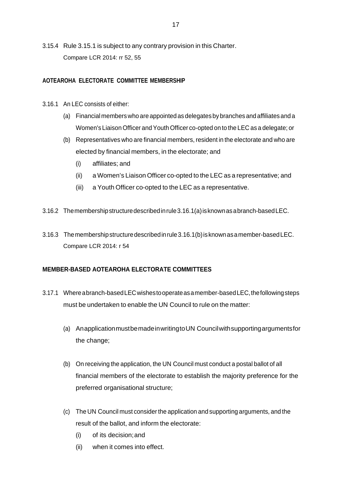3.15.4 Rule 3.15.1 is subject to any contrary provision in this Charter. Compare LCR 2014: rr 52, 55

#### **AOTEAROHA ELECTORATE COMMITTEE MEMBERSHIP**

- 3.16.1 An LEC consists of either:
	- (a) Financial members who are appointed as delegates by branches and affiliates and a Women's Liaison Officer and Youth Officer co-opted on to the LEC as a delegate; or
	- (b) Representatives who are financial members, resident in the electorate and who are elected by financial members, in the electorate; and
		- (i) affiliates; and
		- (ii) a Women's Liaison Officer co-opted to the LEC as a representative; and
		- (iii) a Youth Officer co-opted to the LEC as a representative.
- 3.16.2 Themembershipstructuredescribedinrule3.16.1(a)isknownasabranch-basedLEC.
- 3.16.3 Themembershipstructuredescribedinrule3.16.1(b)isknownasamember-basedLEC. Compare LCR 2014: r 54

#### **MEMBER-BASED AOTEAROHA ELECTORATE COMMITTEES**

- 3.17.1 Whereabranch-basedLECwishestooperateasamember-basedLEC,thefollowingsteps must be undertaken to enable the UN Council to rule on the matter:
	- (a) AnapplicationmustbemadeinwritingtoUN Councilwithsupportingargumentsfor the change;
	- (b) On receiving the application, the UN Council must conduct a postal ballot of all financial members of the electorate to establish the majority preference for the preferred organisational structure;
	- (c) The UN Council must consider the application and supporting arguments, and the result of the ballot, and inform the electorate:
		- (i) of its decision;and
		- (ii) when it comes into effect.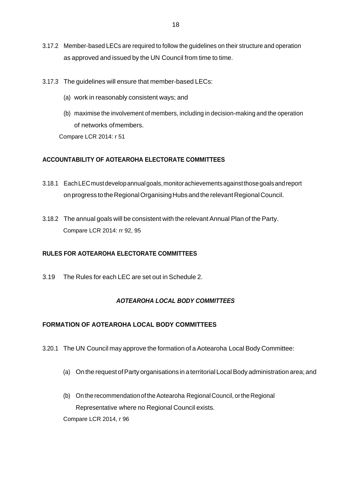- 3.17.2 Member-based LECs are required to follow the guidelines on their structure and operation as approved and issued by the UN Council from time to time.
- 3.17.3 The guidelines will ensure that member-based LECs:
	- (a) work in reasonably consistent ways; and
	- (b) maximise the involvement of members, including in decision-making and the operation of networks ofmembers.

Compare LCR 2014: r 51

#### **ACCOUNTABILITY OF AOTEAROHA ELECTORATE COMMITTEES**

- 3.18.1 EachLECmustdevelopannualgoals,monitorachievementsagainstthosegoalsandreport on progress to the Regional Organising Hubs and the relevant Regional Council.
- 3.18.2 The annual goals will be consistent with the relevant Annual Plan of the Party. Compare LCR 2014: rr 92, 95

#### **RULES FOR AOTEAROHA ELECTORATE COMMITTEES**

3.19 The Rules for each LEC are set out in Schedule 2.

#### *AOTEAROHA LOCAL BODY COMMITTEES*

#### **FORMATION OF AOTEAROHA LOCAL BODY COMMITTEES**

- 3.20.1 The UN Council may approve the formation of a Aotearoha Local Body Committee:
	- (a) On the request ofParty organisations in aterritorial LocalBody administration area; and
	- (b) On the recommendation of the Aotearoha Regional Council, or the Regional Representative where no Regional Council exists. Compare LCR 2014, r 96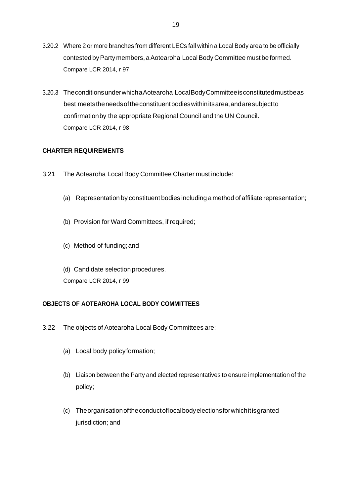- 3.20.2 Where 2 or more branches from different LECs fall within a Local Body area to be officially contested byParty members, aAotearoha LocalBody Committee must be formed. Compare LCR 2014, r 97
- 3.20.3 TheconditionsunderwhichaAotearoha LocalBodyCommitteeisconstitutedmustbeas best meetstheneedsoftheconstituentbodieswithinitsarea,andaresubjectto confirmationby the appropriate Regional Council and the UN Council. Compare LCR 2014, r 98

#### **CHARTER REQUIREMENTS**

- 3.21 The Aotearoha Local Body Committee Charter must include:
	- (a) Representation by constituent bodies including a method of affiliate representation;
	- (b) Provision for Ward Committees, if required;
	- (c) Method of funding;and

(d) Candidate selection procedures. Compare LCR 2014, r 99

#### **OBJECTS OF AOTEAROHA LOCAL BODY COMMITTEES**

- 3.22 The objects of Aotearoha Local Body Committees are:
	- (a) Local body policyformation;
	- (b) Liaison between the Party and elected representatives to ensure implementation of the policy;
	- (c) Theorganisationoftheconductoflocalbodyelectionsforwhichitisgranted jurisdiction; and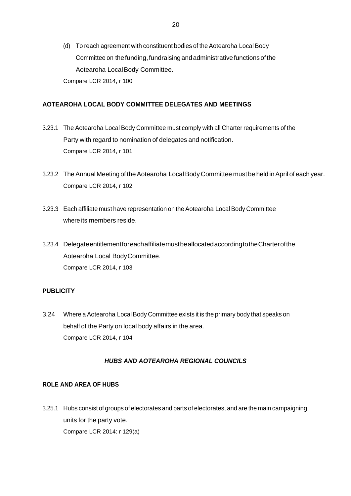(d) To reach agreement with constituent bodies of the Aotearoha Local Body Committee on the funding, fundraising and administrative functions of the Aotearoha LocalBody Committee. Compare LCR 2014, r 100

#### **AOTEAROHA LOCAL BODY COMMITTEE DELEGATES AND MEETINGS**

- 3.23.1 The Aotearoha Local Body Committee must comply with all Charter requirements of the Party with regard to nomination of delegates and notification. Compare LCR 2014, r 101
- 3.23.2 The Annual Meeting of the Aotearoha Local Body Committee must be held in April of each year. Compare LCR 2014, r 102
- 3.23.3 Each affiliate must have representation on the Aotearoha Local Body Committee where its members reside.
- 3.23.4 DelegateentitlementforeachaffiliatemustbeallocatedaccordingtotheCharterofthe Aotearoha Local BodyCommittee. Compare LCR 2014, r 103

#### **PUBLICITY**

3.24 Where a Aotearoha Local Body Committee exists it is the primary body that speaks on behalf of the Party on local body affairs in the area. Compare LCR 2014, r 104

#### *HUBS AND AOTEAROHA REGIONAL COUNCILS*

#### **ROLE AND AREA OF HUBS**

3.25.1 Hubs consist of groups of electorates and parts of electorates, and are the main campaigning units for the party vote. Compare LCR 2014: r 129(a)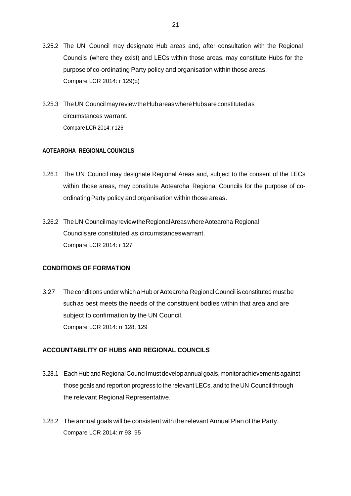- 3.25.2 The UN Council may designate Hub areas and, after consultation with the Regional Councils (where they exist) and LECs within those areas, may constitute Hubs for the purpose of co-ordinating Party policy and organisation within those areas. Compare LCR 2014: r 129(b)
- 3.25.3 TheUN Councilmay reviewtheHubareaswhereHubsareconstitutedas circumstances warrant. Compare LCR 2014: r 126

#### **AOTEAROHA REGIONAL COUNCILS**

- 3.26.1 The UN Council may designate Regional Areas and, subject to the consent of the LECs within those areas, may constitute Aotearoha Regional Councils for the purpose of coordinating Party policy and organisation within those areas.
- 3.26.2 TheUN CouncilmayreviewtheRegionalAreaswhereAotearoha Regional Councilsare constituted as circumstanceswarrant. Compare LCR 2014: r 127

#### **CONDITIONS OF FORMATION**

3.27 The conditions under which a Hub or Aotearoha Regional Council is constituted must be such as best meets the needs of the constituent bodies within that area and are subject to confirmation by the UN Council. Compare LCR 2014: rr 128, 129

#### **ACCOUNTABILITY OF HUBS AND REGIONAL COUNCILS**

- 3.28.1 EachHubandRegionalCouncilmustdevelopannualgoals,monitorachievementsagainst those goals and report on progress to the relevant LECs, and to the UN Council through the relevant Regional Representative.
- 3.28.2 The annual goals will be consistent with the relevant Annual Plan of the Party. Compare LCR 2014: rr 93, 95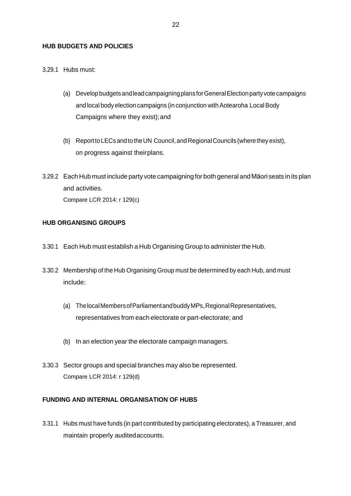#### **HUB BUDGETS AND POLICIES**

3.29.1 Hubs must:

- (a) DevelopbudgetsandleadcampaigningplansforGeneralElectionpartyvotecampaigns and local body election campaigns (in conjunction with Aotearoha Local Body Campaigns where they exist);and
- (b) Report to LECs and to the UN Council, and Regional Councils (where they exist), on progress against theirplans.
- 3.29.2 Each Hub must include party vote campaigning for both general and Māori seats in its plan and activities. Compare LCR 2014: r 129(c)

#### **HUB ORGANISING GROUPS**

- 3.30.1 Each Hub must establish a Hub Organising Group to administer the Hub.
- 3.30.2 Membership of the Hub Organising Group must be determined by each Hub, and must include:
	- (a) ThelocalMembersofParliamentandbuddyMPs,RegionalRepresentatives, representatives from each electorate or part-electorate; and
	- (b) In an election year the electorate campaign managers.
- 3.30.3 Sector groups and special branches may also be represented. Compare LCR 2014: r 129(d)

#### **FUNDING AND INTERNAL ORGANISATION OF HUBS**

3.31.1 Hubs must have funds (in part contributed by participating electorates), a Treasurer, and maintain properly auditedaccounts.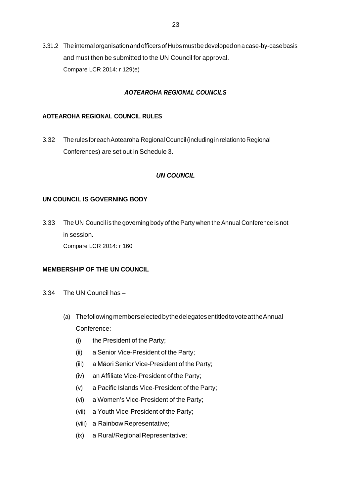3.31.2 The internalorganisation and officersofHubs mustbe developedona case-by-case basis and must then be submitted to the UN Council for approval. Compare LCR 2014: r 129(e)

#### *AOTEAROHA REGIONAL COUNCILS*

#### **AOTEAROHA REGIONAL COUNCIL RULES**

3.32 The rules for each Aotearoha Regional Council (including in relation to Regional Conferences) are set out in Schedule 3.

#### *UN COUNCIL*

#### **UN COUNCIL IS GOVERNING BODY**

3.33 The UN Council is the governing body of the Party when the Annual Conference is not in session. Compare LCR 2014: r 160

#### **MEMBERSHIP OF THE UN COUNCIL**

- 3.34 The UN Council has
	- (a) ThefollowingmemberselectedbythedelegatesentitledtovoteattheAnnual Conference:
		- (i) the President of the Party;
		- (ii) a Senior Vice-President of the Party;
		- (iii) a Māori Senior Vice-President of the Party;
		- (iv) an Affiliate Vice-President of the Party;
		- (v) a Pacific Islands Vice-President of the Party;
		- (vi) a Women's Vice-President of the Party;
		- (vii) a Youth Vice-President of the Party;
		- (viii) a Rainbow Representative;
		- (ix) a Rural/Regional Representative;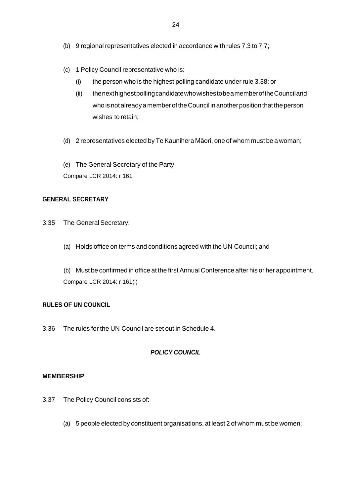- (b) 9 regional representatives elected in accordance with rules 7.3 to 7.7;
- (c) 1 Policy Council representative who is:
	- (i) the person who is the highest polling candidate under rule 3.38; or
	- (ii) thenexthighestpollingcandidatewhowishestobeamemberoftheCounciland whoisnotalreadyamemberoftheCouncil inanotherpositionthattheperson wishes to retain;
- (d) 2 representatives elected by Te Kaunihera Māori, one of whom must be a woman;

(e) The General Secretary of the Party. Compare LCR 2014: r 161

#### **GENERAL SECRETARY**

- 3.35 The General Secretary:
	- (a) Holds office on terms and conditions agreed with the UN Council; and

(b) Must be confirmed in office at the first Annual Conference after his or her appointment. Compare LCR 2014: r 161(l)

#### **RULES OF UN COUNCIL**

3.36 The rules for the UN Council are set out in Schedule 4.

#### *POLICY COUNCIL*

#### **MEMBERSHIP**

- 3.37 The Policy Council consists of:
	- (a) 5 people elected by constituent organisations, at least 2 of whom must be women;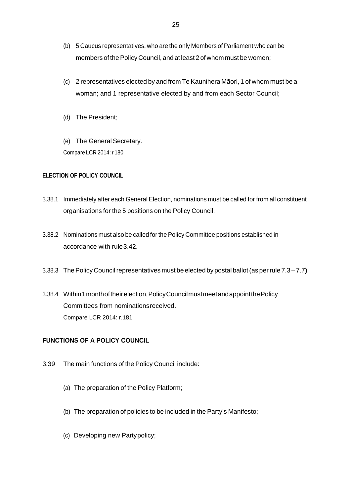- (b) 5 Caucus representatives, who are the only Members of Parliament who can be members of the Policy Council, and at least 2 of whom must be women;
- (c) 2 representatives elected by and from Te Kaunihera Māori, 1 of whom must be a woman; and 1 representative elected by and from each Sector Council;
- (d) The President;

(e) The General Secretary. Compare LCR 2014: r 180

#### **ELECTION OF POLICY COUNCIL**

- 3.38.1 Immediately after each General Election, nominations must be called for from all constituent organisations for the 5 positions on the Policy Council.
- 3.38.2 Nominations must also be called forthe Policy Committee positions established in accordance with rule3.42.
- 3.38.3 ThePolicy Councilrepresentatives must be elected by postal ballot(as perrule 7.3 7.7**)**.

3.38.4 Within 1 month of their election, Policy Council must meet and appoint the Policy Committees from nominationsreceived. Compare LCR 2014: r.181

#### **FUNCTIONS OF A POLICY COUNCIL**

- 3.39 The main functions of the Policy Council include:
	- (a) The preparation of the Policy Platform;
	- (b) The preparation of policies to be included in the Party's Manifesto;
	- (c) Developing new Partypolicy;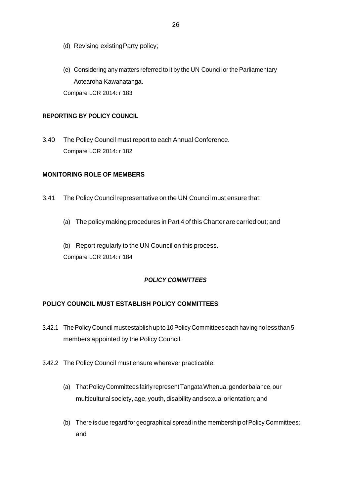- (d) Revising existingParty policy;
- (e) Considering any matters referred to it by the UN Council or the Parliamentary Aotearoha Kawanatanga. Compare LCR 2014: r 183

#### **REPORTING BY POLICY COUNCIL**

3.40 The Policy Council must report to each Annual Conference. Compare LCR 2014: r 182

### **MONITORING ROLE OF MEMBERS**

- 3.41 The Policy Council representative on the UN Council must ensure that:
	- (a) The policy making procedures inPart 4 of this Charter are carried out; and
	- (b) Report regularly to the UN Council on this process. Compare LCR 2014: r 184

## *POLICY COMMITTEES*

## **POLICY COUNCIL MUST ESTABLISH POLICY COMMITTEES**

- 3.42.1 The Policy Council must establish up to 10 Policy Committees each having no less than 5 members appointed by the Policy Council.
- 3.42.2 The Policy Council must ensure wherever practicable:
	- (a) ThatPolicyCommittees fairlyrepresentTangataWhenua,genderbalance,our multicultural society, age, youth, disability and sexual orientation; and
	- (b) There is due regard for geographical spread in the membership of Policy Committees; and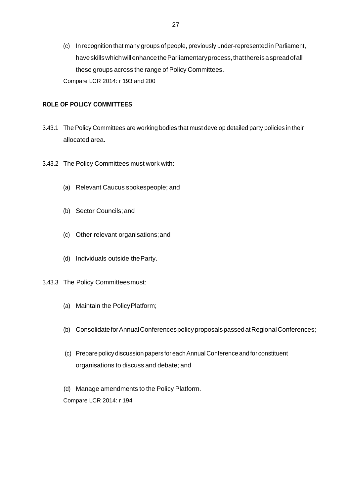(c) In recognition that many groups of people, previously under-represented in Parliament, have skills which will enhance the Parliamentary process, that there is a spread of all these groups across the range of Policy Committees. Compare LCR 2014: r 193 and 200

#### **ROLE OF POLICY COMMITTEES**

- 3.43.1 The Policy Committees are working bodies that must develop detailed party policies in their allocated area.
- 3.43.2 The Policy Committees must work with:
	- (a) Relevant Caucus spokespeople; and
	- (b) Sector Councils; and
	- (c) Other relevant organisations;and
	- (d) Individuals outside theParty.
- 3.43.3 The Policy Committeesmust:
	- (a) Maintain the PolicyPlatform;
	- (b) ConsolidateforAnnualConferencespolicyproposalspassedatRegionalConferences;
	- (c) Preparepolicy discussion papers foreachAnnualConference andfor constituent organisations to discuss and debate; and
	- (d) Manage amendments to the Policy Platform. Compare LCR 2014: r 194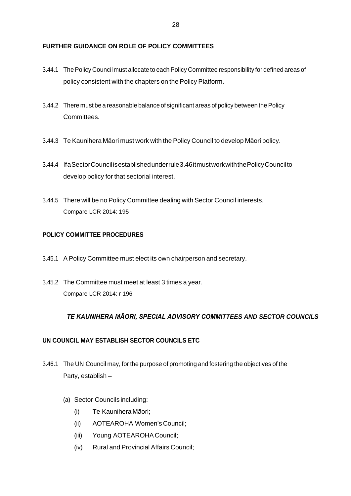### **FURTHER GUIDANCE ON ROLE OF POLICY COMMITTEES**

- 3.44.1 The Policy Council must allocate to each Policy Committee responsibility for defined areas of policy consistent with the chapters on the Policy Platform.
- 3.44.2 There must be a reasonable balance of significant areas of policy between the Policy Committees.
- 3.44.3 Te Kaunihera Māori must work with the Policy Council to develop Māori policy.
- 3.44.4 IfaSectorCouncilisestablishedunderrule3.46itmustworkwiththePolicyCouncilto develop policy for that sectorial interest.
- 3.44.5 There will be no Policy Committee dealing with Sector Council interests. Compare LCR 2014: 195

## **POLICY COMMITTEE PROCEDURES**

- 3.45.1 A Policy Committee must elect its own chairperson and secretary.
- 3.45.2 The Committee must meet at least 3 times a year. Compare LCR 2014: r 196

## *TE KAUNIHERA MĀORI, SPECIAL ADVISORY COMMITTEES AND SECTOR COUNCILS*

#### **UN COUNCIL MAY ESTABLISH SECTOR COUNCILS ETC**

- 3.46.1 The UN Council may, for the purpose of promoting and fostering the objectives of the Party, establish –
	- (a) Sector Councils including:
		- (i) Te Kaunihera Māori;
		- (ii) AOTEAROHA Women's Council;
		- (iii) Young AOTEAROHA Council;
		- (iv) Rural and Provincial Affairs Council;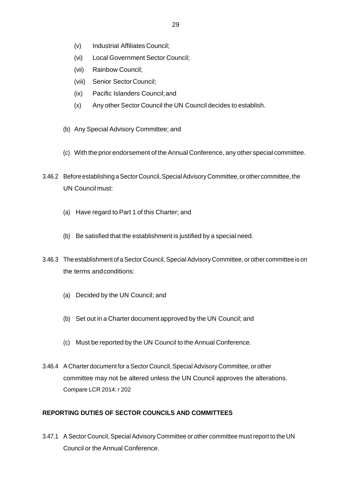- (v) Industrial Affiliates Council;
- (vi) Local Government Sector Council;
- (vii) Rainbow Council;
- (viii) Senior Sector Council;
- (ix) Pacific Islanders Council;and
- (x) Any other Sector Council the UN Council decides to establish.
- (b) Any Special Advisory Committee; and
- (c) With the prior endorsement of the Annual Conference, any other special committee.
- 3.46.2 Before establishing a Sector Council, Special Advisory Committee, or other committee, the UN Council must:
	- (a) Have regard to Part 1 of this Charter; and
	- (b) Be satisfied that the establishment is justified by a special need.
- 3.46.3 The establishment of a Sector Council, Special Advisory Committee, or other committee is on the terms andconditions:
	- (a) Decided by the UN Council; and
	- (b) Set out in a Charter document approved by the UN Council; and
	- (c) Must be reported by the UN Council to the Annual Conference.
- 3.46.4 A Charter document for a Sector Council, Special Advisory Committee, or other committee may not be altered unless the UN Council approves the alterations. Compare LCR 2014: r 202

## **REPORTING DUTIES OF SECTOR COUNCILS AND COMMITTEES**

3.47.1 A Sector Council, Special Advisory Committee or other committee must report to the UN Council or the Annual Conference.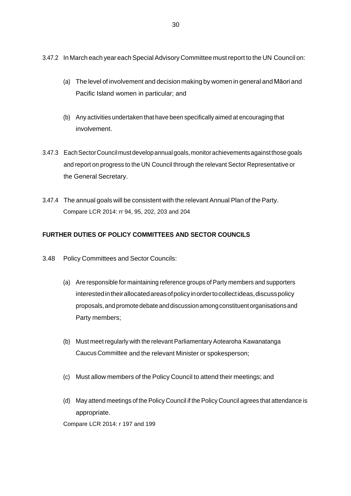- 3.47.2 In March each year each Special Advisory Committee must report to the UN Council on:
	- (a) The level of involvement and decision making by women in general and Māori and Pacific Island women in particular; and
	- (b) Any activities undertaken that have been specifically aimed at encouraging that involvement.
- 3.47.3 Each Sector Council must develop annual goals, monitor achievements against those goals and report on progress to the UN Council through the relevant Sector Representative or the General Secretary.
- 3.47.4 The annual goals will be consistent with the relevant Annual Plan of the Party. Compare LCR 2014: rr 94, 95, 202, 203 and 204

# **FURTHER DUTIES OF POLICY COMMITTEES AND SECTOR COUNCILS**

- 3.48 Policy Committees and Sector Councils:
	- (a) Are responsible for maintaining reference groups of Party members and supporters interestedintheirallocatedareasofpolicyinordertocollectideas,discusspolicy proposals, and promote debate and discussion among constituent organisations and Party members;
	- (b) Must meet regularly with the relevant Parliamentary Aotearoha Kawanatanga Caucus Committee and the relevant Minister or spokesperson;
	- (c) Must allow members of the Policy Council to attend their meetings; and
	- (d) May attend meetings of the Policy Council if the Policy Council agrees that attendance is appropriate.

Compare LCR 2014: r 197 and 199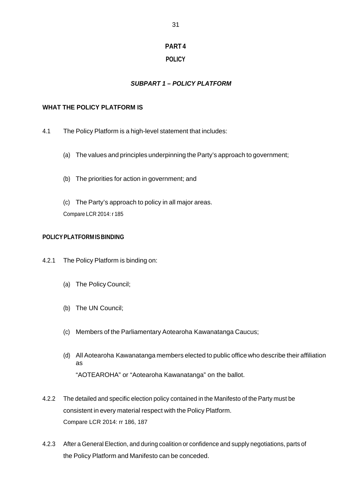# **PART 4**

# **POLICY**

# *SUBPART 1 – POLICY PLATFORM*

### **WHAT THE POLICY PLATFORM IS**

- 4.1 The Policy Platform is a high-level statement that includes:
	- (a) The values and principles underpinning the Party's approach to government;
	- (b) The priorities for action in government; and

(c) The Party's approach to policy in all major areas. Compare LCR 2014: r 185

### **POLICYPLATFORMISBINDING**

- 4.2.1 The Policy Platform is binding on:
	- (a) The Policy Council;
	- (b) The UN Council;
	- (c) Members of the Parliamentary Aotearoha Kawanatanga Caucus;
	- (d) All Aotearoha Kawanatanga members elected to public office who describe their affiliation as "AOTEAROHA" or "Aotearoha Kawanatanga" on the ballot.
- 4.2.2 The detailed and specific election policy contained in the Manifesto of the Party must be consistent in every material respect with the Policy Platform. Compare LCR 2014: rr 186, 187
- 4.2.3 After a General Election, and during coalition or confidence and supply negotiations, parts of the Policy Platform and Manifesto can be conceded.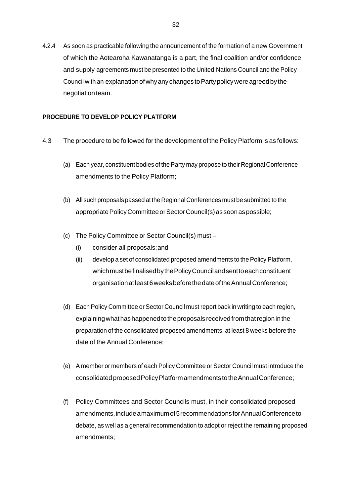4.2.4 As soon as practicable following the announcement of the formation of a new Government of which the Aotearoha Kawanatanga is a part, the final coalition and/or confidence and supply agreements must be presented to the United Nations Council and the Policy Council with an explanation of why any changes to Party policy were agreed by the negotiation team.

#### **PROCEDURE TO DEVELOP POLICY PLATFORM**

- 4.3 The procedure to be followed for the development of the Policy Platform is as follows:
	- (a) Each year, constituent bodies of theParty may propose to their Regional Conference amendments to the Policy Platform;
	- (b) All such proposals passed at the Regional Conferences must be submitted to the appropriate Policy Committee or Sector Council(s) as soon as possible;
	- (c) The Policy Committee or Sector Council(s) must
		- (i) consider all proposals;and
		- (ii) develop a set of consolidated proposed amendments to the Policy Platform, which must be finalised by the Policy Council and sent to each constituent organisationatleast6weeksbeforethedateoftheAnnualConference;
	- (d) Each Policy Committee or Sector Council must report back in writing to each region, explaining what has happened to the proposals received from that region in the preparation of the consolidated proposed amendments, at least 8 weeks before the date of the Annual Conference;
	- (e) A member or members of each Policy Committee or Sector Council must introduce the consolidatedproposedPolicyPlatformamendmentstotheAnnualConference;
	- (f) Policy Committees and Sector Councils must, in their consolidated proposed amendments,includeamaximumof5recommendationsforAnnualConferenceto debate, as well as a general recommendation to adopt or reject the remaining proposed amendments;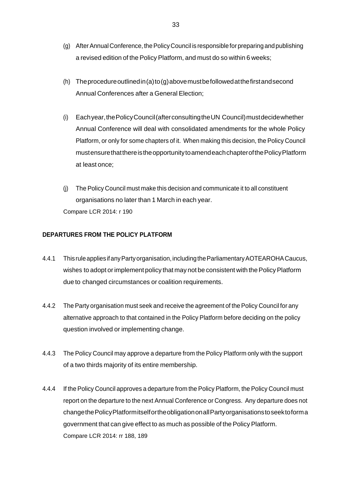- (g) AfterAnnualConference, thePolicyCouncil is responsiblefor preparing and publishing a revised edition of the Policy Platform, and must do so within 6 weeks;
- (h) The procedure outlined in (a) to (g) above must be followed at the first and second Annual Conferences after a General Election;
- (i) Eachyear,thePolicyCouncil(afterconsultingtheUN Council)mustdecidewhether Annual Conference will deal with consolidated amendments for the whole Policy Platform, or only for some chapters of it. When making this decision, the Policy Council mustensurethatthereistheopportunitytoamendeachchapterofthePolicyPlatform at least once;
- (j) The Policy Council must make this decision and communicate it to all constituent organisations no later than 1 March in each year. Compare LCR 2014: r 190

### **DEPARTURES FROM THE POLICY PLATFORM**

- 4.4.1 ThisruleappliesifanyPartyorganisation,includingtheParliamentaryAOTEAROHACaucus, wishes to adopt or implement policy that may not be consistent with the Policy Platform due to changed circumstances or coalition requirements.
- 4.4.2 The Party organisation must seek and receive the agreement of the Policy Council for any alternative approach to that contained in the Policy Platform before deciding on the policy question involved or implementing change.
- 4.4.3 The Policy Council may approve a departure from the Policy Platform only with the support of a two thirds majority of its entire membership.
- 4.4.4 If the Policy Council approves a departure from the Policy Platform, the Policy Council must report on the departure to the next Annual Conference or Congress. Any departure does not changethePolicyPlatformitselfortheobligationonallPartyorganisationstoseektoforma government that can give effect to as much as possible of the Policy Platform. Compare LCR 2014: rr 188, 189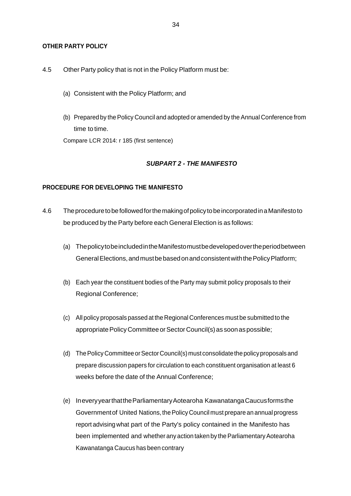#### **OTHER PARTY POLICY**

- 4.5 Other Party policy that is not in the Policy Platform must be:
	- (a) Consistent with the Policy Platform; and
	- (b) Prepared by the Policy Council and adopted or amended by the Annual Conference from time to time.

Compare LCR 2014: r 185 (first sentence)

#### *SUBPART 2 - THE MANIFESTO*

#### **PROCEDURE FOR DEVELOPING THE MANIFESTO**

- 4.6 TheproceduretobefollowedforthemakingofpolicytobeincorporatedinaManifestoto be produced by the Party before each General Election is as follows:
	- (a) ThepolicytobeincludedintheManifestomustbedevelopedovertheperiodbetween General Elections, and must be based on and consistent with the Policy Platform;
	- (b) Each year the constituent bodies of the Party may submit policy proposals to their Regional Conference;
	- (c) All policy proposals passed at the Regional Conferences must be submitted to the appropriate Policy Committee or Sector Council(s) as soon as possible;
	- (d) The Policy Committee or Sector Council(s) must consolidate the policy proposals and prepare discussion papers for circulation to each constituent organisation at least 6 weeks before the date of the Annual Conference;
	- (e) IneveryyearthattheParliamentaryAotearoha KawanatangaCaucusformsthe Governmentof United Nations, thePolicy Council must prepare an annual progress report advising what part of the Party's policy contained in the Manifesto has been implemented and whether any action taken by the Parliamentary Aotearoha Kawanatanga Caucus has been contrary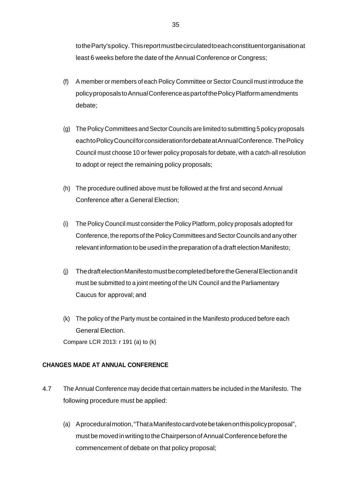totheParty'spolicy. Thisreportmustbecirculatedtoeachconstituentorganisationat least 6 weeks before the date of the Annual Conference or Congress;

- (f) A member or members of each Policy Committee or Sector Council must introduce the policyproposalstoAnnualConferenceaspartofthePolicyPlatformamendments debate;
- (g) The Policy Committees and Sector Councils are limited to submitting 5 policy proposals eachtoPolicyCouncilforconsiderationfordebateatAnnualConference. ThePolicy Council must choose 10 or fewer policy proposals for debate, with a catch-all resolution to adopt or reject the remaining policy proposals;
- (h) The procedure outlined above must be followed at the first and second Annual Conference after a General Election;
- (i) The Policy Council must consider the Policy Platform, policy proposals adopted for Conference, the reports of the Policy Committees and Sector Councils and any other relevant information to be used in the preparation ofa draft election Manifesto;
- (j) ThedraftelectionManifestomustbecompletedbeforetheGeneralElectionandit must be submitted to a joint meeting of the UN Council and the Parliamentary Caucus for approval; and
- (k) The policy of the Party must be contained in the Manifesto produced before each General Election.

Compare LCR 2013: r 191 (a) to (k)

## **CHANGES MADE AT ANNUAL CONFERENCE**

- 4.7 The Annual Conference may decide that certain matters be included in the Manifesto. The following procedure must be applied:
	- (a) Aproceduralmotion,"ThataManifestocardvotebetakenonthispolicyproposal", must be moved in writing to the Chairperson of Annual Conference before the commencement of debate on that policy proposal;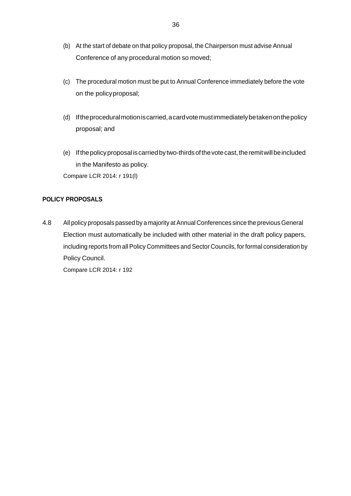- (b) At the start of debate on that policy proposal, the Chairperson must advise Annual Conference of any procedural motion so moved;
- (c) The procedural motion must be put to Annual Conference immediately before the vote on the policyproposal;
- (d) Iftheproceduralmotioniscarried,acardvotemustimmediatelybetakenonthepolicy proposal; and
- (e) If the policy proposal is carried by two-thirds of the vote cast, the remit will be included in the Manifesto as policy. Compare LCR 2014: r 191(l)

### **POLICY PROPOSALS**

4.8 All policy proposals passed by a majority at Annual Conferences since the previous General Election must automatically be included with other material in the draft policy papers, including reports from all Policy Committees and Sector Councils, for formal consideration by Policy Council. Compare LCR 2014: r 192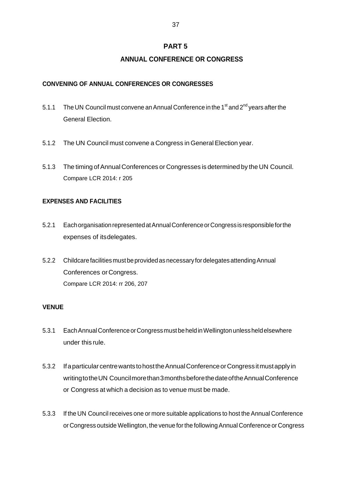#### **PART 5**

# **ANNUAL CONFERENCE OR CONGRESS**

### **CONVENING OF ANNUAL CONFERENCES OR CONGRESSES**

- 5.1.1 The UN Council must convene an Annual Conference in the 1<sup>st</sup> and 2<sup>nd</sup> years after the General Election.
- 5.1.2 The UN Council must convene a Congress in General Election year.
- 5.1.3 The timing ofAnnual Conferences or Congresses is determined by the UN Council. Compare LCR 2014: r 205

### **EXPENSES AND FACILITIES**

- 5.2.1 EachorganisationrepresentedatAnnualConferenceorCongressisresponsibleforthe expenses of itsdelegates.
- 5.2.2 Childcarefacilitiesmust beprovidedasnecessary fordelegatesattendingAnnual Conferences or Congress. Compare LCR 2014: rr 206, 207

## **VENUE**

- 5.3.1 EachAnnualConferenceorCongressmustbeheldinWellingtonunlessheldelsewhere under this rule.
- 5.3.2 IfaparticularcentrewantstohosttheAnnualConferenceorCongress itmustapplyin writingtotheUN Councilmorethan3monthsbeforethedateoftheAnnualConference or Congress at which a decision as to venue must be made.
- 5.3.3 If the UN Council receives one or more suitable applications to host the Annual Conference or Congress outside Wellington, the venue forthe followingAnnual Conference or Congress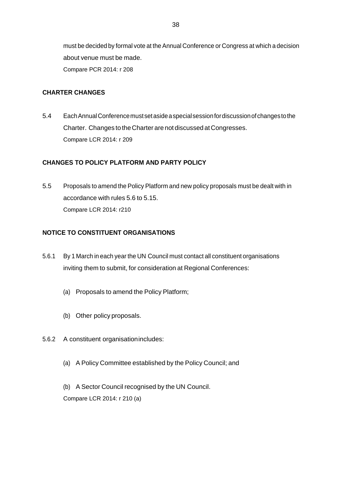must be decided by formal vote at the Annual Conference or Congress at which a decision about venue must be made. Compare PCR 2014: r 208

#### **CHARTER CHANGES**

5.4 EachAnnualConferencemustsetasideaspecialsessionfordiscussionofchangestothe Charter. Changes to theCharter are not discussed at Congresses. Compare LCR 2014: r 209

## **CHANGES TO POLICY PLATFORM AND PARTY POLICY**

5.5 Proposals to amend the Policy Platform and new policy proposals must be dealt with in accordance with rules 5.6 to 5.15. Compare LCR 2014: r210

# **NOTICE TO CONSTITUENT ORGANISATIONS**

- 5.6.1 By 1 March in each year the UN Council must contact all constituent organisations inviting them to submit, for consideration at Regional Conferences:
	- (a) Proposals to amend the Policy Platform;
	- (b) Other policy proposals.
- 5.6.2 A constituent organisationincludes:
	- (a) A Policy Committee established by the Policy Council; and

(b) A Sector Council recognised by the UN Council. Compare LCR 2014: r 210 (a)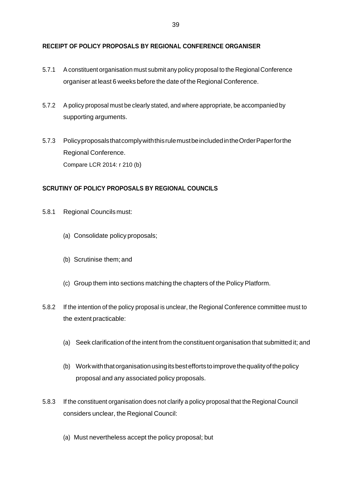### **RECEIPT OF POLICY PROPOSALS BY REGIONAL CONFERENCE ORGANISER**

- 5.7.1 Aconstituent organisation must submit any policy proposal to the Regional Conference organiser at least 6 weeks before the date of the Regional Conference.
- 5.7.2 A policy proposal must be clearly stated, and where appropriate, be accompanied by supporting arguments.
- 5.7.3 PolicyproposalsthatcomplywiththisrulemustbeincludedintheOrderPaperforthe Regional Conference. Compare LCR 2014: r 210 (b)

### **SCRUTINY OF POLICY PROPOSALS BY REGIONAL COUNCILS**

- 5.8.1 Regional Councils must:
	- (a) Consolidate policy proposals;
	- (b) Scrutinise them; and
	- (c) Group them into sections matching the chapters of the Policy Platform.
- 5.8.2 If the intention of the policy proposal is unclear, the Regional Conference committee must to the extent practicable:
	- (a) Seek clarification of the intent from the constituent organisation that submitted it; and
	- (b) Workwiththatorganisationusingitsbesteffortstoimprovethequalityofthepolicy proposal and any associated policy proposals.
- 5.8.3 If the constituent organisation does not clarify a policy proposal that the Regional Council considers unclear, the Regional Council:
	- (a) Must nevertheless accept the policy proposal; but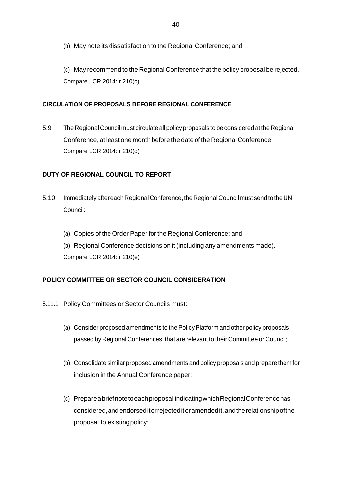(b) May note its dissatisfaction to the Regional Conference; and

(c) May recommend to the Regional Conference that the policy proposal be rejected. Compare LCR 2014: r 210(c)

## **CIRCULATION OF PROPOSALS BEFORE REGIONAL CONFERENCE**

5.9 The Regional Council must circulate allpolicy proposals to be considered at theRegional Conference, at least one month before the date of the Regional Conference. Compare LCR 2014: r 210(d)

## **DUTY OF REGIONAL COUNCIL TO REPORT**

- 5.10 ImmediatelyaftereachRegionalConference,theRegionalCouncil must sendtotheUN Council:
	- (a) Copies of the Order Paper for the Regional Conference; and

(b) Regional Conference decisions on it (including any amendments made). Compare LCR 2014: r 210(e)

## **POLICY COMMITTEE OR SECTOR COUNCIL CONSIDERATION**

- 5.11.1 Policy Committees or Sector Councils must:
	- (a) Consider proposed amendments to thePolicyPlatform and other policy proposals passed by Regional Conferences, that are relevant to their Committee or Council;
	- (b) Consolidate similar proposed amendments and policy proposals and prepare them for inclusion in the Annual Conference paper;
	- (c) Prepareabriefnotetoeachproposal indicatingwhichRegionalConferencehas considered,andendorseditorrejecteditoramendedit,andtherelationshipofthe proposal to existingpolicy;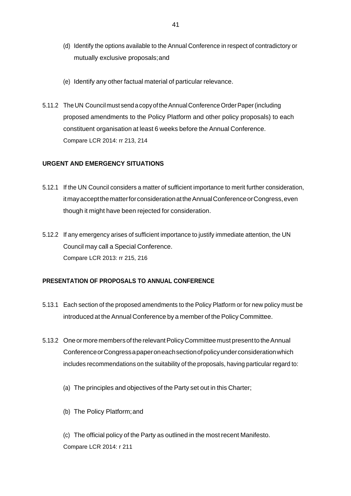- (d) Identify the options available to the Annual Conference in respect of contradictory or mutually exclusive proposals;and
- (e) Identify any other factual material of particular relevance.
- 5.11.2 The UN Council must send a copy of the Annual Conference Order Paper (including proposed amendments to the Policy Platform and other policy proposals) to each constituent organisation at least 6 weeks before the Annual Conference. Compare LCR 2014: rr 213, 214

### **URGENT AND EMERGENCY SITUATIONS**

- 5.12.1 If the UN Council considers a matter of sufficient importance to merit further consideration, itmayacceptthematterforconsiderationattheAnnualConferenceorCongress,even though it might have been rejected for consideration.
- 5.12.2 If any emergency arises of sufficient importance to justify immediate attention, the UN Council may call a Special Conference. Compare LCR 2013: rr 215, 216

#### **PRESENTATION OF PROPOSALS TO ANNUAL CONFERENCE**

- 5.13.1 Each section of the proposed amendments to the Policy Platform or for new policy must be introduced at the Annual Conference by a member of the Policy Committee.
- 5.13.2 One or more members of the relevant Policy Committee must present to the Annual ConferenceorCongressapaperoneachsectionofpolicyunderconsiderationwhich includes recommendations on the suitability of the proposals, having particular regard to:
	- (a) The principles and objectives of the Party set out in this Charter;
	- (b) The Policy Platform;and

(c) The official policy of the Party as outlined in the most recent Manifesto. Compare LCR 2014: r 211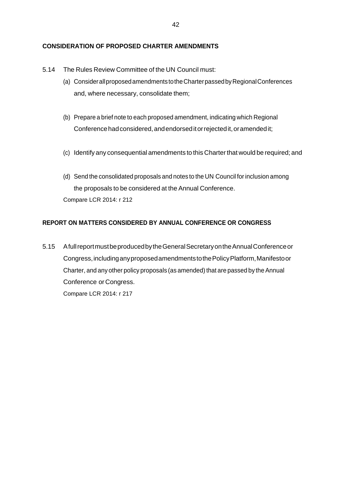#### **CONSIDERATION OF PROPOSED CHARTER AMENDMENTS**

- 5.14 The Rules Review Committee of the UN Council must:
	- (a) ConsiderallproposedamendmentstotheCharterpassedbyRegionalConferences and, where necessary, consolidate them;
	- (b) Prepare a brief note to each proposed amendment, indicating which Regional Conference had considered, and endorsed it or rejected it, or amended it;
	- (c) Identify any consequential amendments to this Charterthat would be required; and
	- (d) Send the consolidated proposals and notes to the UN Council forinclusion among the proposals to be considered at the Annual Conference. Compare LCR 2014: r 212

### **REPORT ON MATTERS CONSIDERED BY ANNUAL CONFERENCE OR CONGRESS**

5.15 AfullreportmustbeproducedbytheGeneralSecretaryontheAnnualConferenceor Congress,includinganyproposedamendmentstothePolicyPlatform,Manifestoor Charter, and any other policy proposals (as amended) that are passed by the Annual Conference or Congress. Compare LCR 2014: r 217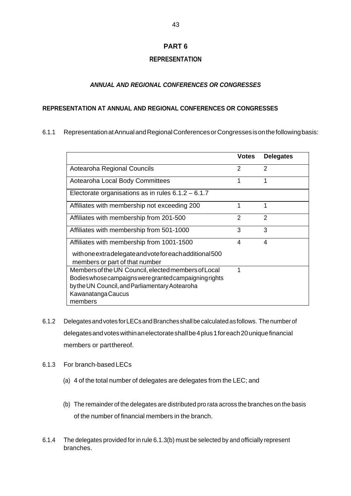## **PART 6**

## **REPRESENTATION**

### *ANNUAL AND REGIONAL CONFERENCES OR CONGRESSES*

#### **REPRESENTATION AT ANNUAL AND REGIONAL CONFERENCES OR CONGRESSES**

#### 6.1.1 RepresentationatAnnualandRegionalConferencesorCongressesisonthefollowingbasis:

|                                                                                                                                                                                                  | <b>Votes</b>   | <b>Delegates</b> |
|--------------------------------------------------------------------------------------------------------------------------------------------------------------------------------------------------|----------------|------------------|
| Aotearoha Regional Councils                                                                                                                                                                      | $\mathcal{P}$  | $\mathfrak{p}$   |
| Aotearoha Local Body Committees                                                                                                                                                                  | 1              | 1                |
| Electorate organisations as in rules $6.1.2 - 6.1.7$                                                                                                                                             |                |                  |
| Affiliates with membership not exceeding 200                                                                                                                                                     | 1              | 1                |
| Affiliates with membership from 201-500                                                                                                                                                          | $\overline{2}$ | $\mathfrak{p}$   |
| Affiliates with membership from 501-1000                                                                                                                                                         | 3              | 3                |
| Affiliates with membership from 1001-1500<br>withone extradelegate and vote for each additional 500<br>members or part of that number                                                            | 4              | 4                |
| Members of the UN Council, elected members of Local<br>Bodies whose campaigns were granted campaigning rights<br>by the UN Council, and Parliamentary Aotearoha<br>Kawanatanga Caucus<br>members | 1              |                  |

- 6.1.2 DelegatesandvotesforLECsandBranchesshallbecalculatedas follows. Thenumberof delegatesandvoteswithinanelectorateshallbe4plus1foreach20uniquefinancial members or partthereof.
- 6.1.3 For branch-based LECs
	- (a) 4 of the total number of delegates are delegates from the LEC; and
	- (b) The remainder of the delegates are distributed pro rata across the branches on the basis of the number of financial members in the branch.
- 6.1.4 The delegates provided for in rule 6.1.3(b) must be selected by and officially represent branches.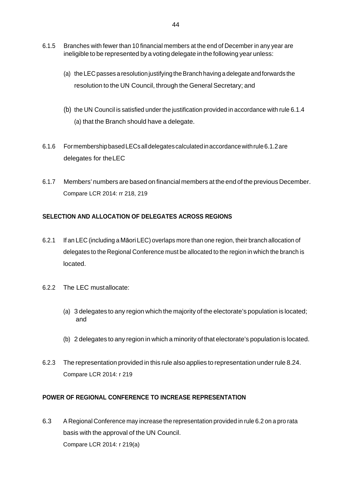- 6.1.5 Branches with fewer than 10 financial members at the end of December in any year are ineligible to be represented by a voting delegate in the following year unless:
	- (a) the LEC passes a resolution justifying the Branch having a delegate and forwards the resolution to the UN Council, through the General Secretary; and
	- (b) the UN Council is satisfied under the justification provided in accordance with rule 6.1.4 (a) that the Branch should have a delegate.
- 6.1.6 FormembershipbasedLECsalldelegatescalculatedinaccordancewithrule6.1.2are delegates for theLEC
- 6.1.7 Members' numbers are based on financial members at the end of the previous December. Compare LCR 2014: rr 218, 219

## **SELECTION AND ALLOCATION OF DELEGATES ACROSS REGIONS**

- 6.2.1 If an LEC (including a Māori LEC) overlaps more than one region, their branch allocation of delegates to the Regional Conference must be allocated to the region in which the branch is located.
- 6.2.2 The LEC mustallocate:
	- (a) 3 delegates to any region which the majority of the electorate's population is located; and
	- (b) 2 delegates to any region in which a minority of that electorate's population is located.
- 6.2.3 The representation provided in this rule also applies to representation under rule 8.24. Compare LCR 2014: r 219

### **POWER OF REGIONAL CONFERENCE TO INCREASE REPRESENTATION**

6.3 A Regional Conference may increase the representation provided in rule 6.2 on a pro rata basis with the approval of the UN Council. Compare LCR 2014: r 219(a)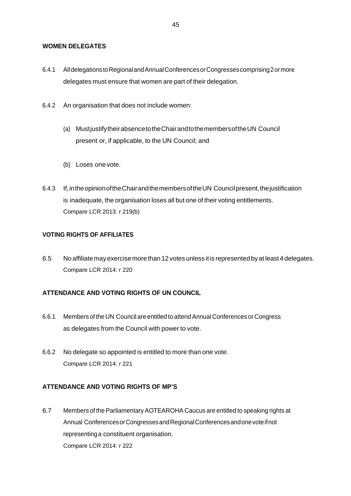#### **WOMEN DELEGATES**

- 6.4.1 AlldelegationstoRegionalandAnnualConferencesorCongressescomprising2ormore delegates must ensure that women are part of their delegation.
- 6.4.2 An organisation that does not include women:
	- (a) MustjustifytheirabsencetotheChairandtothemembersoftheUN Council present or, if applicable, to the UN Council; and
	- (b) Loses one vote.
- 6.4.3 If,intheopinionoftheChairandthemembersoftheUN Councilpresent,thejustification is inadequate, the organisation loses all but one of their voting entitlements. Compare LCR 2013: r 219(b)

### **VOTING RIGHTS OF AFFILIATES**

6.5 No affiliate may exercise more than 12 votes unless itis represented by at least 4 delegates. Compare LCR 2014: r 220

## **ATTENDANCE AND VOTING RIGHTS OF UN COUNCIL**

- 6.6.1 Members of the UN Council are entitled to attendAnnual Conferences or Congress as delegates from the Council with power to vote.
- 6.6.2 No delegate so appointed is entitled to more than one vote. Compare LCR 2014: r 221

## **ATTENDANCE AND VOTING RIGHTS OF MP'S**

6.7 Members of the Parliamentary AOTEAROHA Caucus are entitled to speaking rights at Annual ConferencesorCongressesandRegionalConferencesandonevoteifnot representinga constituent organisation. Compare LCR 2014: r 222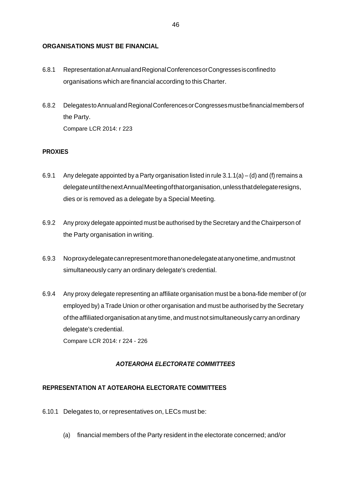#### **ORGANISATIONS MUST BE FINANCIAL**

- 6.8.1 RepresentationatAnnualandRegionalConferencesorCongressesisconfinedto organisations which are financial according to this Charter.
- 6.8.2 DelegatestoAnnualandRegionalConferencesorCongressesmustbefinancialmembersof the Party. Compare LCR 2014: r 223

#### **PROXIES**

- 6.9.1 Any delegate appointed by a Party organisation listed in rule  $3.1.1(a) (d)$  and (f) remains a delegate until the next Annual Meeting of that organisation, unless that delegate resigns, dies or is removed as a delegate by a Special Meeting.
- 6.9.2 Any proxy delegate appointed must be authorised by the Secretary and the Chairperson of the Party organisation in writing.
- 6.9.3 Noproxydelegatecanrepresentmorethanonedelegateatanyonetime,andmustnot simultaneously carry an ordinary delegate's credential.
- 6.9.4 Any proxy delegate representing an affiliate organisation must be a bona-fide member of (or employed by) a Trade Union or other organisation and must be authorised by the Secretary of the affiliated organisation at any time, and must not simultaneously carry an ordinary delegate's credential. Compare LCR 2014: r 224 - 226

*AOTEAROHA ELECTORATE COMMITTEES*

#### **REPRESENTATION AT AOTEAROHA ELECTORATE COMMITTEES**

- 6.10.1 Delegates to, or representatives on, LECs must be:
	- (a) financial members of the Party resident in the electorate concerned; and/or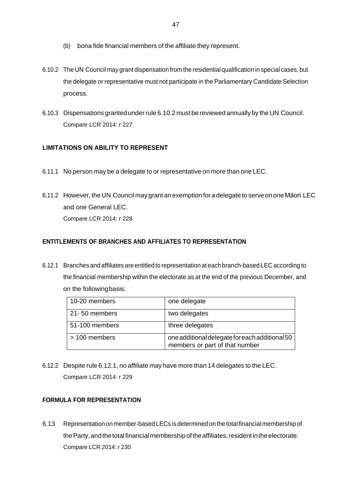- (b) bona fide financial members of the affiliate they represent.
- 6.10.2 The UN Council may grant dispensation from the residential qualification in special cases, but the delegate or representative must not participate in the Parliamentary Candidate Selection process.
- 6.10.3 Dispensations granted underrule 6.10.2 must be reviewed annually by the UN Council. Compare LCR 2014: r 227

## **LIMITATIONS ON ABILITY TO REPRESENT**

- 6.11.1 No person may be a delegate to or representative on more than one LEC.
- 6.11.2 However, theUN Council may grant anexemption fora delegate to serve onone Māori LEC and one General LEC. Compare LCR 2014: r 228

### **ENTITLEMENTS OF BRANCHES AND AFFILIATES TO REPRESENTATION**

6.12.1 Branches and affiliates are entitled to representation at each branch-based LEC according to the financial membership within the electorate as at the end of the previous December, and on the followingbasis:

| 10-20 members  | one delegate                                                                     |
|----------------|----------------------------------------------------------------------------------|
| 21-50 members  | two delegates                                                                    |
| 51-100 members | three delegates                                                                  |
| > 100 members  | one additional delegate for each additional 50<br>members or part of that number |

6.12.2 Despite rule 6.12.1, no affiliate may have more than 14 delegates to the LEC. Compare LCR 2014: r 229

## **FORMULA FOR REPRESENTATION**

6.13 Representation on member-based LECs is determined on the total financial membership of the Party, and the total financial membership of the affiliates, resident in the electorate. Compare LCR 2014: r 230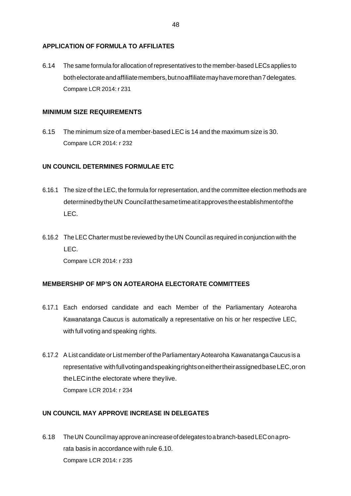#### **APPLICATION OF FORMULA TO AFFILIATES**

6.14 The same formula for allocation of representatives to the member-based LECs applies to both electorate and affiliate members, but no affiliate may have more than 7 delegates. Compare LCR 2014: r 231

#### **MINIMUM SIZE REQUIREMENTS**

6.15 The minimum size of a member-based LEC is 14 and the maximum size is 30. Compare LCR 2014: r 232

## **UN COUNCIL DETERMINES FORMULAE ETC**

- 6.16.1 The size of the LEC, the formula for representation, and the committee election methods are determinedbytheUN Councilatthesametimeatitapprovestheestablishmentofthe LEC.
- 6.16.2 The LEC Charter must be reviewed by the UN Council as required in conjunction with the LEC. Compare LCR 2014: r 233

## **MEMBERSHIP OF MP'S ON AOTEAROHA ELECTORATE COMMITTEES**

- 6.17.1 Each endorsed candidate and each Member of the Parliamentary Aotearoha Kawanatanga Caucus is automatically a representative on his or her respective LEC, with full voting and speaking rights.
- 6.17.2 AList candidate or List member of theParliamentaryAotearoha Kawanatanga Caucus is a representative withfullvotingandspeakingrightsoneithertheirassignedbaseLEC,oron theLECinthe electorate where theylive. Compare LCR 2014: r 234

# **UN COUNCIL MAY APPROVE INCREASE IN DELEGATES**

6.18 TheUN Councilmayapproveanincreaseofdelegatestoabranch-basedLEConaprorata basis in accordance with rule 6.10. Compare LCR 2014: r 235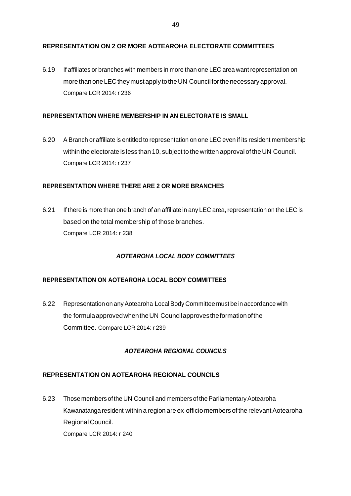### **REPRESENTATION ON 2 OR MORE AOTEAROHA ELECTORATE COMMITTEES**

6.19 If affiliates or branches with members in more than one LEC area want representation on more than one LEC they must apply to the UN Council for the necessary approval. Compare LCR 2014: r 236

### **REPRESENTATION WHERE MEMBERSHIP IN AN ELECTORATE IS SMALL**

6.20 A Branch or affiliate is entitled to representation on one LEC even if its resident membership within the electorate is less than 10, subject to the written approval of the UN Council. Compare LCR 2014: r 237

### **REPRESENTATION WHERE THERE ARE 2 OR MORE BRANCHES**

6.21 If there is more than one branch of an affiliate in any LEC area, representation on the LEC is based on the total membership of those branches. Compare LCR 2014: r 238

# *AOTEAROHA LOCAL BODY COMMITTEES*

#### **REPRESENTATION ON AOTEAROHA LOCAL BODY COMMITTEES**

6.22 Representation on anyAotearoha LocalBody Committee must be in accordance with the formulaapprovedwhentheUN Councilapprovestheformationofthe Committee. Compare LCR 2014: r 239

#### *AOTEAROHA REGIONAL COUNCILS*

#### **REPRESENTATION ON AOTEAROHA REGIONAL COUNCILS**

6.23 Those members of the UN Council and members of the Parliamentary Aotearoha Kawanatanga resident within a region are ex-officio members of the relevant Aotearoha Regional Council. Compare LCR 2014: r 240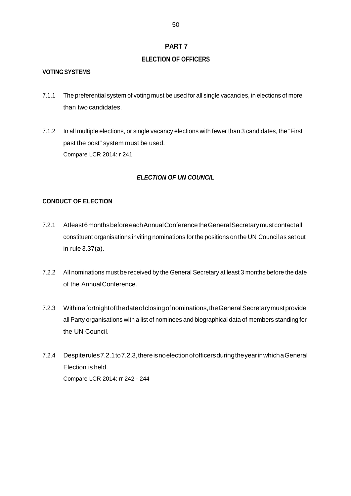### **PART 7**

# **ELECTION OF OFFICERS**

#### **VOTINGSYSTEMS**

- 7.1.1 The preferential system of voting must be used for all single vacancies, in elections of more than two candidates.
- 7.1.2 In all multiple elections, or single vacancy elections with fewer than 3 candidates, the "First past the post" system must be used. Compare LCR 2014: r 241

### *ELECTION OF UN COUNCIL*

### **CONDUCT OF ELECTION**

- 7.2.1 Atleast6monthsbeforeeachAnnualConferencetheGeneralSecretarymustcontactall constituent organisations inviting nominations for the positions on the UN Council as set out in rule 3.37(a).
- 7.2.2 All nominations must be received by the General Secretary at least 3 months before the date of the AnnualConference.
- 7.2.3 Withinafortnightofthedateofclosingofnominations,theGeneralSecretarymustprovide all Party organisations with a list of nominees and biographical data of members standing for the UN Council.
- 7.2.4 Despiterules7.2.1to7.2.3,thereisnoelectionofofficersduringtheyearinwhichaGeneral Election is held. Compare LCR 2014: rr 242 - 244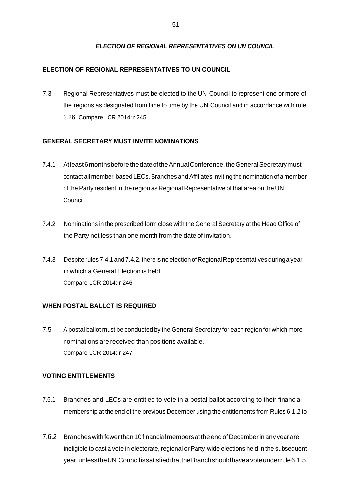## *ELECTION OF REGIONAL REPRESENTATIVES ON UN COUNCIL*

#### **ELECTION OF REGIONAL REPRESENTATIVES TO UN COUNCIL**

7.3 Regional Representatives must be elected to the UN Council to represent one or more of the regions as designated from time to time by the UN Council and in accordance with rule 3.26. Compare LCR 2014: r 245

#### **GENERAL SECRETARY MUST INVITE NOMINATIONS**

- 7.4.1 Atleast6 months before the date of the Annual Conference, the General Secretary must contact all member-based LECs, Branches and Affiliates inviting the nomination of a member of the Party resident in the region as Regional Representative of that area on the UN Council.
- 7.4.2 Nominations in the prescribed form close with the General Secretary at the Head Office of the Party not less than one month from the date of invitation.
- 7.4.3 Despite rules 7.4.1 and7.4.2, there is no election of Regional Representatives during a year in which a General Election is held. Compare LCR 2014: r 246

#### **WHEN POSTAL BALLOT IS REQUIRED**

7.5 A postal ballot must be conducted by the General Secretary for each region for which more nominations are received than positions available. Compare LCR 2014: r 247

#### **VOTING ENTITLEMENTS**

- 7.6.1 Branches and LECs are entitled to vote in a postal ballot according to their financial membership at the end of the previous December using the entitlements from Rules 6.1.2 to
- 7.6.2 Branches with fewer than 10 financial members at the end of December in any year are ineligible to cast a vote in electorate, regional or Party-wide elections held in the subsequent year,unlesstheUN CouncilissatisfiedthattheBranchshouldhaveavoteunderrule6.1.5.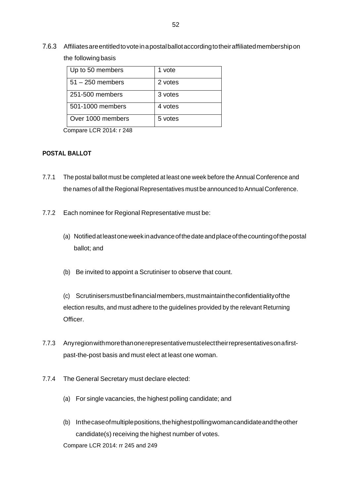7.6.3 Affiliatesareentitledtovoteinapostalballotaccordingtotheiraffiliatedmembershipon the following basis

| Up to 50 members   | 1 vote  |
|--------------------|---------|
| $51 - 250$ members | 2 votes |
| 251-500 members    | 3 votes |
| 501-1000 members   | 4 votes |
| Over 1000 members  | 5 votes |

Compare LCR 2014: r 248

#### **POSTAL BALLOT**

- 7.7.1 The postal ballot must be completed at least one week before the Annual Conference and the names of all the Regional Representatives must be announced to Annual Conference.
- 7.7.2 Each nominee for Regional Representative must be:
	- (a) Notifiedatleastoneweekinadvanceofthedateandplaceofthecountingofthepostal ballot; and
	- (b) Be invited to appoint a Scrutiniser to observe that count.

(c) Scrutinisersmustbefinancialmembers,mustmaintaintheconfidentialityofthe election results, and must adhere to the guidelines provided by the relevant Returning Officer.

- 7.7.3 Anyregionwithmorethanonerepresentativemustelecttheirrepresentativesonafirstpast-the-post basis and must elect at least one woman.
- 7.7.4 The General Secretary must declare elected:
	- (a) For single vacancies, the highest polling candidate; and
	- (b) Inthecaseofmultiplepositions,thehighestpollingwomancandidateandtheother candidate(s) receiving the highest number of votes. Compare LCR 2014: rr 245 and 249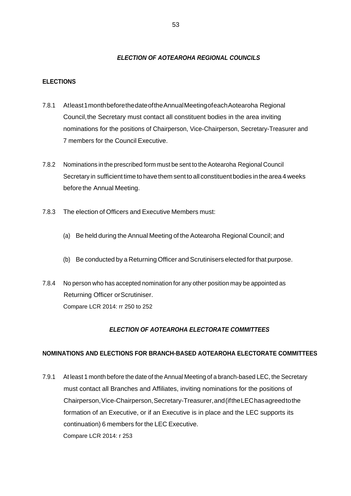#### *ELECTION OF AOTEAROHA REGIONAL COUNCILS*

#### **ELECTIONS**

- 7.8.1 Atleast1monthbeforethedateoftheAnnualMeetingofeachAotearoha Regional Council,the Secretary must contact all constituent bodies in the area inviting nominations for the positions of Chairperson, Vice-Chairperson, Secretary-Treasurer and 7 members for the Council Executive.
- 7.8.2 Nominations in the prescribed form must be sent to the Aotearoha Regional Council Secretary in sufficient time to have them sent to all constituent bodies in the area 4 weeks before the Annual Meeting.
- 7.8.3 The election of Officers and Executive Members must:
	- (a) Be held during the Annual Meeting of the Aotearoha Regional Council; and
	- (b) Be conducted by a Returning Officer and Scrutinisers elected for that purpose.
- 7.8.4 No person who has accepted nomination for any other position may be appointed as Returning Officer orScrutiniser. Compare LCR 2014: rr 250 to 252

#### *ELECTION OF AOTEAROHA ELECTORATE COMMITTEES*

#### **NOMINATIONS AND ELECTIONS FOR BRANCH-BASED AOTEAROHA ELECTORATE COMMITTEES**

7.9.1 At least 1 month before the date of the Annual Meeting of a branch-based LEC, the Secretary must contact all Branches and Affiliates, inviting nominations for the positions of Chairperson,Vice-Chairperson,Secretary-Treasurer,and(iftheLEChasagreedtothe formation of an Executive, or if an Executive is in place and the LEC supports its continuation) 6 members for the LEC Executive. Compare LCR 2014: r 253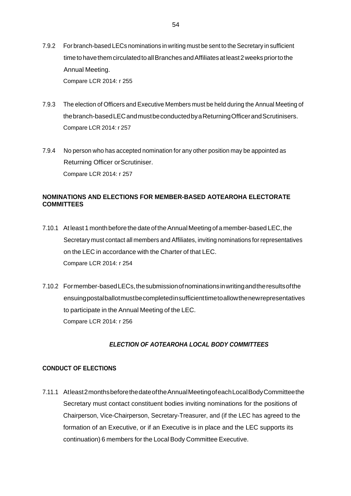- 7.9.2 For branch-based LECs nominations in writing must be sent to the Secretary in sufficient time to have them circulated to all Branches and Affiliates at least 2 weeks prior to the Annual Meeting. Compare LCR 2014: r 255
- 7.9.3 The election of Officers and Executive Members must be held during the Annual Meeting of thebranch-basedLECandmustbeconductedbyaReturningOfficerandScrutinisers. Compare LCR 2014: r 257
- 7.9.4 No person who has accepted nomination for any other position may be appointed as Returning Officer orScrutiniser. Compare LCR 2014: r 257

### **NOMINATIONS AND ELECTIONS FOR MEMBER-BASED AOTEAROHA ELECTORATE COMMITTEES**

- 7.10.1 At least 1 month before the date of the Annual Meeting of a member-based LEC, the Secretary must contact all members and Affiliates, inviting nominations for representatives on the LEC in accordance with the Charter of that LEC. Compare LCR 2014: r 254
- 7.10.2 Formember-basedLECs,thesubmissionofnominationsinwritingandtheresultsofthe ensuingpostalballotmustbecompletedinsufficienttimetoallowthenewrepresentatives to participate in the Annual Meeting of the LEC. Compare LCR 2014: r 256

## *ELECTION OF AOTEAROHA LOCAL BODY COMMITTEES*

#### **CONDUCT OF ELECTIONS**

7.11.1 Atleast2monthsbeforethedateoftheAnnualMeetingofeachLocalBodyCommitteethe Secretary must contact constituent bodies inviting nominations for the positions of Chairperson, Vice-Chairperson, Secretary-Treasurer, and (if the LEC has agreed to the formation of an Executive, or if an Executive is in place and the LEC supports its continuation) 6 members for the Local Body Committee Executive.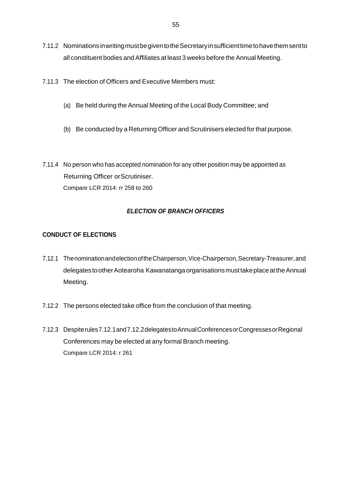- 7.11.2 NominationsinwritingmustbegiventotheSecretaryinsufficienttimetohavethemsentto all constituent bodies and Affiliates at least 3 weeks before the Annual Meeting.
- 7.11.3 The election of Officers and Executive Members must:
	- (a) Be held during the Annual Meeting of the Local Body Committee; and
	- (b) Be conducted by a Returning Officer and Scrutinisers elected for that purpose.
- 7.11.4 No person who has accepted nomination for any other position may be appointed as Returning Officer orScrutiniser. Compare LCR 2014: rr 258 to 260

#### *ELECTION OF BRANCH OFFICERS*

#### **CONDUCT OF ELECTIONS**

- 7.12.1 Thenomination and election of the Chairperson, Vice-Chairperson, Secretary-Treasurer, and delegates to other Aotearoha Kawanatanga organisations must take place at the Annual Meeting.
- 7.12.2 The persons elected take office from the conclusion of that meeting.
- 7.12.3 Despiterules7.12.1and7.12.2delegatestoAnnualConferencesorCongressesorRegional Conferences may be elected at any formal Branch meeting. Compare LCR 2014: r 261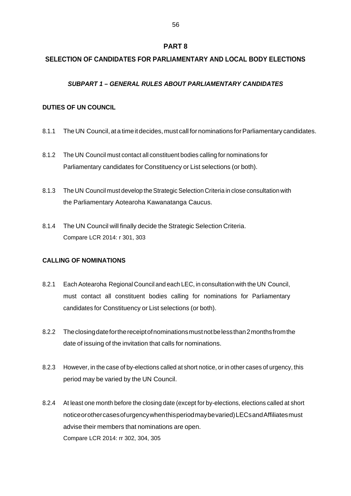#### **PART 8**

# **SELECTION OF CANDIDATES FOR PARLIAMENTARY AND LOCAL BODY ELECTIONS**

### *SUBPART 1 – GENERAL RULES ABOUT PARLIAMENTARY CANDIDATES*

### **DUTIES OF UN COUNCIL**

- 8.1.1 The UN Council, at a time it decides, must call for nominations for Parliamentary candidates.
- 8.1.2 The UN Council must contact all constituent bodies calling for nominations for Parliamentary candidates for Constituency or List selections (or both).
- 8.1.3 The UN Council must develop the Strategic Selection Criteria in close consultation with the Parliamentary Aotearoha Kawanatanga Caucus.
- 8.1.4 The UN Council will finally decide the Strategic Selection Criteria. Compare LCR 2014: r 301, 303

#### **CALLING OF NOMINATIONS**

- 8.2.1 Each Aotearoha Regional Council and each LEC, in consultation with the UN Council, must contact all constituent bodies calling for nominations for Parliamentary candidates for Constituency or List selections (or both).
- 8.2.2 Theclosingdateforthereceiptofnominationsmustnotbelessthan2monthsfromthe date of issuing of the invitation that calls for nominations.
- 8.2.3 However, in the case of by-elections called at short notice, or in other cases of urgency, this period may be varied by the UN Council.
- 8.2.4 At least one month before the closing date (except for by-elections, elections called at short noticeorothercasesofurgencywhenthisperiodmaybevaried)LECsandAffiliatesmust advise their members that nominations are open. Compare LCR 2014: rr 302, 304, 305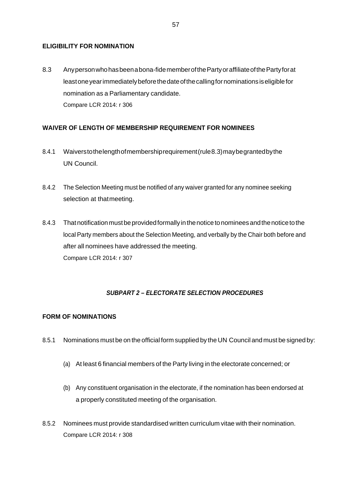### **ELIGIBILITY FOR NOMINATION**

8.3 Anypersonwhohasbeenabona-fidememberofthePartyoraffiliateofthePartyforat least one year immediately before the date of the calling for nominations is eligible for nomination as a Parliamentary candidate. Compare LCR 2014: r 306

## **WAIVER OF LENGTH OF MEMBERSHIP REQUIREMENT FOR NOMINEES**

- 8.4.1 Waiverstothelengthofmembershiprequirement(rule8.3)maybegrantedbythe UN Council.
- 8.4.2 The Selection Meeting must be notified of any waiver granted for any nominee seeking selection at thatmeeting.
- 8.4.3 Thatnotificationmustbeprovidedformallyinthenoticetonomineesandthenoticetothe local Party members about the Selection Meeting, and verbally by the Chair both before and after all nominees have addressed the meeting. Compare LCR 2014: r 307

## *SUBPART 2 – ELECTORATE SELECTION PROCEDURES*

## **FORM OF NOMINATIONS**

- 8.5.1 Nominations must be on the official form supplied by the UN Council and must be signed by:
	- (a) At least 6 financial members of the Party living in the electorate concerned; or
	- (b) Any constituent organisation in the electorate, if the nomination has been endorsed at a properly constituted meeting of the organisation.
- 8.5.2 Nominees must provide standardised written curriculum vitae with their nomination. Compare LCR 2014: r 308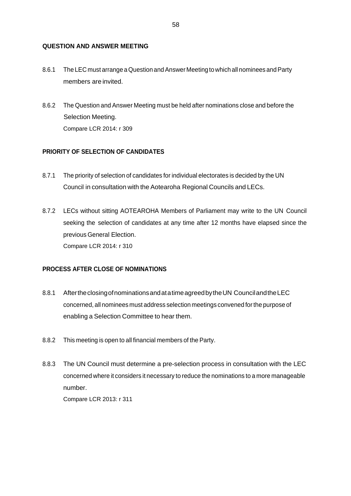#### **QUESTION AND ANSWER MEETING**

- 8.6.1 The LEC must arrange a Question and Answer Meeting to which all nominees and Party members are invited.
- 8.6.2 The Question and Answer Meeting must be held after nominations close and before the Selection Meeting. Compare LCR 2014: r 309

## **PRIORITY OF SELECTION OF CANDIDATES**

- 8.7.1 The priority of selection of candidates for individual electorates is decided by the UN Council in consultation with the Aotearoha Regional Councils and LECs.
- 8.7.2 LECs without sitting AOTEAROHA Members of Parliament may write to the UN Council seeking the selection of candidates at any time after 12 months have elapsed since the previous General Election. Compare LCR 2014: r 310

## **PROCESS AFTER CLOSE OF NOMINATIONS**

- 8.8.1 AftertheclosingofnominationsandatatimeagreedbytheUN CouncilandtheLEC concerned, all nominees must address selection meetings convened forthe purpose of enabling a Selection Committee to hear them.
- 8.8.2 This meeting is open to all financial members of the Party.
- 8.8.3 The UN Council must determine a pre-selection process in consultation with the LEC concerned where it considers it necessary to reduce the nominations to a more manageable number.

Compare LCR 2013: r 311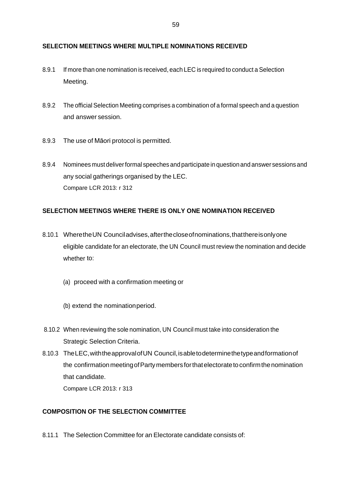#### **SELECTION MEETINGS WHERE MULTIPLE NOMINATIONS RECEIVED**

- 8.9.1 If more than one nomination is received, each LEC is required to conduct a Selection Meeting.
- 8.9.2 The official Selection Meeting comprises a combination of a formal speech and a question and answer session.
- 8.9.3 The use of Māori protocol is permitted.
- 8.9.4 Nominees must deliverformal speechesand participate in question and answer sessionsand any social gatherings organised by the LEC. Compare LCR 2013: r 312

#### **SELECTION MEETINGS WHERE THERE IS ONLY ONE NOMINATION RECEIVED**

- 8.10.1 WheretheUN Counciladvises,afterthecloseofnominations,thatthereisonlyone eligible candidate for an electorate, the UN Council must review the nomination and decide whether to:
	- (a) proceed with a confirmation meeting or
	- (b) extend the nominationperiod.
- 8.10.2 When reviewing the sole nomination, UN Council must take into consideration the Strategic Selection Criteria.
- 8.10.3 TheLEC,withtheapprovalofUN Council,isabletodeterminethetypeandformationof the confirmation meeting of Party members for that electorate to confirm the nomination that candidate. Compare LCR 2013: r 313

### **COMPOSITION OF THE SELECTION COMMITTEE**

8.11.1 The Selection Committee for an Electorate candidate consists of: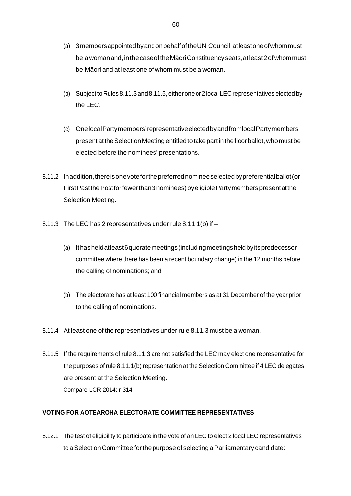- (a) 3membersappointedbyandonbehalfoftheUN Council,atleastoneofwhommust be awoman and, in the case of the Māori Constituency seats, at least 2 of whom must be Māori and at least one of whom must be a woman.
- (b) Subject to Rules 8.11.3 and 8.11.5, either one or 2 local LEC representatives elected by the LEC.
- (c) OnelocalPartymembers'representativeelectedbyandfromlocalPartymembers present at the Selection Meeting entitled to take part in the floor ballot, who must be elected before the nominees' presentations.
- 8.11.2 Inaddition,thereisonevoteforthepreferrednomineeselectedbypreferentialballot(or First Past the Post for fewer than 3 nominees) by eligible Party members present at the Selection Meeting.
- 8.11.3 The LEC has 2 representatives under rule 8.11.1(b) if
	- (a) Ithasheldatleast6quoratemeetings(includingmeetingsheldbyitspredecessor committee where there has been a recent boundary change) in the 12 months before the calling of nominations; and
	- (b) The electorate has at least 100 financial members as at 31 December of the year prior to the calling of nominations.
- 8.11.4 At least one of the representatives under rule 8.11.3 must be a woman.
- 8.11.5 If the requirements of rule 8.11.3 are not satisfied the LEC may elect one representative for the purposes of rule 8.11.1(b) representation at the Selection Committee if 4 LEC delegates are present at the Selection Meeting. Compare LCR 2014: r 314

### **VOTING FOR AOTEAROHA ELECTORATE COMMITTEE REPRESENTATIVES**

8.12.1 The test of eligibility to participate in the vote of an LEC to elect 2 local LEC representatives to a Selection Committee for the purpose of selecting a Parliamentary candidate: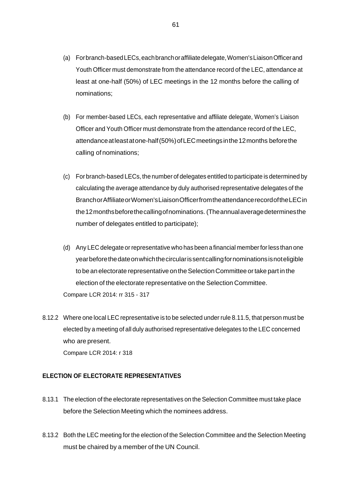- (a) Forbranch-basedLECs,eachbranchoraffiliatedelegate,Women'sLiaisonOfficerand Youth Officer must demonstrate from the attendance record of the LEC, attendance at least at one-half (50%) of LEC meetings in the 12 months before the calling of nominations;
- (b) For member-based LECs, each representative and affiliate delegate, Women's Liaison Officer and Youth Officer must demonstrate from the attendance record of the LEC, attendanceatleastatone-half(50%)ofLECmeetingsinthe12months beforethe calling of nominations;
- (c) For branch-based LECs, the number of delegates entitled to participate is determined by calculating the average attendance by duly authorised representative delegates of the BranchorAffiliateorWomen'sLiaisonOfficerfromtheattendancerecordoftheLECin the12monthsbeforethecallingofnominations. (Theannualaveragedeterminesthe number of delegates entitled to participate);
- (d) Any LEC delegate orrepresentative who has been a financial memberforless than one yearbeforethedateonwhichthecircularissentcallingfornominationsisnoteligible to be an electorate representative on the Selection Committee or take part in the election of the electorate representative on the Selection Committee. Compare LCR 2014: rr 315 - 317
- 8.12.2 Where one local LEC representative is to be selected under rule 8.11.5, that person must be elected by a meeting of all duly authorised representative delegates to the LEC concerned who are present. Compare LCR 2014: r 318

#### **ELECTION OF ELECTORATE REPRESENTATIVES**

- 8.13.1 The election of the electorate representatives on the Selection Committee must take place before the Selection Meeting which the nominees address.
- 8.13.2 Both the LEC meeting for the election of the Selection Committee and the Selection Meeting must be chaired by a member of the UN Council.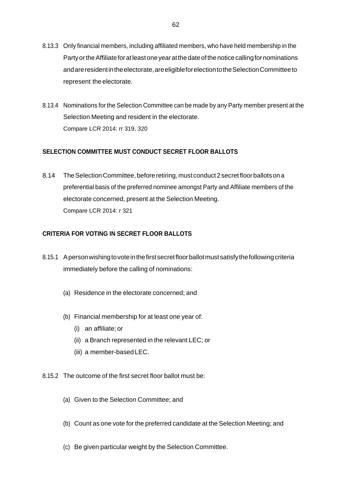- 8.13.3 Only financial members, including affiliated members, who have held membership in the Party or the Affiliate for at least one year at the date of the notice calling for nominations andareresidentintheelectorate,areeligibleforelectiontotheSelectionCommitteeto represent the electorate.
- 8.13.4 Nominations for the Selection Committee can be made by any Party member present at the Selection Meeting and resident in the electorate. Compare LCR 2014: rr 319, 320

# **SELECTION COMMITTEE MUST CONDUCT SECRET FLOOR BALLOTS**

8.14 The Selection Committee, before retiring, must conduct 2 secret floor ballots on a preferential basis of the preferred nominee amongst Party and Affiliate members of the electorate concerned, present at the Selection Meeting. Compare LCR 2014: r 321

# **CRITERIA FOR VOTING IN SECRET FLOOR BALLOTS**

- 8.15.1 Apersonwishingtovoteinthefirstsecretfloorballotmustsatisfythefollowingcriteria immediately before the calling of nominations:
	- (a) Residence in the electorate concerned; and
	- (b) Financial membership for at least one year of:
		- (i) an affiliate; or
		- (ii) a Branch represented in the relevant LEC; or
		- (iii) a member-based LEC.
- 8.15.2 The outcome of the first secret floor ballot must be:
	- (a) Given to the Selection Committee; and
	- (b) Count as one vote for the preferred candidate at the Selection Meeting; and
	- (c) Be given particular weight by the Selection Committee.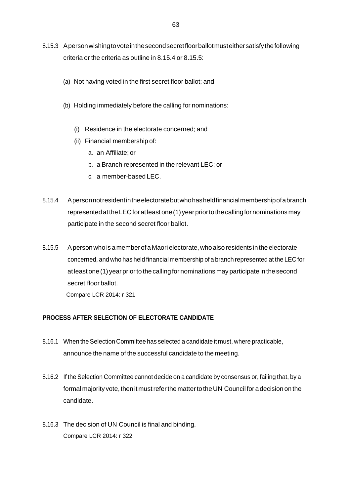- 8.15.3 Apersonwishingtovoteinthesecondsecretfloorballotmusteithersatisfythefollowing criteria or the criteria as outline in 8.15.4 or 8.15.5:
	- (a) Not having voted in the first secret floor ballot; and
	- (b) Holding immediately before the calling for nominations:
		- (i) Residence in the electorate concerned; and
		- (ii) Financial membership of:
			- a. an Affiliate; or
			- b. a Branch represented in the relevant LEC; or
			- c. a member-based LEC.
- 8.15.4 Apersonnotresidentintheelectoratebutwhohasheldfinancialmembershipofabranch represented at the LEC for at least one (1) year prior to the calling for nominations may participate in the second secret floor ballot.
- 8.15.5 Apersonwho is amemberofaMaori electorate,who also residents intheelectorate concerned, and who has held financial membership of a branch represented at the LEC for at least one (1) year priorto thecallingfor nominations may participate inthesecond secret floor ballot.

Compare LCR 2014: r 321

#### **PROCESS AFTER SELECTION OF ELECTORATE CANDIDATE**

- 8.16.1 When the Selection Committee has selected a candidate it must, where practicable, announce the name of the successful candidate to the meeting.
- 8.16.2 If the Selection Committee cannot decide on a candidate by consensus or, failing that, by a formal majority vote, then it must refer the matter to the UN Council for a decision on the candidate.
- 8.16.3 The decision of UN Council is final and binding. Compare LCR 2014: r 322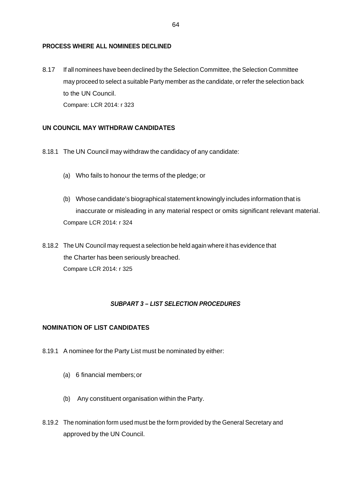#### **PROCESS WHERE ALL NOMINEES DECLINED**

8.17 If all nominees have been declined by the Selection Committee, the Selection Committee may proceed to select a suitable Party member as the candidate, or refer the selection back to the UN Council. Compare: LCR 2014: r 323

### **UN COUNCIL MAY WITHDRAW CANDIDATES**

- 8.18.1 The UN Council may withdraw the candidacy of any candidate:
	- (a) Who fails to honour the terms of the pledge; or
	- (b) Whose candidate's biographical statement knowingly includes information that is inaccurate or misleading in any material respect or omits significant relevant material. Compare LCR 2014: r 324
- 8.18.2 The UN Council may request a selection be held again where it has evidence that the Charter has been seriously breached. Compare LCR 2014: r 325

# *SUBPART 3 – LIST SELECTION PROCEDURES*

#### **NOMINATION OF LIST CANDIDATES**

- 8.19.1 A nominee for the Party List must be nominated by either:
	- (a) 6 financial members;or
	- (b) Any constituent organisation within the Party.
- 8.19.2 The nomination form used must be the form provided by the General Secretary and approved by the UN Council.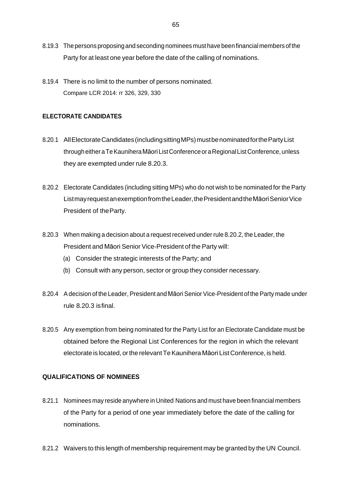- 8.19.3 The persons proposing and seconding nominees must have been financial members of the Party for at least one year before the date of the calling of nominations.
- 8.19.4 There is no limit to the number of persons nominated. Compare LCR 2014: rr 326, 329, 330

### **ELECTORATE CANDIDATES**

- 8.20.1 AllElectorateCandidates(includingsittingMPs)mustbenominatedforthePartyList througheitheraTeKaunihera MāoriListConferenceoraRegionalListConference, unless they are exempted under rule 8.20.3.
- 8.20.2 Electorate Candidates (including sitting MPs) who do not wish to be nominated for the Party ListmayrequestanexemptionfromtheLeader,thePresidentandtheMāoriSeniorVice President of theParty.
- 8.20.3 When making a decision about a request received under rule 8.20.2, the Leader, the President and Māori Senior Vice-President of the Party will:
	- (a) Consider the strategic interests of the Party; and
	- (b) Consult with any person, sector or group they consider necessary.
- 8.20.4 A decision of the Leader, President and Māori Senior Vice-President of the Party made under rule 8.20.3 isfinal.
- 8.20.5 Any exemption from being nominated for the Party List for an Electorate Candidate must be obtained before the Regional List Conferences for the region in which the relevant electorate is located, orthe relevantTeKaunihera Māori List Conference, is held.

#### **QUALIFICATIONS OF NOMINEES**

- 8.21.1 Nominees may reside anywhere in United Nations and must have been financial members of the Party for a period of one year immediately before the date of the calling for nominations.
- 8.21.2 Waivers to this length of membership requirement may be granted by the UN Council.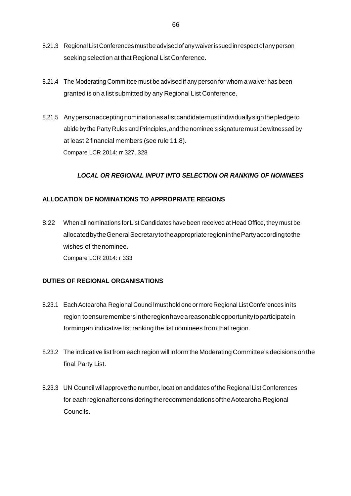- 8.21.3 RegionalListConferencesmust be advisedofanywaiverissuedin respectofanyperson seeking selection at that Regional List Conference.
- 8.21.4 The Moderating Committee must be advised if any person for whom a waiver has been granted is on a list submitted by any Regional List Conference.
- 8.21.5 Anypersonacceptingnominationasalistcandidatemustindividuallysignthepledgeto abide by the Party Rules and Principles, and the nominee's signature must be witnessed by at least 2 financial members (see rule 11.8). Compare LCR 2014: rr 327, 328

# *LOCAL OR REGIONAL INPUT INTO SELECTION OR RANKING OF NOMINEES*

# **ALLOCATION OF NOMINATIONS TO APPROPRIATE REGIONS**

8.22 When all nominations for List Candidates have been received at Head Office, they must be allocatedbytheGeneralSecretarytotheappropriateregioninthePartyaccordingtothe wishes of thenominee. Compare LCR 2014: r 333

# **DUTIES OF REGIONAL ORGANISATIONS**

- 8.23.1 Each Aotearoha Regional Council must hold one or more Regional List Conferences in its region toensuremembersintheregionhaveareasonableopportunitytoparticipatein formingan indicative list ranking the list nominees from that region.
- 8.23.2 The indicative list from each region will inform the Moderating Committee's decisions on the final Party List.
- 8.23.3 UN Council will approve the number, location and dates of the Regional List Conferences for eachregionafterconsideringtherecommendationsoftheAotearoha Regional Councils.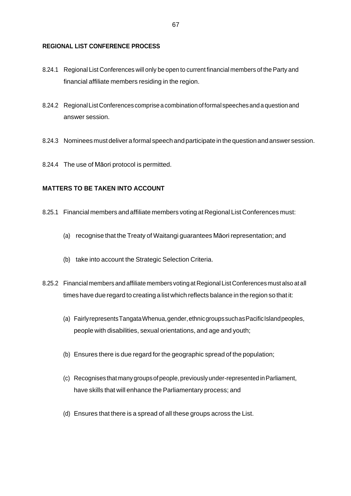### **REGIONAL LIST CONFERENCE PROCESS**

- 8.24.1 Regional List Conferences will only be open to current financial members of the Party and financial affiliate members residing in the region.
- 8.24.2 RegionalListConferences compriseacombinationofformal speechesandaquestion and answer session.
- 8.24.3 Nomineesmustdeliver aformal speech and participate inthequestion andanswer session.
- 8.24.4 The use of Māori protocol is permitted.

# **MATTERS TO BE TAKEN INTO ACCOUNT**

- 8.25.1 Financial members and affiliate members voting at Regional List Conferences must:
	- (a) recognise that the Treaty of Waitangi guarantees Māori representation; and
	- (b) take into account the Strategic Selection Criteria.
- 8.25.2 Financial members and affiliate members voting at Regional List Conferences must also at all times have due regard to creating a list which reflects balance in the region so that it:
	- (a) FairlyrepresentsTangataWhenua,gender,ethnicgroupssuchasPacificIslandpeoples, people with disabilities, sexual orientations, and age and youth;
	- (b) Ensures there is due regard for the geographic spread of the population;
	- (c) Recognises thatmanygroupsofpeople,previouslyunder-representedinParliament, have skills that will enhance the Parliamentary process; and
	- (d) Ensures that there is a spread of all these groups across the List.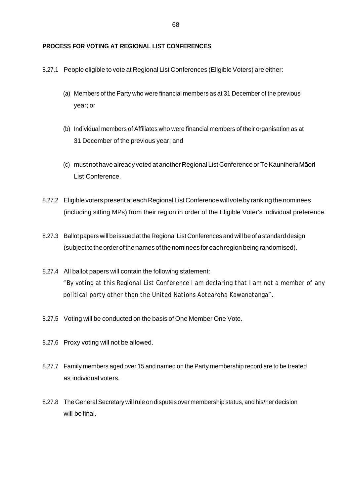#### **PROCESS FOR VOTING AT REGIONAL LIST CONFERENCES**

- 8.27.1 People eligible to vote at Regional List Conferences (Eligible Voters) are either:
	- (a) Members of the Party who were financial members as at 31 December of the previous year; or
	- (b) Individual members of Affiliates who were financial members of their organisation as at 31 December of the previous year; and
	- (c) must not havealready voted at anotherRegionalListConferenceorTeKauniheraMāori List Conference.
- 8.27.2 Eligible voters present at each Regional List Conference will vote by ranking the nominees (including sitting MPs) from their region in order of the Eligible Voter's individual preference.
- 8.27.3 Ballot papers will be issued at the Regional List Conferences and will be of a standard design (subject to the order of the names of the nominees for each region being randomised).
- 8.27.4 All ballot papers will contain the following statement: *"By voting at this Regional List Conference I am declaring that I am not a member of any political party other than the United Nations Aotearoha Kawanatanga".*
- 8.27.5 Voting will be conducted on the basis of One Member One Vote.
- 8.27.6 Proxy voting will not be allowed.
- 8.27.7 Family members aged over 15 and named on the Party membership record are to be treated as individual voters.
- 8.27.8 The General Secretary will rule on disputes over membership status, and his/her decision will be final.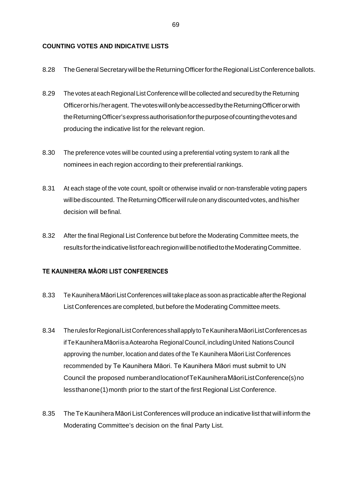### **COUNTING VOTES AND INDICATIVE LISTS**

- 8.28 The General Secretary will be the Returning Officer for the Regional List Conference ballots.
- 8.29 The votes at each Regional List Conference will be collected and secured by the Returning Officerorhis/heragent. ThevoteswillonlybeaccessedbytheReturningOfficerorwith theReturningOfficer'sexpressauthorisationforthepurposeofcountingthevotesand producing the indicative list for the relevant region.
- 8.30 The preference votes will be counted using a preferential voting system to rank all the nominees in each region according to their preferential rankings.
- 8.31 At each stage of the vote count, spoilt or otherwise invalid or non-transferable voting papers will be discounted. The Returning Officer will rule on any discounted votes, and his/her decision will befinal.
- 8.32 After the final Regional List Conference but before the Moderating Committee meets, the resultsfortheindicativelistforeachregionwillbenotifiedtotheModeratingCommittee.

# **TE KAUNIHERA MĀORI LIST CONFERENCES**

- 8.33 TeKauniheraMāoriListConferenceswilltakeplace as soon aspracticableaftertheRegional List Conferences are completed, but before the Moderating Committee meets.
- 8.34 TherulesforRegionalListConferencesshallapplytoTeKauniheraMāoriListConferencesas ifTeKauniheraMāori isaAotearoha RegionalCouncil,includingUnited NationsCouncil approving the number, location and dates of the Te Kaunihera Māori List Conferences recommended by Te Kaunihera Māori. Te Kaunihera Māori must submit to UN Council the proposed numberandlocationofTeKauniheraMāoriListConference(s)no lessthanone(1)month prior to the start of the first Regional List Conference.
- 8.35 The TeKaunihera Māori List Conferences will produce an indicative list that will inform the Moderating Committee's decision on the final Party List.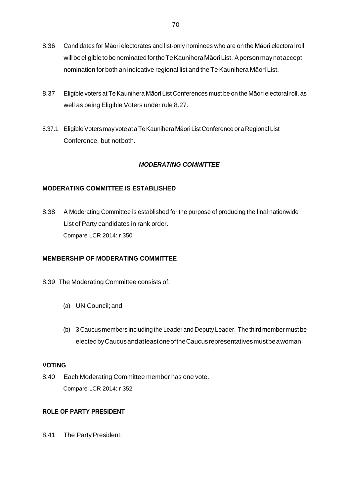- 8.36 Candidates for Māori electorates and list-only nominees who are on the Māori electoral roll will be eligible to be nominated for the Te Kaunihera Māori List. A person may not accept nomination for both an indicative regional list and the Te Kaunihera Māori List.
- 8.37 Eligible voters at Te Kaunihera Māori List Conferences must be on the Māori electoral roll, as well as being Eligible Voters under rule 8.27.
- 8.37.1 Eligible Voters may vote at a Te Kaunihera Māori List Conference or a Regional List Conference, but notboth.

# *MODERATING COMMITTEE*

# **MODERATING COMMITTEE IS ESTABLISHED**

8.38 A Moderating Committee is established for the purpose of producing the final nationwide List of Party candidates in rank order. Compare LCR 2014: r 350

# **MEMBERSHIP OF MODERATING COMMITTEE**

- 8.39 The Moderating Committee consists of:
	- (a) UN Council; and
	- (b) 3 Caucus members including the Leader and Deputy Leader. The third member must be electedbyCaucusandatleastoneoftheCaucusrepresentativesmustbeawoman.

#### **VOTING**

8.40 Each Moderating Committee member has one vote. Compare LCR 2014: r 352

# **ROLE OF PARTY PRESIDENT**

8.41 The Party President: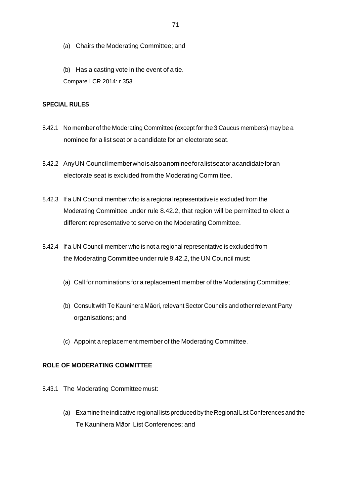(a) Chairs the Moderating Committee; and

(b) Has a casting vote in the event of a tie. Compare LCR 2014: r 353

#### **SPECIAL RULES**

- 8.42.1 No member of the Moderating Committee (except for the 3 Caucus members) may be a nominee for a list seat or a candidate for an electorate seat.
- 8.42.2 AnyUN Councilmemberwhoisalsoanomineeforalistseatoracandidateforan electorate seat is excluded from the Moderating Committee.
- 8.42.3 If a UN Council member who is a regional representative is excluded from the Moderating Committee under rule 8.42.2, that region will be permitted to elect a different representative to serve on the Moderating Committee.
- 8.42.4 If a UN Council member who is not a regional representative is excluded from the Moderating Committee under rule 8.42.2, the UN Council must:
	- (a) Call for nominations for a replacement member of the Moderating Committee;
	- (b) Consult with Te Kaunihera Māori, relevant Sector Councils and other relevant Party organisations; and
	- (c) Appoint a replacement member of the Moderating Committee.

# **ROLE OF MODERATING COMMITTEE**

- 8.43.1 The Moderating Committeemust:
	- (a) Examine the indicative regional lists produced by the Regional List Conferences and the Te Kaunihera Māori List Conferences; and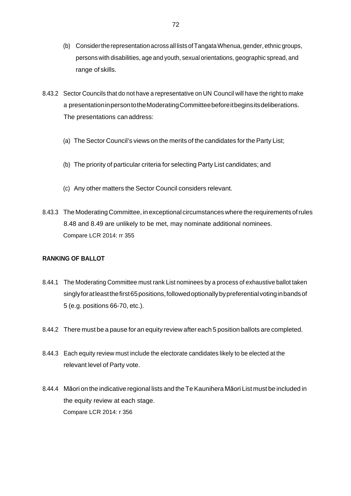- (b) Considerthe representation acrossall listsofTangataWhenua, gender,ethnic groups, persons with disabilities, age and youth, sexual orientations, geographic spread, and range of skills.
- 8.43.2 Sector Councils that do not have a representative on UN Council will have the right to make a presentationinpersontotheModeratingCommitteebeforeitbeginsitsdeliberations. The presentations can address:
	- (a) The Sector Council's views on the merits of the candidates for the Party List;
	- (b) The priority of particular criteria for selecting Party List candidates; and
	- (c) Any other matters the Sector Council considers relevant.
- 8.43.3 The Moderating Committee, in exceptional circumstances where the requirements ofrules 8.48 and 8.49 are unlikely to be met, may nominate additional nominees. Compare LCR 2014: rr 355

# **RANKING OF BALLOT**

- 8.44.1 The Moderating Committee must rank List nominees by a process of exhaustive ballot taken singly for at least the first 65 positions, followed optionally by preferential voting in bands of 5 (e.g. positions 66-70, etc.).
- 8.44.2 There must be a pause for an equity review after each 5 position ballots are completed.
- 8.44.3 Each equity review must include the electorate candidates likely to be elected at the relevant level of Party vote.
- 8.44.4 Māori on the indicative regional lists and the Te Kaunihera Māori List must be included in the equity review at each stage. Compare LCR 2014: r 356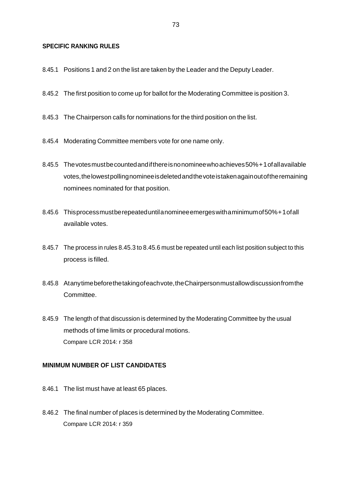#### **SPECIFIC RANKING RULES**

- 8.45.1 Positions 1 and 2 on the list are taken by the Leader and the Deputy Leader.
- 8.45.2 The first position to come up for ballot for the Moderating Committee is position 3.
- 8.45.3 The Chairperson calls for nominations for the third position on the list.
- 8.45.4 Moderating Committee members vote for one name only.
- 8.45.5 Thevotesmustbecountedandifthereisnonomineewhoachieves50%+1ofallavailable votes,thelowestpollingnomineeisdeletedandthevoteistakenagainoutoftheremaining nominees nominated for that position.
- 8.45.6 Thisprocessmustberepeateduntilanomineeemergeswithaminimumof50%+1ofall available votes.
- 8.45.7 The process in rules 8.45.3 to 8.45.6 must be repeated until each list position subject to this process is filled.
- 8.45.8 Atanytimebeforethetakingofeachvote,theChairpersonmustallowdiscussionfromthe Committee.
- 8.45.9 The length of that discussion is determined by the Moderating Committee by the usual methods of time limits or procedural motions. Compare LCR 2014: r 358

# **MINIMUM NUMBER OF LIST CANDIDATES**

- 8.46.1 The list must have at least 65 places.
- 8.46.2 The final number of places is determined by the Moderating Committee. Compare LCR 2014: r 359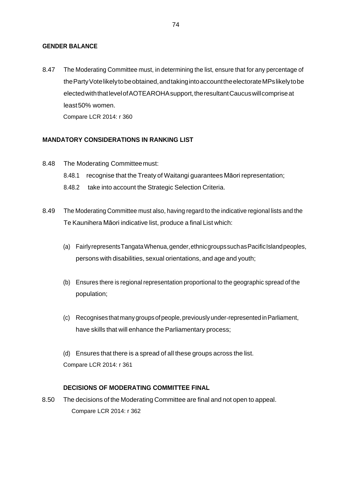#### **GENDER BALANCE**

8.47 The Moderating Committee must, in determining the list, ensure that for any percentage of thePartyVotelikelytobeobtained,andtakingintoaccounttheelectorateMPslikelytobe electedwiththatlevelofAOTEAROHAsupport,theresultantCaucuswillcompriseat least50% women.

Compare LCR 2014: r 360

# **MANDATORY CONSIDERATIONS IN RANKING LIST**

- 8.48 The Moderating Committeemust:
	- 8.48.1 recognise that the Treaty of Waitangi guarantees Māori representation;
	- 8.48.2 take into account the Strategic Selection Criteria.
- 8.49 The Moderating Committee must also, having regard to the indicative regional lists and the Te Kaunihera Māori indicative list, produce a final List which:
	- (a) FairlyrepresentsTangataWhenua,gender,ethnicgroupssuchasPacificIslandpeoples, persons with disabilities, sexual orientations, and age and youth;
	- (b) Ensures there is regional representation proportional to the geographic spread of the population;
	- (c) Recognises thatmanygroupsofpeople,previouslyunder-representedinParliament, have skills that will enhance the Parliamentary process;

(d) Ensures that there is a spread of all these groups across the list. Compare LCR 2014: r 361

# **DECISIONS OF MODERATING COMMITTEE FINAL**

8.50 The decisions of the Moderating Committee are final and not open to appeal. Compare LCR 2014: r 362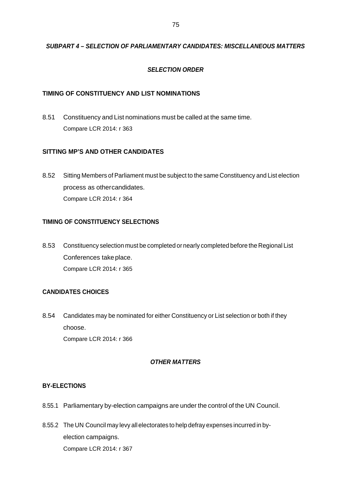# *SUBPART 4 – SELECTION OF PARLIAMENTARY CANDIDATES: MISCELLANEOUS MATTERS*

# *SELECTION ORDER*

# **TIMING OF CONSTITUENCY AND LIST NOMINATIONS**

8.51 Constituency and List nominations must be called at the same time. Compare LCR 2014: r 363

# **SITTING MP'S AND OTHER CANDIDATES**

8.52 Sitting Members of Parliament must be subject to the same Constituency and List election process as othercandidates. Compare LCR 2014: r 364

# **TIMING OF CONSTITUENCY SELECTIONS**

8.53 Constituency selection must be completed or nearly completed before the Regional List Conferences take place. Compare LCR 2014: r 365

# **CANDIDATES CHOICES**

8.54 Candidates may be nominated for either Constituency or List selection or both if they choose. Compare LCR 2014: r 366

#### *OTHER MATTERS*

#### **BY-ELECTIONS**

- 8.55.1 Parliamentary by-election campaigns are under the control of the UN Council.
- 8.55.2 The UN Council may levy all electorates to help defray expenses incurred in byelection campaigns. Compare LCR 2014: r 367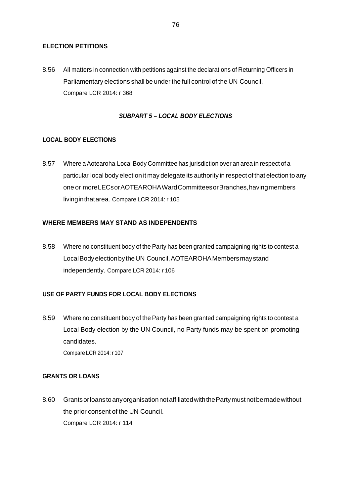# **ELECTION PETITIONS**

8.56 All matters in connection with petitions against the declarations of Returning Officers in Parliamentary elections shall be under the full control of the UN Council. Compare LCR 2014: r 368

# *SUBPART 5 – LOCAL BODY ELECTIONS*

# **LOCAL BODY ELECTIONS**

8.57 Where a Aotearoha Local Body Committee has jurisdiction over an area in respect of a particular local body election it may delegate its authority in respect of that election to any one or moreLECsorAOTEAROHAWardCommitteesorBranches,havingmembers livinginthatarea. Compare LCR 2014: r 105

# **WHERE MEMBERS MAY STAND AS INDEPENDENTS**

8.58 Where no constituent body of the Party has been granted campaigning rights to contest a LocalBodyelectionbytheUN Council,AOTEAROHAMembersmaystand independently. Compare LCR 2014: r 106

# **USE OF PARTY FUNDS FOR LOCAL BODY ELECTIONS**

8.59 Where no constituent body of the Party has been granted campaigning rights to contest a Local Body election by the UN Council, no Party funds may be spent on promoting candidates.

Compare LCR 2014: r 107

# **GRANTS OR LOANS**

8.60 GrantsorloanstoanyorganisationnotaffiliatedwiththePartymustnotbemadewithout the prior consent of the UN Council. Compare LCR 2014: r 114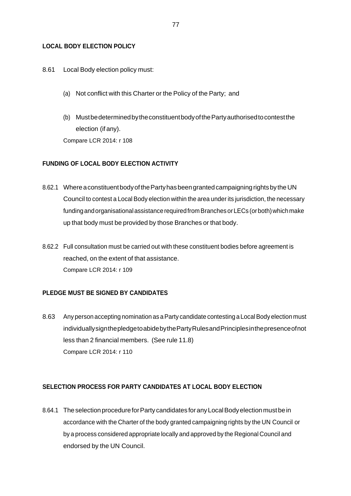# **LOCAL BODY ELECTION POLICY**

- 8.61 Local Body election policy must:
	- (a) Not conflict with this Charter or the Policy of the Party; and
	- (b) MustbedeterminedbytheconstituentbodyofthePartyauthorisedtocontestthe election (if any). Compare LCR 2014: r 108

**FUNDING OF LOCAL BODY ELECTION ACTIVITY**

- 8.62.1 Where a constituent body of the Party has been granted campaigning rights by the UN Council to contest a Local Body election within the area under its jurisdiction, the necessary funding and organisational assistance required from Branches or LECs (or both) which make up that body must be provided by those Branches or that body.
- 8.62.2 Full consultation must be carried out with these constituent bodies before agreement is reached, on the extent of that assistance. Compare LCR 2014: r 109

#### **PLEDGE MUST BE SIGNED BY CANDIDATES**

8.63 Any person accepting nomination as a Party candidate contesting a Local Body election must individuallysignthepledgetoabidebythePartyRulesandPrinciplesinthepresenceofnot less than 2 financial members. (See rule 11.8) Compare LCR 2014: r 110

#### **SELECTION PROCESS FOR PARTY CANDIDATES AT LOCAL BODY ELECTION**

8.64.1 The selection procedure for Party candidates for any Local Body election must be in accordance with the Charter of the body granted campaigning rights by the UN Council or by a process considered appropriate locally and approved by the Regional Council and endorsed by the UN Council.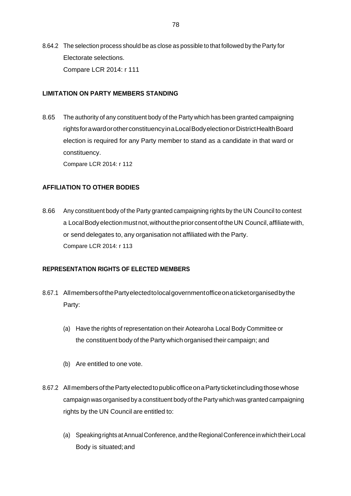8.64.2 The selection process should be as close as possible to that followed by the Party for Electorate selections. Compare LCR 2014: r 111

# **LIMITATION ON PARTY MEMBERS STANDING**

8.65 The authority of any constituent body of the Party which has been granted campaigning rights for a ward or other constituency in a Local Body election or District Health Board election is required for any Party member to stand as a candidate in that ward or constituency.

Compare LCR 2014: r 112

# **AFFILIATION TO OTHER BODIES**

8.66 Any constituent body of the Party granted campaigning rights by the UN Council to contest a Local Body election must not, without the prior consent of the UN Council, affiliate with, or send delegates to, any organisation not affiliated with the Party. Compare LCR 2014: r 113

# **REPRESENTATION RIGHTS OF ELECTED MEMBERS**

- 8.67.1 AllmembersofthePartyelectedtolocalgovernmentofficeonaticketorganisedbythe Party:
	- (a) Have the rights of representation on their Aotearoha Local Body Committee or the constituent body of the Party which organised their campaign; and
	- (b) Are entitled to one vote.
- 8.67.2 All members of the Party elected to public office on a Party ticket including those whose campaign was organised by a constituent body of the Party which was granted campaigning rights by the UN Council are entitled to:
	- (a) SpeakingrightsatAnnualConference,andtheRegionalConferenceinwhichtheirLocal Body is situated;and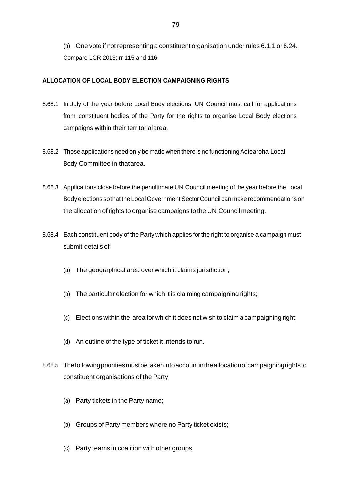(b) One vote if not representing a constituent organisation under rules 6.1.1 or 8.24. Compare LCR 2013: rr 115 and 116

# **ALLOCATION OF LOCAL BODY ELECTION CAMPAIGNING RIGHTS**

- 8.68.1 In July of the year before Local Body elections, UN Council must call for applications from constituent bodies of the Party for the rights to organise Local Body elections campaigns within their territorialarea.
- 8.68.2 Those applications need only be made when there is no functioning Aotearoha Local Body Committee in thatarea.
- 8.68.3 Applications close before the penultimate UN Council meeting of the year before the Local Body elections so that the Local Government Sector Council can make recommendations on the allocation of rights to organise campaigns to the UN Council meeting.
- 8.68.4 Each constituent body of the Party which applies for the right to organise a campaign must submit details of:
	- (a) The geographical area over which it claims jurisdiction;
	- (b) The particular election for which it is claiming campaigning rights;
	- (c) Elections within the area for which it does not wish to claim a campaigning right;
	- (d) An outline of the type of ticket it intends to run.
- 8.68.5 Thefollowingprioritiesmustbetakenintoaccountintheallocationofcampaigningrightsto constituent organisations of the Party:
	- (a) Party tickets in the Party name;
	- (b) Groups of Party members where no Party ticket exists;
	- (c) Party teams in coalition with other groups.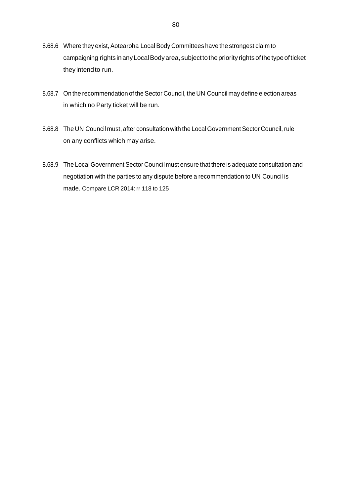- 8.68.6 Where they exist, Aotearoha Local Body Committees have the strongest claim to campaigning rights inanyLocalBodyarea, subjecttothepriority rightsofthetypeofticket they intend to run.
- 8.68.7 On the recommendation of the Sector Council, the UN Council may define election areas in which no Party ticket will be run.
- 8.68.8 The UN Council must, after consultation with the Local Government Sector Council, rule on any conflicts which may arise.
- 8.68.9 The Local Government Sector Council must ensure that there is adequate consultation and negotiation with the parties to any dispute before a recommendation to UN Council is made. Compare LCR 2014: rr 118 to 125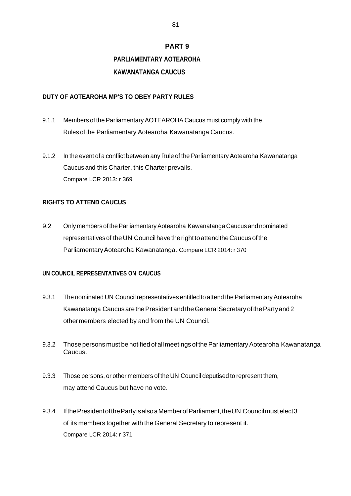#### **PART 9**

# **PARLIAMENTARY AOTEAROHA KAWANATANGA CAUCUS**

# **DUTY OF AOTEAROHA MP'S TO OBEY PARTY RULES**

- 9.1.1 Members of the Parliamentary AOTEAROHA Caucus must comply with the Rules of the Parliamentary Aotearoha Kawanatanga Caucus.
- 9.1.2 In the event of a conflict between any Rule of the Parliamentary Aotearoha Kawanatanga Caucus and this Charter, this Charter prevails. Compare LCR 2013: r 369

# **RIGHTS TO ATTEND CAUCUS**

9.2 Only members of the Parliamentary Aotearoha Kawanatanga Caucus and nominated representatives of the UN Council have the right to attend the Caucus of the ParliamentaryAotearoha Kawanatanga. Compare LCR 2014: r 370

# **UN COUNCIL REPRESENTATIVES ON CAUCUS**

- 9.3.1 The nominated UN Council representatives entitled to attend the Parliamentary Aotearoha Kawanatanga Caucus are the President and the General Secretary of the Party and 2 othermembers elected by and from the UN Council.
- 9.3.2 Those persons must be notified of all meetings of the Parliamentary Aotearoha Kawanatanga Caucus.
- 9.3.3 Those persons, or other members of the UN Council deputised to represent them, may attend Caucus but have no vote.
- 9.3.4 IfthePresidentofthePartyisalsoaMemberofParliament,theUN Councilmustelect3 of its members together with the General Secretary to represent it. Compare LCR 2014: r 371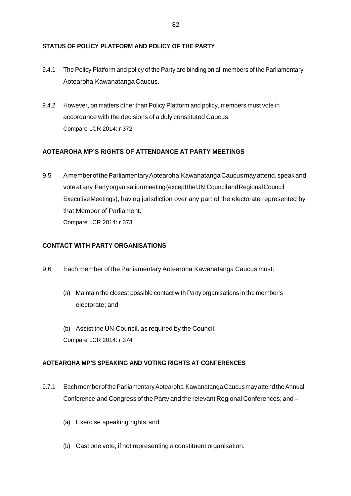# **STATUS OF POLICY PLATFORM AND POLICY OF THE PARTY**

- 9.4.1 The Policy Platform and policy of the Party are binding on all members of the Parliamentary Aotearoha Kawanatanga Caucus.
- 9.4.2 However, on matters other than Policy Platform and policy, members must vote in accordance with the decisions of a duly constituted Caucus. Compare LCR 2014: r 372

# **AOTEAROHA MP'S RIGHTS OF ATTENDANCE AT PARTY MEETINGS**

9.5 AmemberoftheParliamentaryAotearoha KawanatangaCaucusmayattend,speakand voteatany Partyorganisationmeeting(excepttheUN CouncilandRegionalCouncil ExecutiveMeetings), having jurisdiction over any part of the electorate represented by that Member of Parliament. Compare LCR 2014: r 373

# **CONTACT WITH PARTY ORGANISATIONS**

- 9.6 Each member of the Parliamentary Aotearoha Kawanatanga Caucus must:
	- (a) Maintain the closest possible contact with Party organisations in the member's electorate; and
	- (b) Assist the UN Council, as required by the Council. Compare LCR 2014: r 374

# **AOTEAROHA MP'S SPEAKING AND VOTING RIGHTS AT CONFERENCES**

- 9.7.1 Each member of the Parliamentary Aotearoha Kawanatanga Caucus may attend the Annual Conference and Congress of the Party and the relevant Regional Conferences; and -
	- (a) Exercise speaking rights;and
	- (b) Cast one vote, if not representing a constituent organisation.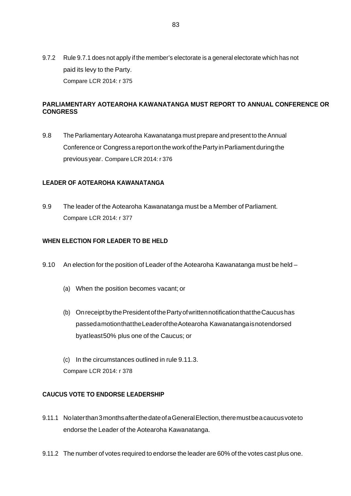9.7.2 Rule 9.7.1 does not apply if the member's electorate is a general electorate which has not paid its levy to the Party. Compare LCR 2014: r 375

# **PARLIAMENTARY AOTEAROHA KAWANATANGA MUST REPORT TO ANNUAL CONFERENCE OR CONGRESS**

9.8 The Parliamentary Aotearoha Kawanatanga must prepare and present to the Annual Conference or Congress a report on the work of the Party in Parliament during the previous year. Compare LCR 2014: r 376

# **LEADER OF AOTEAROHA KAWANATANGA**

9.9 The leader of the Aotearoha Kawanatanga must be a Member of Parliament. Compare LCR 2014: r 377

#### **WHEN ELECTION FOR LEADER TO BE HELD**

- 9.10 An election for the position of Leader of the Aotearoha Kawanatanga must be held -
	- (a) When the position becomes vacant; or
	- (b) On receipt by the President of the Party of written notification that the Caucus has passedamotionthattheLeaderoftheAotearoha Kawanatangaisnotendorsed byatleast50% plus one of the Caucus; or
	- (c) In the circumstances outlined in rule 9.11.3. Compare LCR 2014: r 378

#### **CAUCUS VOTE TO ENDORSE LEADERSHIP**

- 9.11.1 Nolaterthan3monthsafterthedateofaGeneralElection,theremustbeacaucusvoteto endorse the Leader of the Aotearoha Kawanatanga.
- 9.11.2 The number of votes required to endorse the leader are 60% of the votes cast plus one.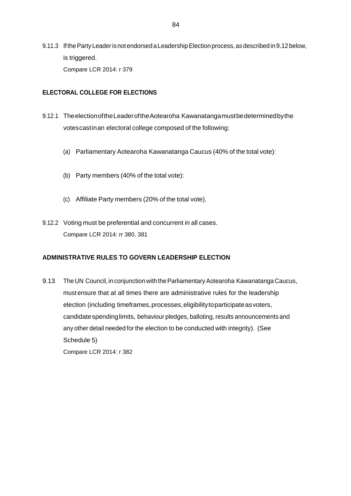9.11.3 If the Party Leader is not endorsed a Leadership Election process, as described in 9.12 below, is triggered. Compare LCR 2014: r 379

# **ELECTORAL COLLEGE FOR ELECTIONS**

- 9.12.1 The election of the Leader of the Aotearoha Kawanatanga must be determined by the votescastinan electoral college composed of the following:
	- (a) Parliamentary Aotearoha Kawanatanga Caucus (40% of the total vote):
	- (b) Party members (40% of the total vote):
	- (c) Affiliate Party members (20% of the total vote).
- 9.12.2 Voting must be preferential and concurrent in all cases. Compare LCR 2014: rr 380, 381

# **ADMINISTRATIVE RULES TO GOVERN LEADERSHIP ELECTION**

9.13 The UN Council, in conjunction with the Parliamentary Aotearoha Kawanatanga Caucus, must ensure that at all times there are administrative rules for the leadership election (including timeframes, processes, eligibility to participate as voters, candidatespendinglimits, behaviour pledges, balloting, results announcements and any other detail needed for the election to be conducted with integrity). (See Schedule 5) Compare LCR 2014: r 382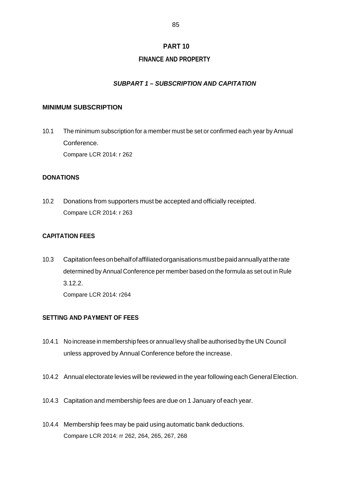# **PART 10**

# **FINANCE AND PROPERTY**

# *SUBPART 1 – SUBSCRIPTION AND CAPITATION*

#### **MINIMUM SUBSCRIPTION**

10.1 The minimum subscription for a member must be set or confirmed each year by Annual Conference. Compare LCR 2014: r 262

#### **DONATIONS**

10.2 Donations from supporters must be accepted and officially receipted. Compare LCR 2014: r 263

# **CAPITATION FEES**

10.3 Capitationfeesonbehalfofaffiliatedorganisationsmustbepaidannuallyattherate determined by Annual Conference per member based on the formula as set out in Rule 3.12.2. Compare LCR 2014: r264

# **SETTING AND PAYMENT OF FEES**

- 10.4.1 No increase inmembership fees or annual levy shall be authorised by the UN Council unless approved by Annual Conference before the increase.
- 10.4.2 Annual electorate levies will be reviewed in the year following each General Election.
- 10.4.3 Capitation and membership fees are due on 1 January of each year.
- 10.4.4 Membership fees may be paid using automatic bank deductions. Compare LCR 2014: rr 262, 264, 265, 267, 268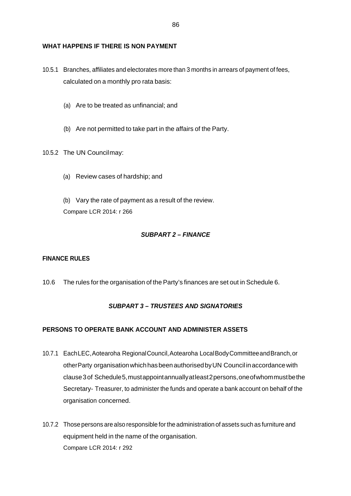#### **WHAT HAPPENS IF THERE IS NON PAYMENT**

- 10.5.1 Branches, affiliates and electorates more than 3 months in arrears of payment of fees, calculated on a monthly pro rata basis:
	- (a) Are to be treated as unfinancial; and
	- (b) Are not permitted to take part in the affairs of the Party.
- 10.5.2 The UN Councilmay:
	- (a) Review cases of hardship; and
	- (b) Vary the rate of payment as a result of the review. Compare LCR 2014: r 266

#### *SUBPART 2 – FINANCE*

#### **FINANCE RULES**

10.6 The rules for the organisation of the Party's finances are set out in Schedule 6.

# *SUBPART 3 – TRUSTEES AND SIGNATORIES*

# **PERSONS TO OPERATE BANK ACCOUNT AND ADMINISTER ASSETS**

- 10.7.1 EachLEC,Aotearoha RegionalCouncil,Aotearoha LocalBodyCommitteeandBranch,or otherParty organisationwhichhasbeenauthorisedbyUN Council inaccordancewith clause3of Schedule5,mustappointannuallyatleast2persons,oneofwhommustbethe Secretary- Treasurer, to administer the funds and operate a bank account on behalf of the organisation concerned.
- 10.7.2 Those persons are also responsible forthe administration of assets such as furniture and equipment held in the name of the organisation. Compare LCR 2014: r 292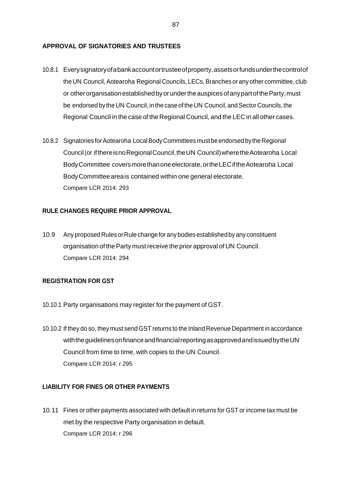# **APPROVAL OF SIGNATORIES AND TRUSTEES**

- 10.8.1 Everysignatoryofabankaccountortrusteeofproperty,assetsorfundsunderthecontrolof the UN Council, Aotearoha Regional Councils, LECs, Branches or any other committee, club or other organisation established by or under the auspices of any part of the Party, must be endorsed by the UN Council, in the case of the UN Council, and Sector Councils, the Regional Council in the case of the Regional Council, and the LEC in all other cases.
- 10.8.2 Signatories for Aotearoha Local Body Committees must be endorsed by the Regional Council(or ifthereisnoRegionalCouncil,theUN Council)wheretheAotearoha Local BodyCommittee coversmorethanoneelectorate,ortheLECiftheAotearoha Local BodyCommitteeareais contained within one general electorate. Compare LCR 2014: 293

# **RULE CHANGES REQUIRE PRIOR APPROVAL**

10.9 Any proposed Rules or Rule change for any bodies established by any constituent organisation of the Party must receive the prior approval of UN Council. Compare LCR 2014: 294

# **REGISTRATION FOR GST**

- 10.10.1 Party organisations may register for the payment of GST.
- 10.10.2 If they do so, they must send GST returns to the Inland Revenue Department in accordance with the guidelines on finance and financial reporting as approved and issued by the UN Council from time to time, with copies to the UN Council. Compare LCR 2014: r 295

# **LIABILITY FOR FINES OR OTHER PAYMENTS**

10.11 Fines or other payments associated with default in returns for GST or income tax must be met by the respective Party organisation in default. Compare LCR 2014: r 296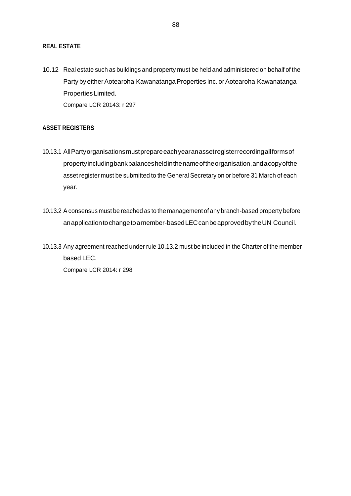### **REAL ESTATE**

10.12 Real estate such as buildings and property must be held and administered on behalf of the Party by either Aotearoha Kawanatanga Properties Inc. or Aotearoha Kawanatanga Properties Limited. Compare LCR 20143: r 297

#### **ASSET REGISTERS**

- 10.13.1 AllPartyorganisationsmustprepareeachyearanassetregisterrecordingallformsof propertyincludingbankbalancesheldinthenameoftheorganisation,andacopyofthe asset register must be submitted to the General Secretary on or before 31 March of each year.
- 10.13.2 Aconsensus must be reached as to the management of any branch-based property before anapplicationtochangetoamember-basedLECcanbeapprovedbytheUN Council.
- 10.13.3 Any agreement reached under rule 10.13.2 must be included in the Charter of the memberbased LEC. Compare LCR 2014: r 298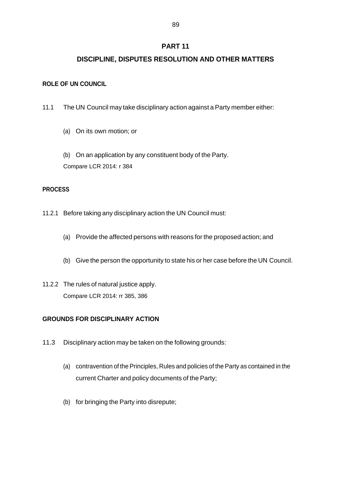# **PART 11**

# **DISCIPLINE, DISPUTES RESOLUTION AND OTHER MATTERS**

# **ROLE OF UN COUNCIL**

- 11.1 The UN Council may take disciplinary action against a Party member either:
	- (a) On its own motion; or

(b) On an application by any constituent body of the Party. Compare LCR 2014: r 384

# **PROCESS**

- 11.2.1 Before taking any disciplinary action the UN Council must:
	- (a) Provide the affected persons with reasons for the proposed action; and
	- (b) Give the person the opportunity to state his or her case before the UN Council.
- 11.2.2 The rules of natural justice apply. Compare LCR 2014: rr 385, 386

# **GROUNDS FOR DISCIPLINARY ACTION**

- 11.3 Disciplinary action may be taken on the following grounds:
	- (a) contravention of the Principles, Rules and policies of the Party as contained in the current Charter and policy documents of the Party;
	- (b) for bringing the Party into disrepute;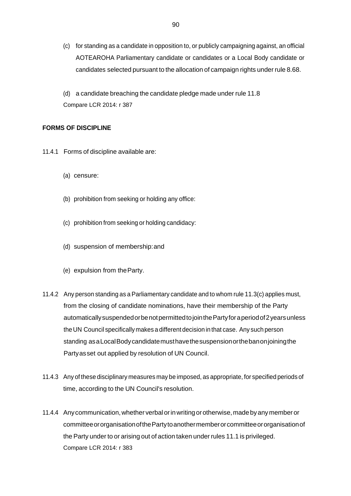(c) for standing as a candidate in opposition to, or publicly campaigning against, an official AOTEAROHA Parliamentary candidate or candidates or a Local Body candidate or candidates selected pursuant to the allocation of campaign rights under rule 8.68.

(d) a candidate breaching the candidate pledge made under rule 11.8 Compare LCR 2014: r 387

# **FORMS OF DISCIPLINE**

- 11.4.1 Forms of discipline available are:
	- (a) censure:
	- (b) prohibition from seeking or holding any office:
	- (c) prohibition from seeking or holding candidacy:
	- (d) suspension of membership:and
	- (e) expulsion from theParty.
- 11.4.2 Any person standing as a Parliamentary candidate and to whom rule 11.3(c) applies must, from the closing of candidate nominations, have their membership of the Party automaticallysuspendedorbenotpermittedtojointhePartyforaperiodof2yearsunless the UN Council specifically makes a different decision in that case. Any such person standing asaLocalBodycandidatemusthavethesuspensionorthebanonjoiningthe Partyasset out applied by resolution of UN Council.
- 11.4.3 Any of these disciplinary measures may be imposed, as appropriate, for specified periods of time, according to the UN Council's resolution.
- 11.4.4 Any communication, whether verbal or in writing or otherwise, made by any member or committeeororganisationofthePartytoanothermemberorcommitteeororganisationof the Party under to or arising out of action taken under rules 11.1 is privileged. Compare LCR 2014: r 383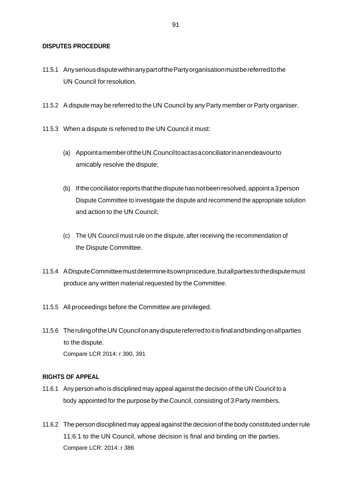# **DISPUTES PROCEDURE**

- 11.5.1 AnyseriousdisputewithinanypartofthePartyorganisationmustbereferredtothe UN Council forresolution.
- 11.5.2 A dispute may be referred to the UN Council by any Party member or Party organiser.
- 11.5.3 When a dispute is referred to the UN Council it must:
	- (a) AppointamemberoftheUN Counciltoactasaconciliatorinanendeavourto amicably resolve the dispute;
	- (b) Iftheconciliatorreports that thedispute has not beenresolved,appointa3person Dispute Committee to investigate the dispute and recommend the appropriate solution and action to the UN Council;
	- (c) The UN Council must rule on the dispute, after receiving the recommendation of the Dispute Committee.
- 11.5.4 ADisputeCommitteemustdetermineitsownprocedure,butallpartiestothedisputemust produce any written material requested by the Committee.
- 11.5.5 All proceedings before the Committee are privileged.
- 11.5.6 TherulingoftheUN Councilonanydisputereferredtoitisfinalandbindingonallparties to the dispute. Compare LCR 2014: r 390, 391

#### **RIGHTS OF APPEAL**

- 11.6.1 Any person who is disciplined may appeal against the decision of the UN Council to a body appointed for the purpose by the Council, consisting of 3Party members.
- 11.6.2 The person disciplined may appeal against the decision of the body constituted underrule 11.6.1 to the UN Council, whose decision is final and binding on the parties. Compare LCR: 2014: r 386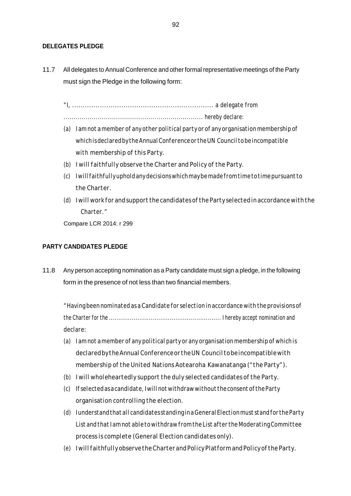# **DELEGATES PLEDGE**

11.7 All delegates to Annual Conference and other formal representative meetings of the Party must sign the Pledge in the following form:

*"I, .................................................................. a delegate from ..................................................................... hereby declare:*

- *(a) I am not a member of any other political party or of any organisation membership of whichisdeclaredbytheAnnualConferenceor theUN Counciltobeincompatible with membership of this Party.*
- *(b) I will faithfully observe the Charter and Policy of the Party.*
- *(c) Iwill faithfullyupholdanydecisionswhichmaybemadefromtimetotimepursuant to the Charter.*
- *(d) Iwillwork forandsupport thecandidatesof thePartyselectedinaccordancewiththe Charter."*

Compare LCR 2014: r 299

# **PARTY CANDIDATES PLEDGE**

11.8 Any person accepting nomination as a Party candidate must sign a pledge, in the following form in the presence of not less than two financial members.

*"Having been nominatedas aCandidate for selection in accordance with the provisions of the Charter for the ........................................................... I hereby accept nomination and declare:*

- *(a) I am not amember of any politicalparty or any organisation membership ofwhich is declaredbytheAnnualConferenceortheUN Counciltobeincompatiblewith membership of the United Nations Aotearoha Kawanatanga ("the Party").*
- *(b) I will wholeheartedly support the duly selected candidates of the Party.*
- *(c) If selectedasacandidate,IwillnotwithdrawwithouttheconsentoftheParty organisation controlling the election.*
- *(d) Iunderstandthatallcandidates standinginaGeneralElectionmust standfor theParty List and that I amnot able towithdrawfrom theList after theModeratingCommittee process is complete (General Election candidates only).*
- *(e) Iwill faithfullyobservetheCharterandPolicyPlatformandPolicyof theParty.*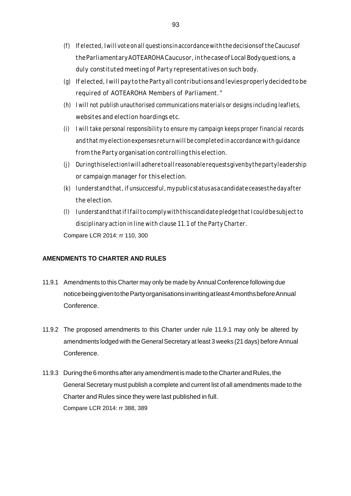- *(f) Ifelected,Iwillvoteonallquestions inaccordancewiththedecisionsof theCaucusof theParliamentaryAOTEAROHACaucusor,inthecaseofLocalBodyquestions,a duly constituted meeting of Party representatives on such body.*
- *(g) Ifelected,Iwillpay totheParty all contributions andleviesproperlydecidedtobe required of AOTEAROHA Members of Parliament."*
- *(h) I will not publish unauthorised communications materials or designs including leaflets, websites and election hoardings etc.*
- *(i) I will take personal responsibility to ensure my campaign keeps proper financial records andthatmy electionexpenses returnwillbe completedinaccordancewithguidance from the Party organisation controlling this election.*
- *(j) DuringthiselectionIwilladheretoallreasonablerequestsgivenbythepartyleadership or campaign manager for this election.*
- *(k) Iunderstandthat,ifunsuccessful,mypublicstatusasacandidateceases thedayafter the election.*
- *(l) Iunderstandthatif I fail tocomplywiththis candidatepledgethat I couldbesubject to disciplinary action in line with clause 11.1 of the Party Charter.* Compare LCR 2014: rr 110, 300

# **AMENDMENTS TO CHARTER AND RULES**

- 11.9.1 Amendments to this Charter may only be made by Annual Conference following due noticebeinggiventothePartyorganisationsinwritingatleast4monthsbeforeAnnual Conference.
- 11.9.2 The proposed amendments to this Charter under rule 11.9.1 may only be altered by amendments lodged with the General Secretary at least 3 weeks (21 days) before Annual Conference.
- 11.9.3 During the 6 months after any amendment is made to the Charter and Rules, the General Secretary must publish a complete and current list of all amendments made to the Charter and Rules since they were last published in full. Compare LCR 2014: rr 388, 389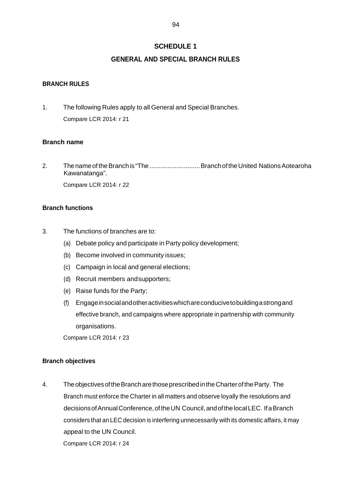# **SCHEDULE 1**

# **GENERAL AND SPECIAL BRANCH RULES**

#### **BRANCH RULES**

1. The following Rules apply to all General and Special Branches. Compare LCR 2014: r 21

#### **Branch name**

2. Thenameof theBranchis"The............................BranchoftheUnited NationsAotearoha Kawanatanga". Compare LCR 2014: r 22

# **Branch functions**

- 3. The functions of branches are to:
	- (a) Debate policy and participate in Party policy development;
	- (b) Become involved in community issues;
	- (c) Campaign in local and general elections;
	- (d) Recruit members andsupporters;
	- (e) Raise funds for the Party;
	- (f) Engageinsocialandotheractivitieswhichareconducivetobuildingastrongand effective branch, and campaigns where appropriate in partnership with community organisations.

Compare LCR 2014: r 23

#### **Branch objectives**

4. TheobjectivesoftheBrancharethoseprescribedintheCharteroftheParty. The Branch must enforce the Charter in all matters and observe loyally the resolutions and decisions of Annual Conference, of the UN Council, and of the local LEC. If a Branch considers that an LEC decision is interfering unnecessarily with its domestic affairs, it may appeal to the UN Council.

Compare LCR 2014: r 24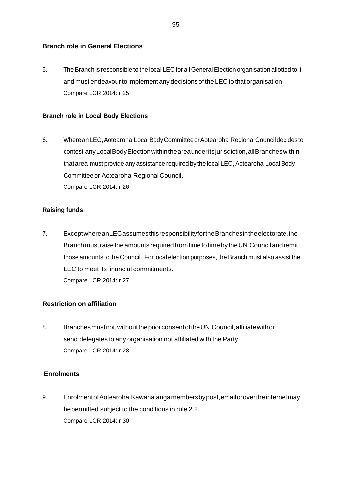# **Branch role in General Elections**

5. The Branch is responsible to the local LEC for all General Election organisation allotted to it and must endeavour to implement any decisions of the LEC to that organisation. Compare LCR 2014: r 25

# **Branch role in Local Body Elections**

6. WhereanLEC,Aotearoha LocalBodyCommitteeorAotearoha RegionalCouncildecidesto contest anyLocalBodyElectionwithintheareaunderitsjurisdiction,allBrancheswithin thatarea must provide any assistance required by the local LEC, Aotearoha Local Body Committee or Aotearoha Regional Council. Compare LCR 2014: r 26

# **Raising funds**

7. ExceptwhereanLECassumesthisresponsibilityfortheBranchesintheelectorate,the Branch must raise the amounts required from time to time by the UN Council and remit those amounts to the Council. Forlocal election purposes, the Branch must also assist the LEC to meet its financial commitments. Compare LCR 2014: r 27

# **Restriction on affiliation**

8. Branchesmustnot,withoutthepriorconsentoftheUN Council,affiliatewithor send delegates to any organisation not affiliated with the Party. Compare LCR 2014: r 28

# **Enrolments**

9. EnrolmentofAotearoha Kawanatangamembersbypost,emailorovertheinternetmay bepermitted subject to the conditions in rule 2.2. Compare LCR 2014: r 30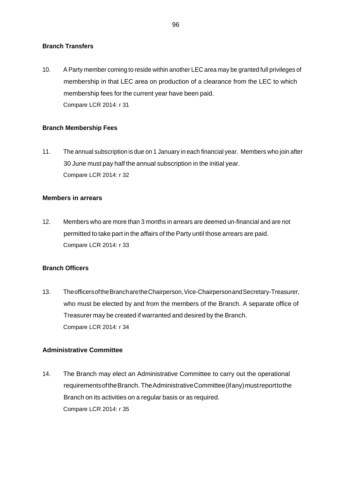# **Branch Transfers**

10. A Party member coming to reside within another LEC area may be granted full privileges of membership in that LEC area on production of a clearance from the LEC to which membership fees for the current year have been paid. Compare LCR 2014: r 31

# **Branch Membership Fees**

11. The annual subscription is due on 1 January in each financial year. Members who join after 30 June must pay half the annual subscription in the initial year. Compare LCR 2014: r 32

# **Members in arrears**

12. Members who are more than 3 months in arrears are deemed un-financial and are not permitted to take part in the affairs of the Party until those arrears are paid. Compare LCR 2014: r 33

# **Branch Officers**

13. TheofficersoftheBrancharetheChairperson,Vice-ChairpersonandSecretary-Treasurer, who must be elected by and from the members of the Branch. A separate office of Treasurer may be created if warranted and desired by the Branch. Compare LCR 2014: r 34

# **Administrative Committee**

14. The Branch may elect an Administrative Committee to carry out the operational requirements of the Branch. The Administrative Committee (if any) must report to the Branch on its activities on a regular basis or as required. Compare LCR 2014: r 35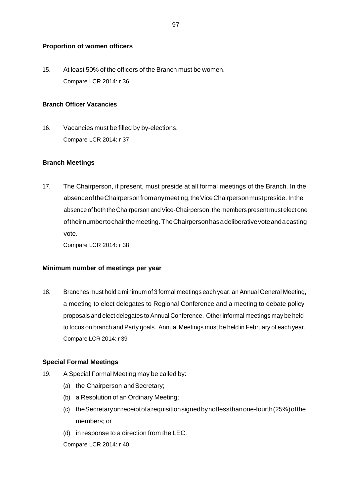# **Proportion of women officers**

15. At least 50% of the officers of the Branch must be women. Compare LCR 2014: r 36

# **Branch Officer Vacancies**

16. Vacancies must be filled by by-elections. Compare LCR 2014: r 37

# **Branch Meetings**

17. The Chairperson, if present, must preside at all formal meetings of the Branch. In the absenceoftheChairpersonfromanymeeting,theViceChairpersonmustpreside. Inthe absence of both the Chairperson and Vice-Chairperson, the members present must elect one oftheirnumbertochairthemeeting. TheChairpersonhasadeliberativevoteandacasting vote.

Compare LCR 2014: r 38

# **Minimum number of meetings per year**

18. Branches must hold a minimum of 3 formal meetings each year: an Annual General Meeting, a meeting to elect delegates to Regional Conference and a meeting to debate policy proposals and elect delegates to Annual Conference. Other informal meetings may be held to focus on branch and Party goals. Annual Meetings must be held in February of each year. Compare LCR 2014: r 39

# **Special Formal Meetings**

- 19. A Special Formal Meeting may be called by:
	- (a) the Chairperson andSecretary;
	- (b) a Resolution of an Ordinary Meeting;
	- (c) theSecretaryonreceiptofarequisitionsignedbynotlessthanone-fourth(25%)ofthe members; or
	- (d) in response to a direction from the LEC.

Compare LCR 2014: r 40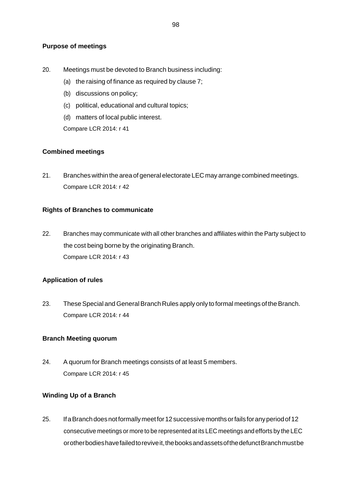- 20. Meetings must be devoted to Branch business including:
	- (a) the raising of finance as required by clause 7;
	- (b) discussions on policy;
	- (c) political, educational and cultural topics;
	- (d) matters of local public interest.

Compare LCR 2014: r 41

# **Combined meetings**

21. Branches within the area of general electorate LEC may arrange combined meetings. Compare LCR 2014: r 42

### **Rights of Branches to communicate**

22. Branches may communicate with all other branches and affiliates within the Party subject to the cost being borne by the originating Branch. Compare LCR 2014: r 43

# **Application of rules**

23. These Special and General Branch Rules apply only to formal meetings of the Branch. Compare LCR 2014: r 44

# **Branch Meeting quorum**

24. A quorum for Branch meetings consists of at least 5 members. Compare LCR 2014: r 45

### **Winding Up of a Branch**

25. IfaBranchdoesnotformallymeetfor12successivemonthsorfails foranyperiodof12 consecutive meetings or more to be represented at its LEC meetings and efforts by the LEC orotherbodieshavefailedtoreviveit,thebooksandassetsofthedefunctBranchmustbe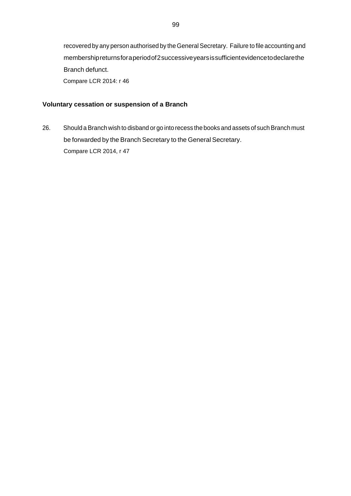recovered by any person authorised by the General Secretary. Failure to file accounting and membershipreturnsforaperiodof2successiveyearsissufficientevidencetodeclarethe Branch defunct. Compare LCR 2014: r 46

**Voluntary cessation or suspension of a Branch**

26. Should a Branch wish to disband or go into recess the books and assets of such Branch must be forwarded by the Branch Secretary to the General Secretary. Compare LCR 2014, r 47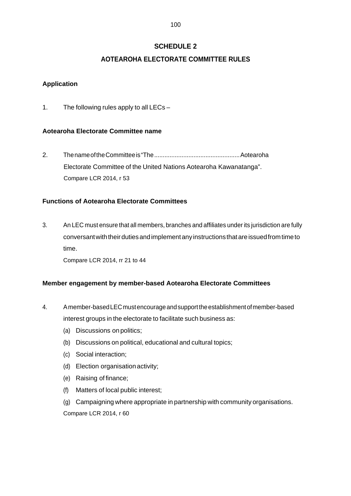# **SCHEDULE 2**

# **AOTEAROHA ELECTORATE COMMITTEE RULES**

# **Application**

1. The following rules apply to all LECs –

# **Aotearoha Electorate Committee name**

2. ThenameoftheCommitteeis"The..................................................Aotearoha Electorate Committee of the United Nations Aotearoha Kawanatanga". Compare LCR 2014, r 53

# **Functions of Aotearoha Electorate Committees**

3. An LEC must ensure that all members, branches and affiliates under its jurisdiction are fully conversant with their duties and implement any instructions that are issued from time to time.

Compare LCR 2014, rr 21 to 44

# **Member engagement by member-based Aotearoha Electorate Committees**

- 4. Amember-basedLECmustencourageandsupporttheestablishmentofmember-based interest groups in the electorate to facilitate such business as:
	- (a) Discussions on politics;
	- (b) Discussions on political, educational and cultural topics;
	- (c) Social interaction;
	- (d) Election organisation activity;
	- (e) Raising of finance;
	- (f) Matters of local public interest;

(g) Campaigning where appropriate in partnership with community organisations. Compare LCR 2014, r 60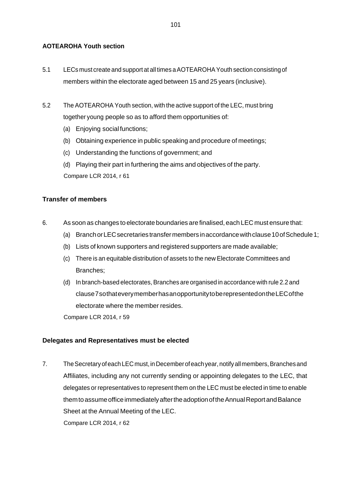### **AOTEAROHA Youth section**

- 5.1 LECs must create and support at alltimes aAOTEAROHAYouth section consisting of members within the electorate aged between 15 and 25 years (inclusive).
- 5.2 The AOTEAROHA Youth section, with the active support of the LEC, must bring together young people so as to afford them opportunities of:
	- (a) Enjoying social functions;
	- (b) Obtaining experience in public speaking and procedure of meetings;
	- (c) Understanding the functions of government; and
	- (d) Playing their part in furthering the aims and objectives of the party. Compare LCR 2014, r 61

### **Transfer of members**

- 6. As soon as changes to electorate boundaries are finalised, each LEC must ensure that:
	- (a) Branch or LEC secretaries transfer members in accordance with clause 10 of Schedule 1;
	- (b) Lists of known supporters and registered supporters are made available;
	- (c) There is an equitable distribution of assets to the new Electorate Committees and Branches;
	- (d) In branch-based electorates, Branches are organised in accordance with rule 2.2 and clause7sothateverymemberhasanopportunitytoberepresentedontheLECofthe electorate where the member resides.

Compare LCR 2014, r 59

### **Delegates and Representatives must be elected**

7. The Secretary of each LEC must, in December of each year, notify all members, Branches and Affiliates, including any not currently sending or appointing delegates to the LEC, that delegates or representatives to represent them on the LEC must be elected in time to enable them to assume office immediately after the adoption of the Annual Report and Balance Sheet at the Annual Meeting of the LEC. Compare LCR 2014, r 62

101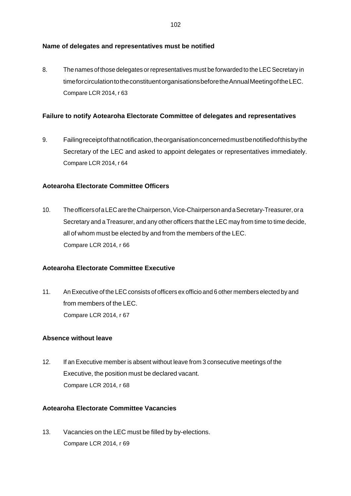### **Name of delegates and representatives must be notified**

8. The names of those delegates or representatives must be forwarded to the LEC Secretary in timeforcirculationtotheconstituentorganisationsbeforetheAnnualMeetingoftheLEC. Compare LCR 2014, r 63

### **Failure to notify Aotearoha Electorate Committee of delegates and representatives**

9. Failingreceiptofthatnotification,theorganisationconcernedmustbenotifiedofthisbythe Secretary of the LEC and asked to appoint delegates or representatives immediately. Compare LCR 2014, r 64

### **Aotearoha Electorate Committee Officers**

10. TheofficersofaLECaretheChairperson,Vice-ChairpersonandaSecretary-Treasurer,ora Secretary and a Treasurer, and any other officers that the LEC may from time to time decide, all of whom must be elected by and from the members of the LEC. Compare LCR 2014, r 66

### **Aotearoha Electorate Committee Executive**

11. AnExecutive of the LEC consists of officers ex officio and 6 other members elected by and from members of the LEC. Compare LCR 2014, r 67

### **Absence without leave**

12. If an Executive member is absent without leave from 3 consecutive meetings of the Executive, the position must be declared vacant. Compare LCR 2014, r 68

### **Aotearoha Electorate Committee Vacancies**

13. Vacancies on the LEC must be filled by by-elections. Compare LCR 2014, r 69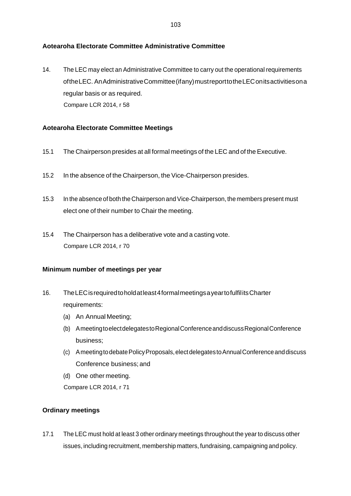### **Aotearoha Electorate Committee Administrative Committee**

14. The LEC may elect an Administrative Committee to carry out the operational requirements oftheLEC. AnAdministrativeCommittee(ifany)mustreporttotheLEConitsactivitiesona regular basis or as required. Compare LCR 2014, r 58

### **Aotearoha Electorate Committee Meetings**

- 15.1 The Chairperson presides at all formal meetings of the LEC and of the Executive.
- 15.2 In the absence of the Chairperson, the Vice-Chairperson presides.
- 15.3 In the absence of both the Chairperson and Vice-Chairperson, the members present must elect one of their number to Chair the meeting.
- 15.4 The Chairperson has a deliberative vote and a casting vote. Compare LCR 2014, r 70

### **Minimum number of meetings per year**

- 16. TheLECisrequiredtoholdatleast4formalmeetingsayeartofulfilitsCharter requirements:
	- (a) An Annual Meeting;
	- (b) AmeetingtoelectdelegatestoRegionalConferenceanddiscussRegionalConference business;
	- (c) AmeetingtodebatePolicyProposals,electdelegatestoAnnualConferenceanddiscuss Conference business; and
	- (d) One other meeting.

Compare LCR 2014, r 71

# **Ordinary meetings**

17.1 The LEC must hold at least 3 other ordinary meetings throughout the year to discuss other issues, including recruitment, membership matters, fundraising, campaigning and policy.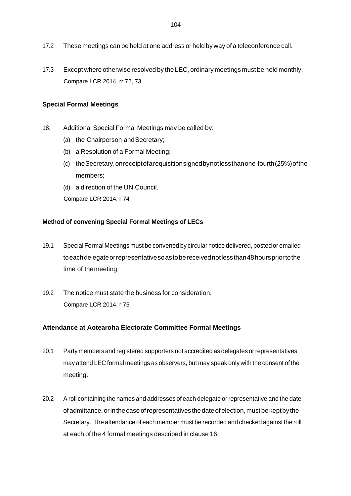- 17.2 These meetings can be held at one address or held by way of a teleconference call.
- 17.3 Except where otherwise resolved by the LEC, ordinary meetings must be held monthly. Compare LCR 2014, rr 72, 73

### **Special Formal Meetings**

- 18. Additional Special Formal Meetings may be called by:
	- (a) the Chairperson andSecretary;
	- (b) a Resolution of a Formal Meeting;
	- (c) theSecretary,onreceiptofarequisitionsignedbynotlessthanone-fourth(25%)ofthe members;
	- (d) a direction of the UN Council.

Compare LCR 2014, r 74

#### **Method of convening Special Formal Meetings of LECs**

- 19.1 Special Formal Meetings must be convened by circular notice delivered, posted or emailed toeachdelegateorrepresentativesoastobereceivednotlessthan48hourspriortothe time of themeeting.
- 19.2 The notice must state the business for consideration. Compare LCR 2014, r 75

#### **Attendance at Aotearoha Electorate Committee Formal Meetings**

- 20.1 Party members and registered supporters not accredited as delegates orrepresentatives may attend LEC formal meetings as observers, but may speak only with the consent of the meeting.
- 20.2 A roll containing the names and addresses of each delegate or representative and the date ofadmittance,orinthecaseofrepresentatives thedateofelection,mustbekeptbythe Secretary. The attendance of each member must be recorded and checked against the roll at each of the 4 formal meetings described in clause 16.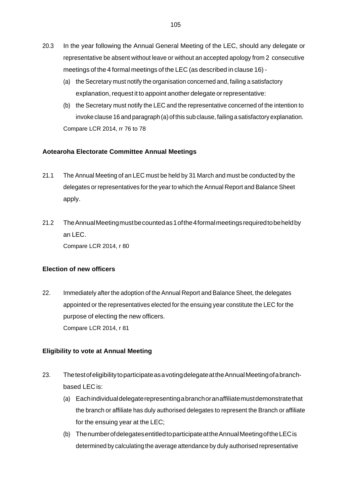- 20.3 In the year following the Annual General Meeting of the LEC, should any delegate or representative be absent without leave or without an accepted apology from 2 consecutive meetings of the 4 formal meetings of the LEC (as described in clause 16) -
	- (a) the Secretary must notify the organisation concerned and, failing a satisfactory explanation, request it to appoint another delegate or representative:
	- (b) the Secretary must notify the LEC and the representative concerned of the intention to invoke clause 16 and paragraph (a) of this subclause, failing a satisfactory explanation. Compare LCR 2014, rr 76 to 78

### **Aotearoha Electorate Committee Annual Meetings**

- 21.1 The Annual Meeting of an LEC must be held by 31 March and must be conducted by the delegates or representatives for the year to which the Annual Report and Balance Sheet apply.
- 21.2 TheAnnualMeetingmustbecountedas1ofthe4formalmeetingsrequiredtobeheldby an LEC. Compare LCR 2014, r 80

### **Election of new officers**

22. Immediately after the adoption of the Annual Report and Balance Sheet, the delegates appointed or the representatives elected for the ensuing year constitute the LEC for the purpose of electing the new officers. Compare LCR 2014, r 81

### **Eligibility to vote at Annual Meeting**

- 23. ThetestofeligibilitytoparticipateasavotingdelegateattheAnnualMeetingofabranchbased LEC is:
	- (a) Eachindividualdelegaterepresentingabranchoranaffiliatemustdemonstratethat the branch or affiliate has duly authorised delegates to represent the Branch or affiliate for the ensuing year at the LEC;
	- (b) ThenumberofdelegatesentitledtoparticipateattheAnnualMeetingoftheLECis determined by calculating the average attendance by duly authorised representative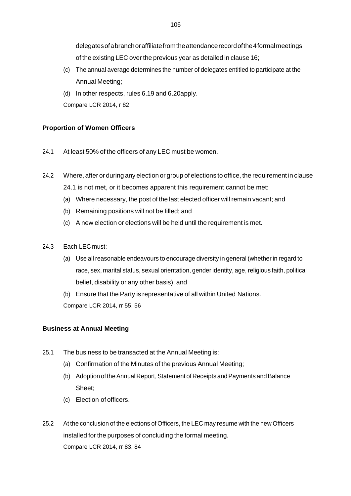delegatesofabranchoraffiliatefromtheattendancerecordofthe4formalmeetings of the existing LEC over the previous year as detailed in clause 16;

- (c) The annual average determines the number of delegates entitled to participate at the Annual Meeting;
- (d) In other respects, rules 6.19 and 6.20apply.

Compare LCR 2014, r 82

# **Proportion of Women Officers**

- 24.1 At least 50% of the officers of any LEC must be women.
- 24.2 Where, after or during any election or group of elections to office, the requirement in clause 24.1 is not met, or it becomes apparent this requirement cannot be met:
	- (a) Where necessary, the post of the last elected officer will remain vacant; and
	- (b) Remaining positions will not be filled; and
	- (c) A new election or elections will be held until the requirement is met.
- 24.3 Each LEC must:
	- (a) Use all reasonable endeavours to encourage diversity in general (whether in regard to race, sex, marital status, sexual orientation, gender identity, age, religious faith, political belief, disability or any other basis); and
	- (b) Ensure that the Party is representative of all within United Nations. Compare LCR 2014, rr 55, 56

### **Business at Annual Meeting**

- 25.1 The business to be transacted at the Annual Meeting is:
	- (a) Confirmation of the Minutes of the previous Annual Meeting;
	- (b) Adoption of the Annual Report, Statement of Receipts and Payments and Balance Sheet;
	- (c) Election of officers.
- 25.2 At the conclusion of the elections of Officers, the LEC may resume with the new Officers installed for the purposes of concluding the formal meeting. Compare LCR 2014, rr 83, 84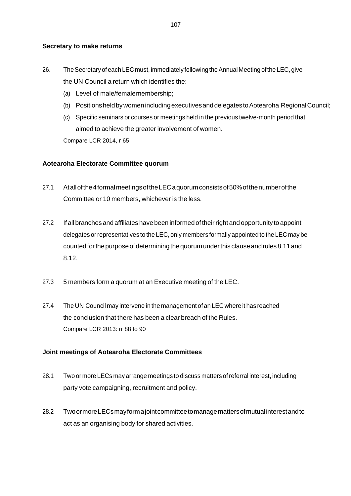#### **Secretary to make returns**

- 26. TheSecretaryof each LEC must, immediately followingtheAnnual Meetingofthe LEC, give the UN Council a return which identifies the:
	- (a) Level of male/femalemembership;
	- (b) PositionsheldbywomenincludingexecutivesanddelegatestoAotearoha RegionalCouncil;
	- (c) Specific seminars or courses or meetings held in the previous twelve-month period that aimed to achieve the greater involvement of women.

Compare LCR 2014, r 65

### **Aotearoha Electorate Committee quorum**

- 27.1 Atallofthe4formalmeetingsoftheLECaquorumconsistsof50%ofthenumberofthe Committee or 10 members, whichever is the less.
- 27.2 If all branches andaffiliates have been informedof theirright and opportunity to appoint delegates orrepresentatives to the LEC, only members formally appointed to the LEC may be countedforthepurposeofdeterminingthequorumunderthis clauseandrules8.11and 8.12.
- 27.3 5 members form a quorum at an Executive meeting of the LEC.
- 27.4 The UN Council may intervene in the management of an LEC where it has reached the conclusion that there has been a clear breach of the Rules. Compare LCR 2013: rr 88 to 90

#### **Joint meetings of Aotearoha Electorate Committees**

- 28.1 Two or more LECs may arrange meetings to discuss matters ofreferral interest, including party vote campaigning, recruitment and policy.
- 28.2 TwoormoreLECsmayformajointcommitteetomanagemattersofmutualinterestandto act as an organising body for shared activities.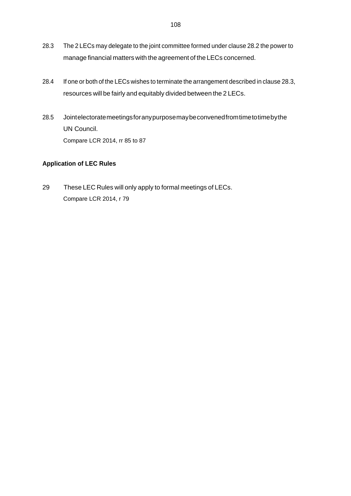- 28.3 The 2 LECs may delegate to the joint committee formed under clause 28.2 the power to manage financial matters with the agreement of the LECs concerned.
- 28.4 If one or both of the LECs wishes to terminate the arrangement described in clause 28.3, resources will be fairly and equitably divided between the 2 LECs.
- 28.5 Jointelectoratemeetingsforanypurposemaybeconvenedfromtimetotimebythe UN Council. Compare LCR 2014, rr 85 to 87

### **Application of LEC Rules**

29 These LEC Rules will only apply to formal meetings of LECs. Compare LCR 2014, r 79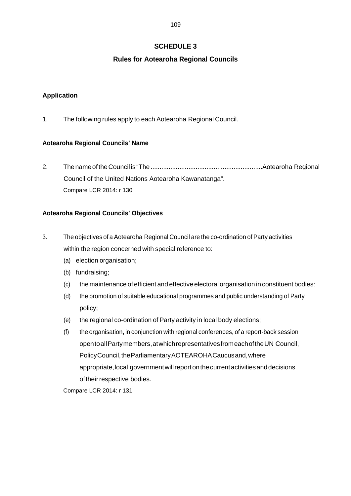# **SCHEDULE 3**

# **Rules for Aotearoha Regional Councils**

### **Application**

1. The following rules apply to each Aotearoha Regional Council.

### **Aotearoha Regional Councils' Name**

2. ThenameoftheCouncil is "The..............................................................Aotearoha Regional Council of the United Nations Aotearoha Kawanatanga". Compare LCR 2014: r 130

### **Aotearoha Regional Councils' Objectives**

- 3. The objectives of a Aotearoha Regional Council are the co-ordination of Party activities within the region concerned with special reference to:
	- (a) election organisation;
	- (b) fundraising;
	- (c) the maintenance of efficient and effective electoral organisation in constituent bodies:
	- (d) the promotion of suitable educational programmes and public understanding of Party policy;
	- (e) the regional co-ordination of Party activity in local body elections;
	- (f) the organisation, in conjunction with regional conferences, of a report-back session opentoallPartymembers,atwhichrepresentativesfromeachoftheUN Council, PolicyCouncil,theParliamentaryAOTEAROHACaucusand,where appropriate, local government will report on the current activities and decisions oftheirrespective bodies.

Compare LCR 2014: r 131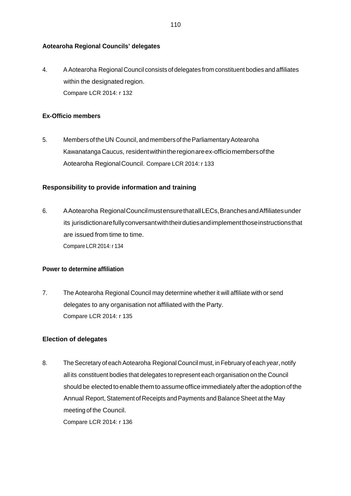### **Aotearoha Regional Councils' delegates**

4. AAotearoha Regional Council consists of delegates from constituent bodies and affiliates within the designated region. Compare LCR 2014: r 132

### **Ex-Officio members**

5. Members of the UN Council, and members of the Parliamentary Aotearoha Kawanatanga Caucus, residentwithintheregionareex-officiomembersofthe Aotearoha RegionalCouncil. Compare LCR 2014: r 133

### **Responsibility to provide information and training**

6. AAotearoha RegionalCouncilmustensurethatallLECs,BranchesandAffiliatesunder its jurisdictionarefullyconversantwiththeirdutiesandimplementthoseinstructionsthat are issued from time to time. Compare LCR 2014: r 134

### **Power to determine affiliation**

7. The Aotearoha Regional Council may determine whether it will affiliate with or send delegates to any organisation not affiliated with the Party. Compare LCR 2014: r 135

### **Election of delegates**

8. The Secretary of each Aotearoha Regional Council must, in February of each year, notify all its constituent bodies that delegates to represent each organisation on the Council should be elected to enable them to assume office immediately after the adoption of the Annual Report, Statement of Receipts andPayments and Balance Sheet at the May meeting of the Council. Compare LCR 2014: r 136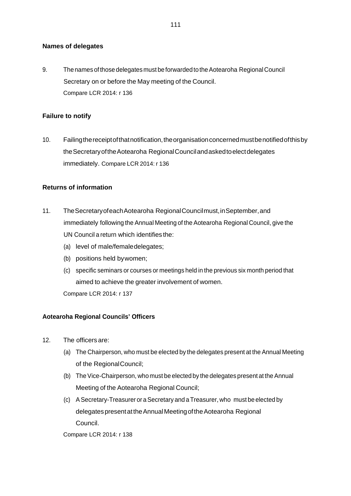### **Names of delegates**

9. The names of those delegatesmust be forwardedto theAotearoha Regional Council Secretary on or before the May meeting of the Council. Compare LCR 2014: r 136

### **Failure to notify**

10. Failingthereceiptofthatnotification,theorganisationconcernedmustbenotifiedofthisby theSecretaryoftheAotearoha RegionalCouncilandaskedtoelectdelegates immediately. Compare LCR 2014: r 136

#### **Returns of information**

- 11. TheSecretaryofeachAotearoha RegionalCouncilmust,inSeptember,and immediately following the Annual Meeting of the Aotearoha Regional Council, give the UN Council a return which identifies the:
	- (a) level of male/femaledelegates;
	- (b) positions held bywomen;
	- (c) specific seminars or courses or meetings held in the previous six month period that aimed to achieve the greater involvement of women.

Compare LCR 2014: r 137

### **Aotearoha Regional Councils' Officers**

- 12. The officers are:
	- (a) The Chairperson, who must be elected by the delegates present at the Annual Meeting of the RegionalCouncil;
	- (b) The Vice-Chairperson, who must be elected by the delegates present at the Annual Meeting of the Aotearoha Regional Council;
	- (c) ASecretary-Treasurer or aSecretary and aTreasurer, who must be elected by delegates present at the Annual Meeting of the Aotearoha Regional Council.

Compare LCR 2014: r 138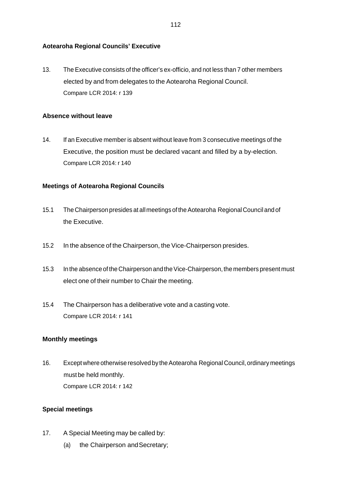### **Aotearoha Regional Councils' Executive**

13. The Executive consists of the officer's ex-officio, and not less than 7 other members elected by and from delegates to the Aotearoha Regional Council. Compare LCR 2014: r 139

### **Absence without leave**

14. If an Executive member is absent without leave from 3 consecutive meetings of the Executive, the position must be declared vacant and filled by a by-election. Compare LCR 2014: r 140

### **Meetings of Aotearoha Regional Councils**

- 15.1 The Chairperson presides at allmeetings of theAotearoha Regional Council and of the Executive.
- 15.2 In the absence of the Chairperson, the Vice-Chairperson presides.
- 15.3 In the absence of the Chairperson and the Vice-Chairperson, the members present must elect one of their number to Chair the meeting.
- 15.4 The Chairperson has a deliberative vote and a casting vote. Compare LCR 2014: r 141

# **Monthly meetings**

16. Except where otherwise resolved by the Aotearoha Regional Council, ordinary meetings must be held monthly. Compare LCR 2014: r 142

### **Special meetings**

- 17. A Special Meeting may be called by:
	- (a) the Chairperson andSecretary;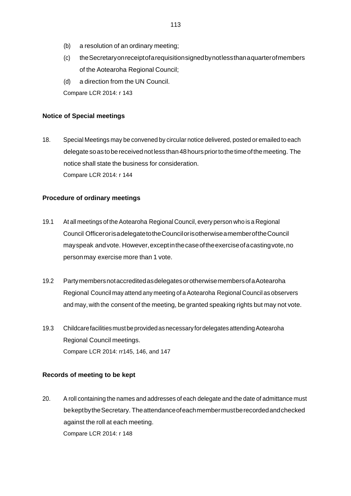- (b) a resolution of an ordinary meeting;
- (c) theSecretaryonreceiptofarequisitionsignedbynotlessthanaquarterofmembers of the Aotearoha Regional Council;
- (d) a direction from the UN Council.

Compare LCR 2014: r 143

### **Notice of Special meetings**

18. Special Meetings may be convened by circular notice delivered, posted or emailed to each delegatesoas tobereceivednotlessthan48hourspriortothetimeofthemeeting. The notice shall state the business for consideration. Compare LCR 2014: r 144

# **Procedure of ordinary meetings**

- 19.1 At all meetings of the Aotearoha Regional Council, every person who is a Regional Council OfficerorisadelegatetotheCouncilorisotherwiseamemberoftheCouncil mayspeak andvote. However,exceptinthecaseoftheexerciseofacastingvote,no personmay exercise more than 1 vote.
- 19.2 PartymembersnotaccreditedasdelegatesorotherwisemembersofaAotearoha Regional Council may attend any meeting of aAotearoha Regional Council as observers and may, with the consent of the meeting, be granted speaking rights but may not vote.
- 19.3 ChildcarefacilitiesmustbeprovidedasnecessaryfordelegatesattendingAotearoha Regional Council meetings. Compare LCR 2014: rr145, 146, and 147

### **Records of meeting to be kept**

20. A roll containing the names and addresses of each delegate and the date of admittance must bekeptbytheSecretary. Theattendanceofeachmembermustberecordedandchecked against the roll at each meeting. Compare LCR 2014: r 148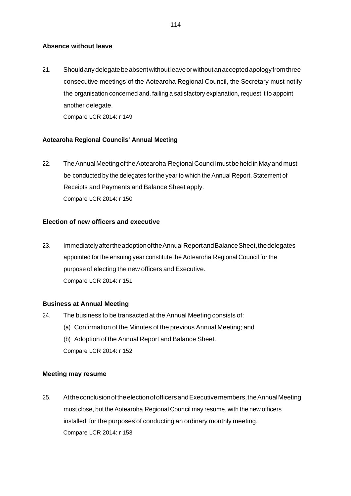### **Absence without leave**

21. Shouldanydelegatebeabsentwithoutleaveorwithoutanacceptedapologyfromthree consecutive meetings of the Aotearoha Regional Council, the Secretary must notify the organisation concerned and, failing a satisfactory explanation, request it to appoint another delegate.

Compare LCR 2014: r 149

### **Aotearoha Regional Councils' Annual Meeting**

22. The Annual Meeting of the Aotearoha Regional Council must be held in May and must be conducted by the delegates for the year to which the Annual Report, Statement of Receipts and Payments and Balance Sheet apply. Compare LCR 2014: r 150

### **Election of new officers and executive**

23. Immediately after the adoption of the Annual Report and Balance Sheet, the delegates appointed for the ensuing year constitute the Aotearoha Regional Council for the purpose of electing the new officers and Executive. Compare LCR 2014: r 151

#### **Business at Annual Meeting**

- 24. The business to be transacted at the Annual Meeting consists of:
	- (a) Confirmation of the Minutes of the previous Annual Meeting; and
	- (b) Adoption of the Annual Report and Balance Sheet.

Compare LCR 2014: r 152

#### **Meeting may resume**

25. At the conclusion of the election of officers and Executive members, the Annual Meeting must close, but the Aotearoha Regional Council may resume, with the new officers installed, for the purposes of conducting an ordinary monthly meeting. Compare LCR 2014: r 153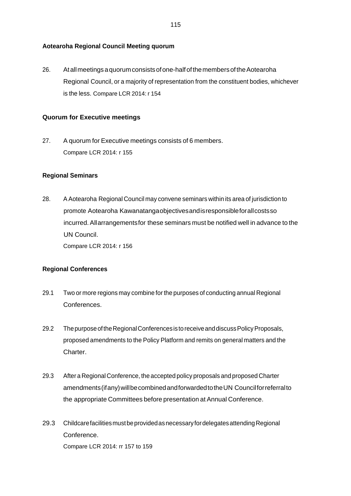#### **Aotearoha Regional Council Meeting quorum**

26. Atallmeetingsaquorumconsistsofone-halfofthemembersoftheAotearoha Regional Council, or a majority of representation from the constituent bodies, whichever is the less. Compare LCR 2014: r 154

#### **Quorum for Executive meetings**

27. A quorum for Executive meetings consists of 6 members. Compare LCR 2014: r 155

#### **Regional Seminars**

28. A Aotearoha Regional Council may convene seminars within its area of jurisdiction to promote Aotearoha Kawanatangaobjectivesandisresponsibleforallcostsso incurred.Allarrangementsfor these seminars must be notified well in advance to the UN Council.

Compare LCR 2014: r 156

#### **Regional Conferences**

- 29.1 Two or more regions may combine forthe purposes of conducting annual Regional Conferences.
- 29.2 The purpose of the Regional Conferences is to receive and discuss Policy Proposals, proposed amendments to the Policy Platform and remits on general matters and the Charter.
- 29.3 After a Regional Conference, the accepted policy proposals and proposed Charter amendments(ifany)willbecombinedandforwardedtotheUN Councilforreferralto the appropriate Committees before presentation at Annual Conference.
- 29.3 ChildcarefacilitiesmustbeprovidedasnecessaryfordelegatesattendingRegional Conference. Compare LCR 2014: rr 157 to 159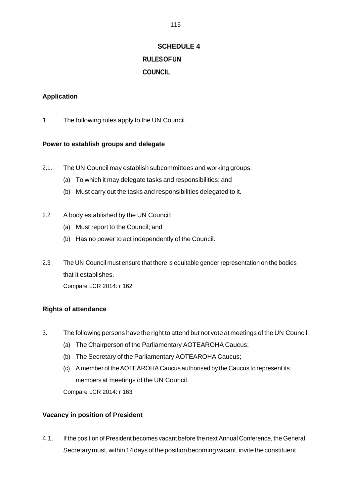# **SCHEDULE 4 RULESOFUN COUNCIL**

### **Application**

1. The following rules apply to the UN Council.

### **Power to establish groups and delegate**

- 2.1. The UN Council may establish subcommittees and working groups:
	- (a) To which it may delegate tasks and responsibilities; and
	- (b) Must carry out the tasks and responsibilities delegated to it.
- 2.2 A body established by the UN Council:
	- (a) Must report to the Council; and
	- (b) Has no power to act independently of the Council.
- 2.3 The UN Council must ensure that there is equitable gender representation on the bodies that it establishes. Compare LCR 2014: r 162

### **Rights of attendance**

- 3. The following persons have the right to attend but not vote at meetings of the UN Council:
	- (a) The Chairperson of the Parliamentary AOTEAROHA Caucus;
	- (b) The Secretary of the Parliamentary AOTEAROHA Caucus;
	- (c) A member of the AOTEAROHA Caucus authorised by the Caucus to represent its members at meetings of the UN Council.

Compare LCR 2014: r 163

### **Vacancy in position of President**

4.1. If the position of President becomes vacant before the next Annual Conference, the General Secretary must, within 14 days of the position becoming vacant, invite the constituent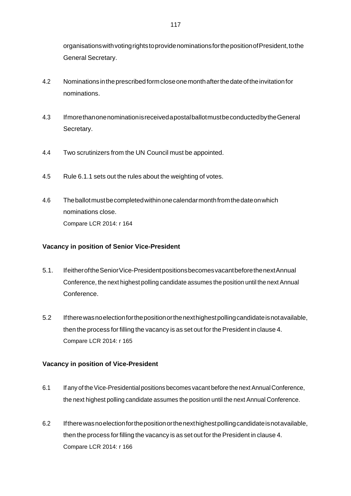organisations with voting rights to provide nominations for the position of President, to the General Secretary.

- 4.2 Nominationsintheprescribedformcloseonemonthafterthedateoftheinvitationfor nominations.
- 4.3 IfmorethanonenominationisreceivedapostalballotmustbeconductedbytheGeneral Secretary.
- 4.4 Two scrutinizers from the UN Council must be appointed.
- 4.5 Rule 6.1.1 sets out the rules about the weighting of votes.
- 4.6 Theballotmustbecompletedwithinonecalendarmonthfromthedateonwhich nominations close. Compare LCR 2014: r 164

### **Vacancy in position of Senior Vice-President**

- 5.1. IfeitheroftheSeniorVice-PresidentpositionsbecomesvacantbeforethenextAnnual Conference, the next highest polling candidate assumes the position until the next Annual Conference.
- 5.2 Iftherewasnoelectionforthepositionorthenexthighestpollingcandidateisnotavailable, then the process for filling the vacancy is as set out for the President in clause 4. Compare LCR 2014: r 165

# **Vacancy in position of Vice-President**

- 6.1 If any of the Vice-Presidential positions becomes vacant before the next Annual Conference, the next highest polling candidate assumes the position until the next Annual Conference.
- 6.2 Iftherewasnoelectionforthepositionorthenexthighestpollingcandidateisnotavailable, then the process for filling the vacancy is as set out for the President in clause 4. Compare LCR 2014: r 166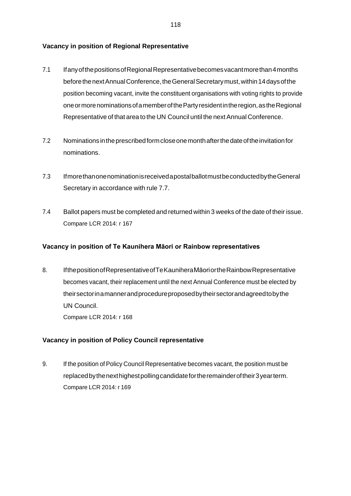### **Vacancy in position of Regional Representative**

- 7.1 If any of the positions of Regional Representative becomes vacant more than 4 months before the next Annual Conference, the General Secretary must, within 14 days of the position becoming vacant, invite the constituent organisations with voting rights to provide oneormorenominationsofamemberofthePartyresidentintheregion,astheRegional Representative of that area to the UN Council until the next Annual Conference.
- 7.2 Nominationsintheprescribedformcloseonemonthafterthedateoftheinvitationfor nominations.
- 7.3 IfmorethanonenominationisreceivedapostalballotmustbeconductedbytheGeneral Secretary in accordance with rule 7.7.
- 7.4 Ballot papers must be completed and returned within 3 weeks of the date of their issue. Compare LCR 2014: r 167

### **Vacancy in position of Te Kaunihera Māori or Rainbow representatives**

8. IfthepositionofRepresentativeofTeKauniheraMāoriortheRainbowRepresentative becomes vacant, their replacement until the next Annual Conference must be elected by theirsectorinamannerandprocedureproposedbytheirsectorandagreedtobythe UN Council. Compare LCR 2014: r 168

# **Vacancy in position of Policy Council representative**

9. If the position of Policy Council Representative becomes vacant, the position must be replacedbythenexthighestpollingcandidatefortheremainderoftheir3yearterm. Compare LCR 2014: r 169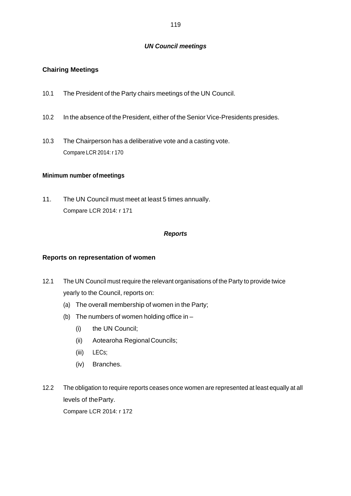### *UN Council meetings*

### **Chairing Meetings**

- 10.1 The President of the Party chairs meetings of the UN Council.
- 10.2 In the absence of the President, either of the Senior Vice-Presidents presides.
- 10.3 The Chairperson has a deliberative vote and a casting vote. Compare LCR 2014: r 170

### **Minimum number ofmeetings**

11. The UN Council must meet at least 5 times annually. Compare LCR 2014: r 171

### *Reports*

### **Reports on representation of women**

- 12.1 The UN Council must require the relevant organisations of the Party to provide twice yearly to the Council, reports on:
	- (a) The overall membership of women in the Party;
	- (b) The numbers of women holding office in  $-$ 
		- (i) the UN Council;
		- (ii) Aotearoha RegionalCouncils;
		- (iii) LECs;
		- (iv) Branches.
- 12.2 The obligation to require reports ceases once women are represented at least equally at all levels of theParty.

Compare LCR 2014: r 172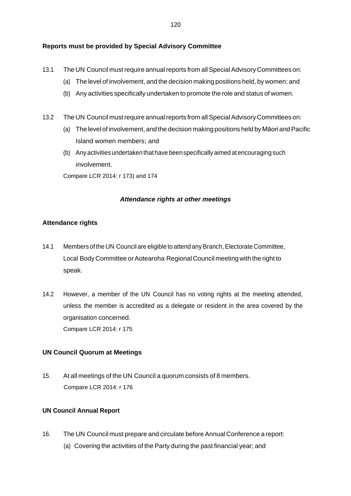### **Reports must be provided by Special Advisory Committee**

- 13.1 The UN Council must require annual reports from all Special Advisory Committees on:
	- (a) The level of involvement, and the decision making positions held, by women; and
	- (b) Any activities specifically undertaken to promote the role and status of women.
- 13.2 The UN Council must require annual reports from all Special Advisory Committees on:
	- (a) The level of involvement, and the decision making positions held by Māori andPacific Island women members; and
	- (b) Any activities undertaken that have been specifically aimed at encouraging such involvement.

Compare LCR 2014: r 173) and 174

### *Attendance rights at other meetings*

### **Attendance rights**

- 14.1 Members of the UN Council are eligible to attend any Branch, Electorate Committee, Local Body Committee or Aotearoha Regional Council meeting with the right to speak.
- 14.2 However, a member of the UN Council has no voting rights at the meeting attended, unless the member is accredited as a delegate or resident in the area covered by the organisation concerned. Compare LCR 2014: r 175

### **UN Council Quorum at Meetings**

15. At all meetings of the UN Council a quorum consists of 8 members. Compare LCR 2014: r 176

### **UN Council Annual Report**

- 16. The UN Council must prepare and circulate before Annual Conference a report:
	- (a) Covering the activities of the Party during the past financial year; and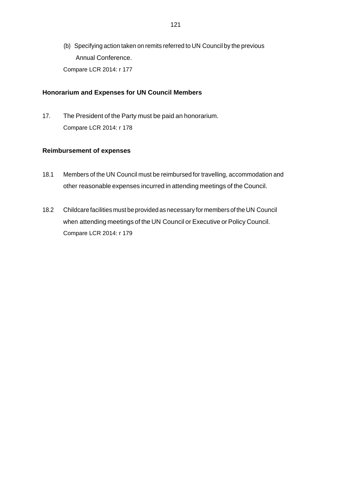(b) Specifying action taken on remits referred to UN Council by the previous Annual Conference. Compare LCR 2014: r 177

### **Honorarium and Expenses for UN Council Members**

17. The President of the Party must be paid an honorarium. Compare LCR 2014: r 178

#### **Reimbursement of expenses**

- 18.1 Members of the UN Council must be reimbursed for travelling, accommodation and other reasonable expenses incurred in attending meetings of the Council.
- 18.2 Childcare facilities must be provided as necessary for members of the UN Council when attending meetings of the UN Council or Executive or Policy Council. Compare LCR 2014: r 179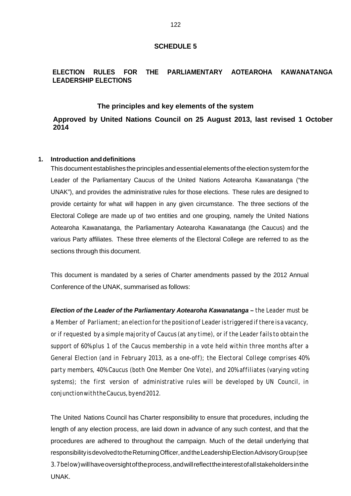#### **SCHEDULE 5**

# **ELECTION RULES FOR THE PARLIAMENTARY AOTEAROHA KAWANATANGA LEADERSHIP ELECTIONS**

### **The principles and key elements of the system**

# **Approved by United Nations Council on 25 August 2013, last revised 1 October 2014**

### **1. Introduction anddefinitions**

This document establishes the principles and essential elements of the election system for the Leader of the Parliamentary Caucus of the United Nations Aotearoha Kawanatanga ("the UNAK"), and provides the administrative rules for those elections. These rules are designed to provide certainty for what will happen in any given circumstance. The three sections of the Electoral College are made up of two entities and one grouping, namely the United Nations Aotearoha Kawanatanga, the Parliamentary Aotearoha Kawanatanga (the Caucus) and the various Party affiliates. These three elements of the Electoral College are referred to as the sections through this document.

This document is mandated by a series of Charter amendments passed by the 2012 Annual Conference of the UNAK, summarised as follows:

*Election of the Leader of the Parliamentary Aotearoha Kawanatanga – the Leader must be a Member of Parliament; an election for the position of Leader is triggered if there is a vacancy,* or if requested by a simple majority of Caucus (at any time), or if the Leader fails to obtain the *support of 60% plus 1 of the Caucus membership in a vote held within three months after a General Election (and in February 2013, as a one-off); the Electoral College comprises 40% party members, 40% Caucus (both One Member One Vote), and 20% affiliates (varying voting systems); the first version of administrative rules will be developed by UN Council, in conjunctionwiththeCaucus,byend2012.*

The United Nations Council has Charter responsibility to ensure that procedures, including the length of any election process, are laid down in advance of any such contest, and that the procedures are adhered to throughout the campaign. Much of the detail underlying that responsibilityisdevolvedtotheReturningOfficer,andtheLeadershipElectionAdvisoryGroup(*see* 3.7below) will have oversight of the process, and will reflect the interest of all stakeholders in the **UNAK**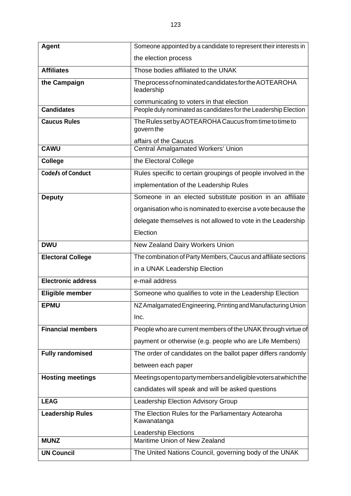| <b>Agent</b>                     | Someone appointed by a candidate to represent their interests in                                                  |
|----------------------------------|-------------------------------------------------------------------------------------------------------------------|
|                                  | the election process                                                                                              |
| <b>Affiliates</b>                | Those bodies affiliated to the UNAK                                                                               |
| the Campaign                     | The process of nominated candidates for the AOTEAROHA<br>leadership                                               |
|                                  | communicating to voters in that election                                                                          |
| <b>Candidates</b>                | People duly nominated as candidates for the Leadership Election                                                   |
| <b>Caucus Rules</b>              | The Rules set by AOTEAROHA Caucus from time to time to<br>govern the                                              |
| <b>CAWU</b>                      | affairs of the Caucus                                                                                             |
|                                  | <b>Central Amalgamated Workers' Union</b>                                                                         |
| <b>College</b>                   | the Electoral College                                                                                             |
| <b>Code/s of Conduct</b>         | Rules specific to certain groupings of people involved in the                                                     |
|                                  | implementation of the Leadership Rules                                                                            |
| <b>Deputy</b>                    | Someone in an elected substitute position in an affiliate                                                         |
|                                  | organisation who is nominated to exercise a vote because the                                                      |
|                                  | delegate themselves is not allowed to vote in the Leadership                                                      |
|                                  | Election                                                                                                          |
| <b>DWU</b>                       | New Zealand Dairy Workers Union                                                                                   |
| <b>Electoral College</b>         | The combination of Party Members, Caucus and affiliate sections                                                   |
|                                  | in a UNAK Leadership Election                                                                                     |
| <b>Electronic address</b>        | e-mail address                                                                                                    |
|                                  |                                                                                                                   |
| <b>Eligible member</b>           | Someone who qualifies to vote in the Leadership Election                                                          |
| <b>FPMU</b>                      | NZ Amalgamated Engineering, Printing and Manufacturing Union                                                      |
|                                  | Inc.                                                                                                              |
| <b>Financial members</b>         |                                                                                                                   |
|                                  | payment or otherwise (e.g. people who are Life Members)                                                           |
| <b>Fully randomised</b>          | The order of candidates on the ballot paper differs randomly                                                      |
|                                  | between each paper                                                                                                |
| <b>Hosting meetings</b>          | Meetings open to party members and eligible voters at which the                                                   |
|                                  | People who are current members of the UNAK through virtue of<br>candidates will speak and will be asked questions |
| <b>LEAG</b>                      | Leadership Election Advisory Group                                                                                |
| <b>Leadership Rules</b>          | The Election Rules for the Parliamentary Aotearoha<br>Kawanatanga                                                 |
|                                  | <b>Leadership Elections</b>                                                                                       |
| <b>MUNZ</b><br><b>UN Council</b> | Maritime Union of New Zealand<br>The United Nations Council, governing body of the UNAK                           |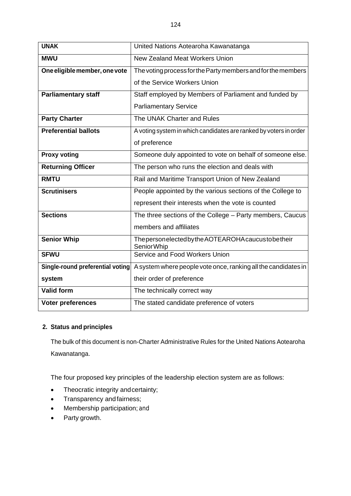| <b>UNAK</b>                      | United Nations Aotearoha Kawanatanga                              |
|----------------------------------|-------------------------------------------------------------------|
| <b>MWU</b>                       | New Zealand Meat Workers Union                                    |
| One eligible member, one vote    | The voting process for the Party members and for the members      |
|                                  | of the Service Workers Union                                      |
| <b>Parliamentary staff</b>       | Staff employed by Members of Parliament and funded by             |
|                                  | <b>Parliamentary Service</b>                                      |
| <b>Party Charter</b>             | The UNAK Charter and Rules                                        |
| <b>Preferential ballots</b>      | A voting system in which candidates are ranked by voters in order |
|                                  | of preference                                                     |
| <b>Proxy voting</b>              | Someone duly appointed to vote on behalf of someone else.         |
| <b>Returning Officer</b>         | The person who runs the election and deals with                   |
| <b>RMTU</b>                      | Rail and Maritime Transport Union of New Zealand                  |
| <b>Scrutinisers</b>              | People appointed by the various sections of the College to        |
|                                  | represent their interests when the vote is counted                |
| <b>Sections</b>                  | The three sections of the College - Party members, Caucus         |
|                                  | members and affiliates                                            |
| <b>Senior Whip</b>               | ThepersonelectedbytheAOTEAROHAcaucustobetheir<br>Senior Whip      |
| <b>SFWU</b>                      | Service and Food Workers Union                                    |
| Single-round preferential voting | A system where people vote once, ranking all the candidates in    |
| system                           | their order of preference                                         |
| <b>Valid form</b>                | The technically correct way                                       |
| <b>Voter preferences</b>         | The stated candidate preference of voters                         |

# **2. Status and principles**

The bulk of this document is non-Charter Administrative Rules for the United Nations Aotearoha Kawanatanga.

The four proposed key principles of the leadership election system are as follows:

- Theocratic integrity and certainty;
- Transparency and fairness;
- Membership participation; *and*
- Party growth.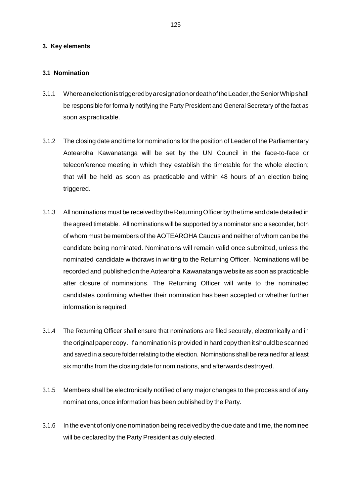#### **3. Key elements**

### **3.1 Nomination**

- 3.1.1 WhereanelectionistriggeredbyaresignationordeathoftheLeader,theSeniorWhipshall be responsible for formally notifying the Party President and General Secretary of the fact as soon as practicable.
- 3.1.2 The closing date and time for nominations for the position of Leader of the Parliamentary Aotearoha Kawanatanga will be set by the UN Council in the face-to-face or teleconference meeting in which they establish the timetable for the whole election; that will be held as soon as practicable and within 48 hours of an election being triggered.
- 3.1.3 All nominations must be received by the Returning Officer by the time and date detailed in the agreed timetable. All nominations will be supported by a nominator and a seconder, both of whom must be members of the AOTEAROHA Caucus and neither of whom can be the candidate being nominated. Nominations will remain valid once submitted, unless the nominated candidate withdraws in writing to the Returning Officer. Nominations will be recorded and published on the Aotearoha Kawanatanga website as soon as practicable after closure of nominations. The Returning Officer will write to the nominated candidates confirming whether their nomination has been accepted or whether further information is required.
- 3.1.4 The Returning Officer shall ensure that nominations are filed securely, electronically and in the original paper copy. If a nomination is provided in hard copy then it should be scanned and saved in a secure folder relating to the election. Nominations shall be retained for at least six months from the closing date for nominations, and afterwards destroyed.
- 3.1.5 Members shall be electronically notified of any major changes to the process and of any nominations, once information has been published by the Party.
- 3.1.6 In the event of only one nomination being received by the due date and time, the nominee will be declared by the Party President as duly elected.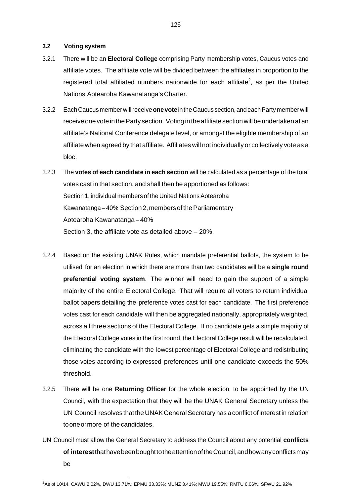### **3.2 Voting system**

- 3.2.1 There will be an **Electoral College** comprising Party membership votes, Caucus votes and affiliate votes. The affiliate vote will be divided between the affiliates in proportion to the registered total affiliated numbers nationwide for each affiliate<sup>2</sup>, as per the United Nations Aotearoha Kawanatanga'sCharter.
- 3.2.2 EachCaucusmemberwillreceive**onevote**intheCaucus section,andeachPartymemberwill receive one vote in the Party section. Voting in the affiliate section will be undertaken at an affiliate's National Conference delegate level, or amongst the eligible membership of an affiliate when agreed by that affiliate. Affiliates will not individually or collectively vote as a bloc.
- 3.2.3 The **votes of each candidate in each section** will be calculated as a percentage of the total votes cast in that section, and shall then be apportioned as follows: Section 1, individual members of the United Nations Aotearoha Kawanatanga – 40% Section 2, members of the Parliamentary Aotearoha Kawanatanga – 40% Section 3, the affiliate vote as detailed above – 20%.
- 3.2.4 Based on the existing UNAK Rules, which mandate preferential ballots, the system to be utilised for an election in which there are more than two candidates will be a **single round preferential voting system**. The winner will need to gain the support of a simple majority of the entire Electoral College. That will require all voters to return individual ballot papers detailing the preference votes cast for each candidate. The first preference votes cast for each candidate will then be aggregated nationally, appropriately weighted, across all three sections of the Electoral College. If no candidate gets a simple majority of the Electoral College votes in the first round, the Electoral College result will be recalculated, eliminating the candidate with the lowest percentage of Electoral College and redistributing those votes according to expressed preferences until one candidate exceeds the 50% threshold.
- 3.2.5 There will be one **Returning Officer** for the whole election, to be appointed by the UN Council, with the expectation that they will be the UNAK General Secretary unless the UN Council resolves thattheUNAKGeneralSecretaryhas aconflictofinterest inrelation tooneormore of the candidates.
- UN Council must allow the General Secretary to address the Council about any potential **conflicts of interest**thathavebeenboughttotheattentionoftheCouncil,andhowanyconflictsmay be

<sup>2</sup>As of 10/14, CAWU 2.02%, DWU 13.71%; EPMU 33.33%; MUNZ 3.41%; MWU 19.55%; RMTU 6.06%; SFWU 21.92%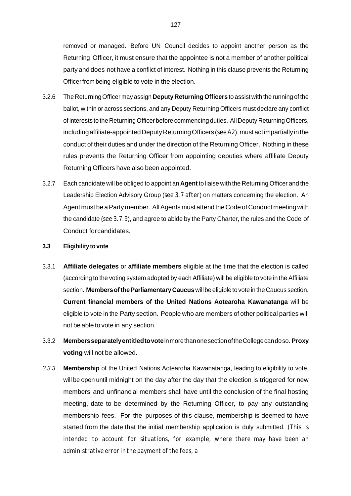removed or managed. Before UN Council decides to appoint another person as the Returning Officer, it must ensure that the appointee is not a member of another political party and does not have a conflict of interest. Nothing in this clause prevents the Returning Officer from being eligible to vote in the election.

- 3.2.6 The ReturningOfficer may assign **Deputy Returning Officers** to assist with the running of the ballot, within or across sections, and any Deputy Returning Officers must declare any conflict of interests to the Returning Officer before commencing duties. All Deputy Returning Officers, including affiliate-appointed Deputy Returning Officers (*see A2*), must act impartially in the conduct of their duties and under the direction of the Returning Officer. Nothing in these rules prevents the Returning Officer from appointing deputies where affiliate Deputy Returning Officers have also been appointed.
- 3.2.7 Each candidate will be obliged to appoint an **Agent** to liaise with the Returning Officer and the Leadership Election Advisory Group (*see 3.7 after*) on matters concerning the election. An Agent must be aParty member. AllAgents must attend theCode ofConduct meetingwith the candidate (*see 3.7.9*), and agree to abide by the Party Charter, the rules and the Code of Conduct forcandidates.

#### **3.3 Eligibility tovote**

- 3.3.1 **Affiliate delegates** or **affiliate members** eligible at the time that the election is called (according to the voting system adopted by each Affiliate) will be eligible to vote in the Affiliate section. **Members of the Parliamentary Caucus** will be eligible to vote in the Caucus section. **Current financial members of the United Nations Aotearoha Kawanatanga** will be eligible to vote in the Party section. People who are members of other political parties will not be able to vote in any section.
- 3.3.2 **Membersseparatelyentitledtovote**inmorethanonesectionoftheCollegecandoso. **Proxy voting** will not be allowed.
- *3.3.3* **Membership** of the United Nations Aotearoha Kawanatanga, leading to eligibility to vote, will be open until midnight on the day after the day that the election is triggered for new members and unfinancial members shall have until the conclusion of the final hosting meeting, date to be determined by the Returning Officer, to pay any outstanding membership fees. For the purposes of this clause, membership is deemed to have started from the date that the initial membership application is duly submitted. *(This is intended to account for situations, for example, where there may have been an administrative error in the payment of the fees, a*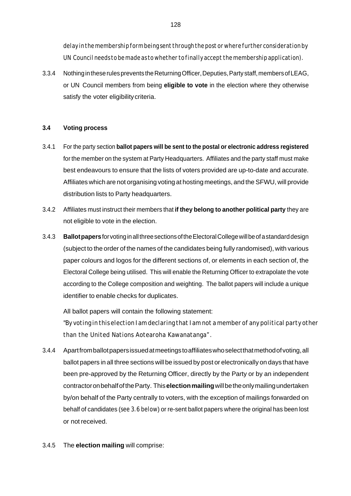*delayinthemembershipformbeingsent throughthepostorwherefurther considerationby UN Council needs to bemade as towhether tofinally accept the membershipapplication).*

3.3.4 Nothing in these rules prevents the Returning Officer, Deputies, Party staff, members of LEAG, or UN Council members from being **eligible to vote** in the election where they otherwise satisfy the voter eligibility criteria.

### **3.4 Voting process**

- 3.4.1 For the party section **ballot papers will be sent to the postal or electronic address registered**  for the member on the system at Party Headquarters. Affiliates and the party staff must make best endeavours to ensure that the lists of voters provided are up-to-date and accurate. Affiliates which are not organising voting at hosting meetings, and the SFWU, will provide distribution lists to Party headquarters.
- 3.4.2 Affiliates must instruct their members that **if they belong to another political party** they are not eligible to vote in the election.
- 3.4.3 **Ballotpapers**forvotinginallthreesectionsoftheElectoralCollegewillbeofastandarddesign (subject to the order of the names of the candidates being fully randomised), with various paper colours and logos for the different sections of, or elements in each section of, the Electoral College being utilised. This will enable the Returning Officer to extrapolate the vote according to the College composition and weighting. The ballot papers will include a unique identifier to enable checks for duplicates.

All ballot papers will contain the following statement: "By voting in this election I am declaring that I am not a member of any political party other *than the United Nations Aotearoha Kawanatanga".*

- 3.4.4 Apartfromballotpapersissuedatmeetingstoaffiliateswhoselectthatmethodofvoting,all ballot papers in all three sections will be issued by post or electronically on days that have been pre-approved by the Returning Officer, directly by the Party or by an independent contractoronbehalfoftheParty. This**electionmailing**willbetheonlymailingundertaken by/on behalf of the Party centrally to voters, with the exception of mailings forwarded on behalf of candidates (*see 3.6 below*) or re-sent ballot papers where the original has been lost or notreceived.
- 3.4.5 The **election mailing** will comprise: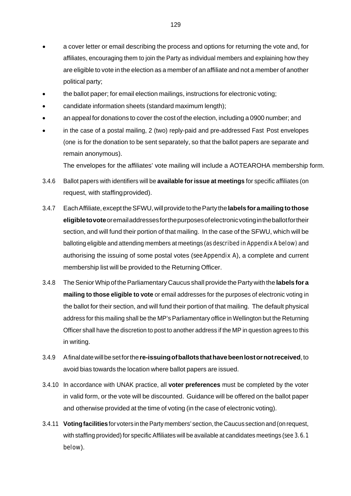- a cover letter or email describing the process and options for returning the vote and, for affiliates, encouraging them to join the Party as individual members and explaining how they are eligible to vote in the election as a member of an affiliate and not a member of another political party;
- the ballot paper; for email election mailings, instructions for electronic voting;
- candidate information sheets (standard maximum length);
- an appeal for donations to cover the cost of the election, including a 0900 number; *and*
- in the case of a postal mailing, 2 (two) reply-paid and pre-addressed Fast Post envelopes (one is for the donation to be sent separately, so that the ballot papers are separate and remain anonymous).

The envelopes for the affiliates' vote mailing will include a AOTEAROHA membership form.

- 3.4.6 Ballot papers with identifiers will be **available forissue at meetings** for specific affiliates (on request, with staffingprovided).
- 3.4.7 EachAffiliate,excepttheSFWU,willprovidetotheParty the**labelsforamailingtothose eligibletovote**oremailaddressesforthepurposesofelectronicvotingintheballotfortheir section, and will fund their portion of that mailing. In the case of the SFWU, which will be balloting eligible and attending members at meetings (*as described in Appendix A below)* and authorising the issuing of some postal votes (*seeAppendix A*), a complete and current membership list will be provided to the Returning Officer.
- 3.4.8 TheSeniorWhip of theParliamentary Caucus shall provide theParty with the **labels for a mailing to those eligible to vote** or email addresses for the purposes of electronic voting in the ballot for their section, and will fund their portion of that mailing. The default physical address for this mailing shall be the MP's Parliamentary office in Wellington but the Returning Officer shall have the discretion to post to another address if the MP in question agrees to this in writing.
- 3.4.9 Afinaldatewillbesetforthe**re-issuingofballotsthathavebeenlostornotreceived**,to avoid bias towards the location where ballot papers are issued.
- 3.4.10 In accordance with UNAK practice, all **voter preferences** must be completed by the voter in valid form, or the vote will be discounted. Guidance will be offered on the ballot paper and otherwise provided at the time of voting (in the case of electronic voting).
- 3.4.11 **Votingfacilities**for voters intheParty members' section,the Caucus sectionand(onrequest, with staffing provided) for specific Affiliates will be available at candidates meetings (*see* 3.6.1 *below*).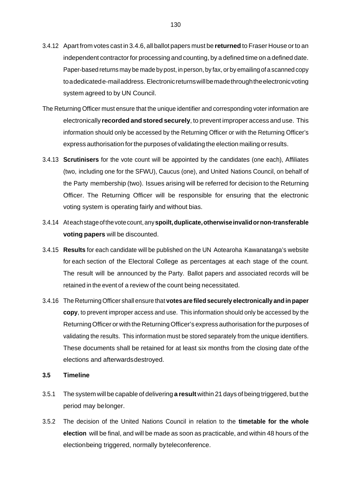- 3.4.12 Apart from votes cast in 3.4.6, all ballot papers must be **returned** to Fraser House orto an independent contractor for processing and counting, by a defined time on a defined date. Paper-based returns may be made by post, in person, by fax, or by emailing of a scanned copy toadedicatede-mailaddress. Electronicreturnswillbemadethroughtheelectronicvoting system agreed to by UN Council.
- The Returning Officer must ensure that the unique identifier and corresponding voter information are electronically **recorded and stored securely**, to prevent improper access and use. This information should only be accessed by the Returning Officer or with the Returning Officer's express authorisation forthe purposes of validating the election mailing orresults.
- 3.4.13 **Scrutinisers** for the vote count will be appointed by the candidates (one each), Affiliates (two, including one for the SFWU), Caucus (one), and United Nations Council, on behalf of the Party membership (two). Issues arising will be referred for decision to the Returning Officer. The Returning Officer will be responsible for ensuring that the electronic voting system is operating fairly and without bias.
- 3.4.14 Ateachstageofthevotecount,any**spoilt,duplicate,otherwiseinvalidornon-transferable voting papers** will be discounted.
- 3.4.15 **Results** for each candidate will be published on the UN Aotearoha Kawanatanga's website for each section of the Electoral College as percentages at each stage of the count. The result will be announced by the Party. Ballot papers and associated records will be retained in the event of a review of the count being necessitated.
- 3.4.16 The Returning Officer shall ensure that **votes are filed securely electronically and in paper copy**, to prevent improper access and use. This information should only be accessed by the ReturningOfficer or with the ReturningOfficer's express authorisation forthe purposes of validating the results. This information must be stored separately from the unique identifiers. These documents shall be retained for at least six months from the closing date ofthe elections and afterwardsdestroyed.

#### **3.5 Timeline**

- 3.5.1 The system will be capable of delivering **a result** within 21 days of being triggered, but the period may belonger.
- 3.5.2 The decision of the United Nations Council in relation to the **timetable for the whole election** will be final, and will be made as soon as practicable, and within 48 hours of the electionbeing triggered, normally byteleconference.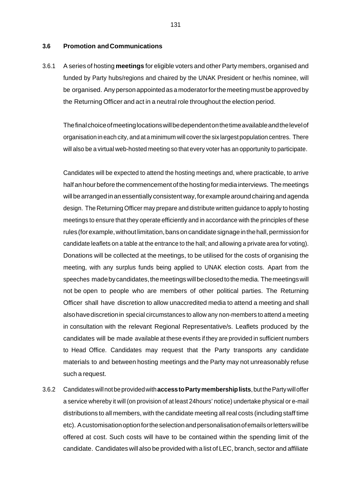#### **3.6 Promotion andCommunications**

3.6.1 A series of hosting **meetings** for eligible voters and other Party members, organised and funded by Party hubs/regions and chaired by the UNAK President or her/his nominee, will be organised. Anyperson appointedas amoderatorforthemeetingmustbe approvedby the Returning Officer and act in a neutral role throughout the election period.

The final choice of meeting locations will be dependent on the time available and the level of organisation in each city, and at a minimum will coverthe six largest population centres. There will also be a virtual web-hosted meeting so that every voter has an opportunity to participate.

Candidates will be expected to attend the hosting meetings and, where practicable, to arrive half an hour before the commencement of the hosting for media interviews. The meetings will be arranged in an essentially consistent way, for example around chairing and agenda design. The Returning Officer may prepare and distribute written guidance to apply to hosting meetings to ensure that they operate efficiently and in accordance with the principles of these rules (for example, without limitation, bans on candidate signage in the hall, permission for candidate leaflets on a table at the entrance to the hall; and allowing a private area for voting). Donations will be collected at the meetings, to be utilised for the costs of organising the meeting, with any surplus funds being applied to UNAK election costs. Apart from the speeches made by candidates, the meetings will be closed to the media. The meetings will not be open to people who are members of other political parties. The Returning Officer shall have discretion to allow unaccredited media to attend a meeting and shall alsohavediscretionin special circumstances to allow any non-members to attend a meeting in consultation with the relevant Regional Representative/s. Leaflets produced by the candidates will be made available at these events if they are provided in sufficient numbers to Head Office. Candidates may request that the Party transports any candidate materials to and between hosting meetings and the Party may not unreasonably refuse such a request.

3.6.2 Candidateswillnotbeprovidedwith**accesstoPartymembershiplists**,butthePartywilloffer a service whereby it will (on provision of at least 24hours' notice) undertake physical or e-mail distributions to all members, with the candidate meeting allreal costs (including staff time etc). Acustomisationoptionfortheselectionandpersonalisationofemailsorletterswillbe offered at cost. Such costs will have to be contained within the spending limit of the candidate. Candidates will also be provided with a list of LEC, branch, sector and affiliate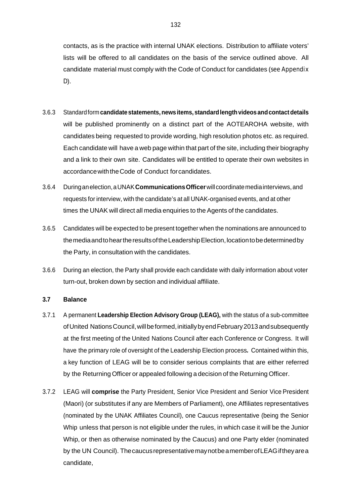- 3.6.3 Standardform **candidate statements,newsitems,standardlengthvideosandcontactdetails**  will be published prominently on a distinct part of the AOTEAROHA website, with candidates being requested to provide wording, high resolution photos etc. as required. Each candidate will have a web page within that part of the site, including their biography and a link to their own site. Candidates will be entitled to operate their own websites in accordancewiththeCode of Conduct forcandidates.
- 3.6.4 Duringanelection,aUNAK**CommunicationsOfficer**will coordinatemediainterviews,and requests for interview, with the candidate's at all UNAK-organised events, and at other times the UNAK will direct all media enquiries to the Agents of the candidates.
- 3.6.5 Candidates will be expected to be present together when the nominations are announced to themediaandtoheartheresultsoftheLeadershipElection,locationtobedeterminedby the Party, in consultation with the candidates.
- 3.6.6 During an election, the Party shall provide each candidate with daily information about voter turn-out, broken down by section and individual affiliate.

#### **3.7 Balance**

- 3.7.1 A permanent **Leadership Election Advisory Group (LEAG),** with the status of a sub-committee ofUnited NationsCouncil,willbeformed,initiallybyendFebruary2013andsubsequently at the first meeting of the United Nations Council after each Conference or Congress. It will have the primary role of oversight of the Leadership Election process*.* Contained within this, a key function of LEAG will be to consider serious complaints that are either referred by the Returning Officer or appealed following a decision of the Returning Officer.
- 3.7.2 LEAG will **comprise** the Party President, Senior Vice President and Senior Vice President (Maori) (or substitutes if any are Members of Parliament), one Affiliates representatives (nominated by the UNAK Affiliates Council), one Caucus representative (being the Senior Whip unless that person is not eligible under the rules, in which case it will be the Junior Whip, or then as otherwise nominated by the Caucus) and one Party elder (nominated by the UN Council). ThecaucusrepresentativemaynotbeamemberofLEAGiftheyarea candidate,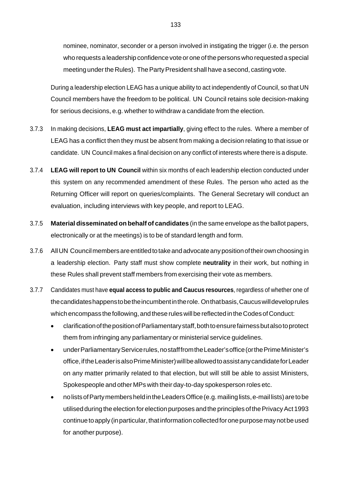nominee, nominator, seconder or a person involved in instigating the trigger (i.e. the person who requests a leadership confidence vote or one ofthe personswho requested a special meeting under the Rules). The Party President shall have a second, casting vote.

During a leadership election LEAG has a unique ability to act independently of Council, so that UN Council members have the freedom to be political. UN Council retains sole decision-making for serious decisions, e.g. whether to withdraw a candidate from the election.

- 3.7.3 In making decisions, **LEAG must act impartially**, giving effect to the rules. Where a member of LEAG has a conflict then they must be absent from making a decision relating to that issue or candidate. UN Council makes a final decision on any conflict of interests where there is a dispute.
- 3.7.4 **LEAG will report to UN Council** within six months of each leadership election conducted under this system on any recommended amendment of these Rules. The person who acted as the Returning Officer will report on queries/complaints. The General Secretary will conduct an evaluation, including interviews with key people, and report to LEAG.
- 3.7.5 **Material disseminated on behalf of candidates** (in the same envelope as the ballot papers, electronically or at the meetings) is to be of standard length and form.
- 3.7.6 AllUN Councilmembersareentitledtotakeandadvocateanypositionoftheirownchoosingin a leadership election. Party staff must show complete **neutrality** in their work, but nothing in these Rules shall prevent staff members from exercising their vote as members.
- 3.7.7 Candidates must have **equal access to public and Caucus resources**, regardless of whether one of thecandidateshappenstobetheincumbentintherole. Onthatbasis,Caucuswilldeveloprules which encompass the following, and these rules will be reflected in the Codes of Conduct:
	- clarificationofthepositionofParliamentarystaff,bothtoensurefairnessbutalsotoprotect them from infringing any parliamentary or ministerial service guidelines.
	- under Parliamentary Service rules, no staff from the Leader's office (or the Prime Minister's office, if the Leader is also Prime Minister) will be allowed to assist any candidate for Leader on any matter primarily related to that election, but will still be able to assist Ministers, Spokespeople and other MPs with their day-to-day spokesperson roles etc.
	- nolistsofPartymembersheldintheLeadersOffice(e.g.mailinglists,e-mail lists)aretobe utilised during the election for election purposes and the principles of the Privacy Act 1993 continue to apply (in particular, that information collected for one purpose may not be used for another purpose).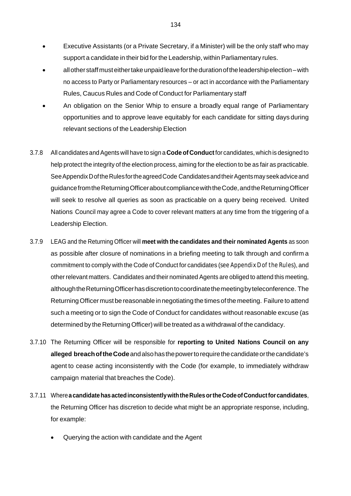- Executive Assistants (or a Private Secretary, if a Minister) will be the only staff who may support a candidate in their bid for the Leadership, within Parliamentary rules.
- allotherstaffmusteithertakeunpaidleaveforthedurationoftheleadershipelection–with no access to Party or Parliamentary resources – or act in accordance with the Parliamentary Rules, Caucus Rules and Code of Conduct for Parliamentary staff
- An obligation on the Senior Whip to ensure a broadly equal range of Parliamentary opportunities and to approve leave equitably for each candidate for sitting days during relevant sections of the Leadership Election
- 3.7.8 All candidates andAgents will have to sign a **Codeof Conduct**for candidates, which is designed to help protect the integrity of the election process, aiming for the election to be as fair as practicable. See Appendix D of the Rules for the agreed Code Candidates and their Agents may seek advice and guidancefromtheReturningOfficeraboutcompliancewiththeCode,andtheReturningOfficer will seek to resolve all queries as soon as practicable on a query being received. United Nations Council may agree a Code to cover relevant matters at any time from the triggering of a Leadership Election.
- 3.7.9 LEAG and the Returning Officer will **meet with the candidates and their nominated Agents** as soon as possible after closure of nominations in a briefing meeting to talk through and confirm a commitment to comply with the Code of Conduct for candidates (*see Appendix D of the Rules*), and otherrelevant matters. Candidates and their nominated Agents are obliged to attend this meeting, althoughtheReturningOfficerhasdiscretiontocoordinatethemeetingbyteleconference. The Returning Officer must be reasonable in negotiating the times of the meeting. Failure to attend such a meeting or to sign the Code of Conduct for candidates without reasonable excuse (as determined by the Returning Officer) will be treated as a withdrawal of the candidacy.
- 3.7.10 The Returning Officer will be responsible for **reporting to United Nations Council on any alleged breachoftheCode**andalsohasthepowertorequirethecandidateorthecandidate's agent to cease acting inconsistently with the Code (for example, to immediately withdraw campaign material that breaches the Code).
- 3.7.11 Where**acandidatehasactedinconsistentlywiththeRulesortheCodeofConductforcandidates**, the Returning Officer has discretion to decide what might be an appropriate response, including, for example:
	- Querying the action with candidate and the Agent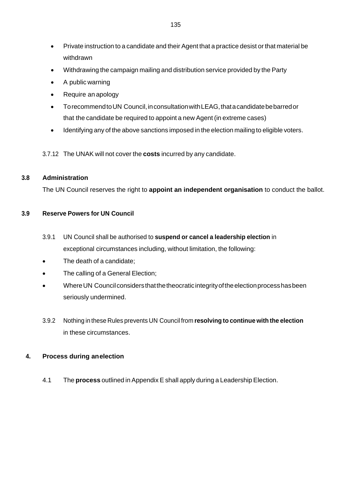- Private instruction to a candidate and their Agent that a practice desist or that material be withdrawn
- Withdrawing the campaign mailing and distribution service provided by the Party
- A public warning
- Require an apology
- TorecommendtoUN Council,inconsultationwithLEAG,thatacandidatebebarredor that the candidate be required to appoint a new Agent (in extreme cases)
- Identifying any of the above sanctions imposed in the election mailing to eligible voters.
- 3.7.12 The UNAK will not cover the **costs** incurred by any candidate.

## **3.8 Administration**

The UN Council reserves the right to **appoint an independent organisation** to conduct the ballot.

## **3.9 Reserve Powers for UN Council**

- 3.9.1 UN Council shall be authorised to **suspend or cancel a leadership election** in exceptional circumstances including, without limitation, the following:
- The death of a candidate;
- The calling of a General Election;
- WhereUN Councilconsidersthatthetheocraticintegrityoftheelectionprocesshasbeen seriously undermined.
- 3.9.2 Nothing in these Rules prevents UN Council from **resolving to continue with the election** in these circumstances.

## **4. Process during anelection**

4.1 The **process** outlined in Appendix E shall apply during a Leadership Election.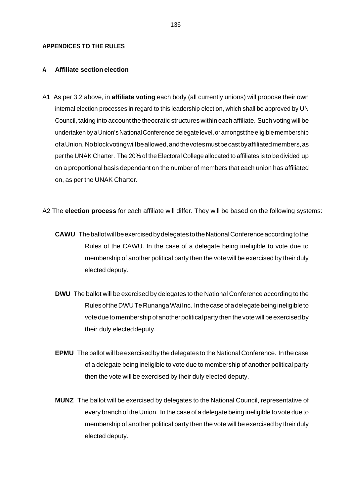#### **APPENDICES TO THE RULES**

#### **A Affiliate sectionelection**

A1 As per 3.2 above, in **affiliate voting** each body (all currently unions) will propose their own internal election processes in regard to this leadership election, which shall be approved by UN Council, taking into account the theocratic structures within each affiliate. Such voting will be undertaken by a Union's National Conference delegate level, or amongst the eligible membership ofaUnion. Noblockvotingwillbeallowed,andthevotesmustbecastbyaffiliatedmembers,as per the UNAK Charter. The 20% of the Electoral College allocated to affiliates is to be divided up on a proportional basis dependant on the number of members that each union has affiliated on, as per the UNAK Charter.

A2 The **election process** for each affiliate will differ. They will be based on the following systems:

- **CAWU** The ballot will be exercised by delegates to the National Conference according to the Rules of the CAWU. In the case of a delegate being ineligible to vote due to membership of another political party then the vote will be exercised by their duly elected deputy.
- **DWU** The ballot will be exercised by delegates to the National Conference according to the Rules of the DWU Te Runanga Wai Inc. In the case of a delegate being ineligible to vote due to membership of another political party then the vote will be exercised by their duly electeddeputy.
- **EPMU** The ballot will be exercised by the delegates to the National Conference. In the case of a delegate being ineligible to vote due to membership of another political party then the vote will be exercised by their duly elected deputy.
- **MUNZ** The ballot will be exercised by delegates to the National Council, representative of every branch of the Union. In the case of a delegate being ineligible to vote due to membership of another political party then the vote will be exercised by their duly elected deputy.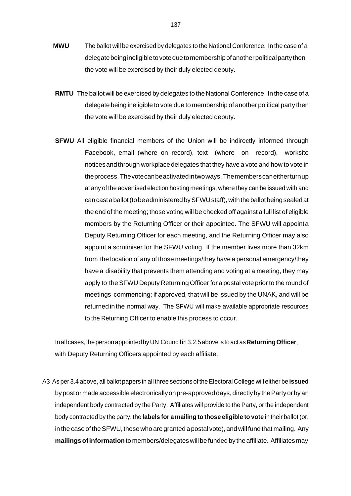- **MWU** The ballot will be exercised by delegates to the National Conference. In the case of a delegate being ineligible to vote due to membership of another political party then the vote will be exercised by their duly elected deputy.
- **RMTU** The ballot will be exercised by delegates to the National Conference. In the case of a delegate being ineligible to vote due to membership of another political party then the vote will be exercised by their duly elected deputy.
- **SFWU** All eligible financial members of the Union will be indirectly informed through Facebook, email (where on record), text (where on record), worksite notices and through workplace delegates that they have a vote and how to vote in theprocess.Thevotecanbeactivatedintwoways. Thememberscaneitherturnup at any of the advertised election hosting meetings, where they can be issued with and cancastaballot(tobeadministeredbySFWUstaff),withtheballotbeingsealedat the end of the meeting; those voting will be checked off against a full list of eligible members by the Returning Officer or their appointee. The SFWU will appointa Deputy Returning Officer for each meeting, and the Returning Officer may also appoint a scrutiniser for the SFWU voting. If the member lives more than 32km from the location of any of those meetings/they have a personal emergency/they have a disability that prevents them attending and voting at a meeting, they may apply to theSFWU Deputy Returning Officer for a postal vote prior to the round of meetings commencing; if approved, that will be issued by the UNAK, and will be returned inthe normal way. The SFWU will make available appropriate resources to the Returning Officer to enable this process to occur.

Inallcases,thepersonappointedbyUN Council in3.2.5aboveistoactas**ReturningOfficer**, with Deputy Returning Officers appointed by each affiliate.

A3 As per 3.4 above, all ballot papers in all three sections of theElectoral College will either be **issued**  by post or made accessible electronically on pre-approved days, directly by the Party or by an independent body contracted by the Party. Affiliates will provide to the Party, or the independent body contracted by the party, the **labels for a mailing to those eligible to vote** in their ballot (or, in the case of the SFWU, those who are granted a postal vote), and will fund that mailing. Any **mailings of information** to members/delegates will be funded by the affiliate. Affiliates may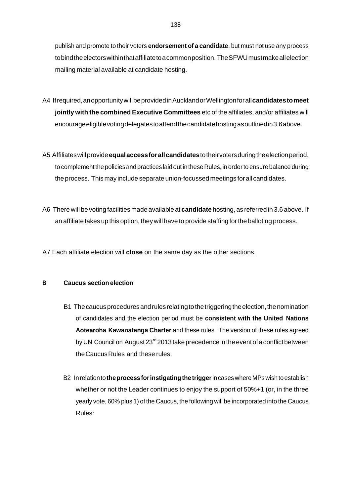- A4 Ifrequired,anopportunitywillbeprovidedinAucklandorWellingtonforall**candidatestomeet jointly with the combined Executive Committees** etc of the affiliates, and/or affiliates will encourageeligiblevotingdelegatestoattendthecandidatehostingasoutlinedin3.6above.
- A5 Affiliateswillprovide**equalaccessforallcandidates**totheirvotersduringtheelectionperiod, to complement the policies and practices laid out in these Rules, in order to ensure balance during the process. This may include separate union-focussed meetings for all candidates.
- A6 There will be voting facilities made available at **candidate** hosting, as referred in 3.6 above. If an affiliate takes up this option, they will have to provide staffing forthe balloting process.
- A7 Each affiliate election will **close** on the same day as the other sections.

# **B Caucus section election**

- B1 Thecaucusproceduresandrulesrelatingtothetriggeringtheelection,thenomination of candidates and the election period must be **consistent with the United Nations Aotearoha Kawanatanga Charter** and these rules. The version of these rules agreed by UN Council on August  $23^{\text{rd}}$  2013 take precedence in the event of a conflict between theCaucusRules and these rules.
- B2 Inrelationto**theprocessforinstigatingthetrigger**incaseswhereMPswishtoestablish whether or not the Leader continues to enjoy the support of 50%+1 (or, in the three yearly vote, 60% plus 1) of the Caucus, the following will be incorporated into the Caucus Rules: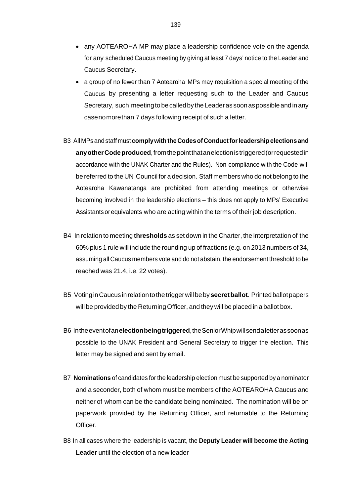- any AOTEAROHA MP may place a leadership confidence vote on the agenda for any scheduled Caucus meeting by giving at least 7 days' notice to the Leader and Caucus Secretary.
- a group of no fewer than 7 Aotearoha MPs may requisition a special meeting of the Caucus by presenting a letter requesting such to the Leader and Caucus Secretary, such meeting to be called by the Leader as soon as possible and in any casenomorethan 7 days following receipt of such a letter.
- B3 All MPs andstaff must **complywiththeCodesofConductforleadershipelections and anyotherCodeproduced**,fromthepointthatanelectionistriggered(orrequestedin accordance with the UNAK Charter and the Rules). Non-compliance with the Code will be referred to the UN Council for a decision. Staff members who do not belong to the Aotearoha Kawanatanga are prohibited from attending meetings or otherwise becoming involved in the leadership elections – this does not apply to MPs' Executive Assistants orequivalents who are acting within the terms of their job description.
- B4 In relation to meeting **thresholds** as set down in the Charter, the interpretation of the 60% plus 1 rule will include the rounding up of fractions (e.g. on 2013 numbers of 34, assuming all Caucus members vote and do not abstain, the endorsement threshold to be reached was 21.4, i.e. 22 votes).
- B5 VotinginCaucus inrelationtothetriggerwillbeby**secretballot**. Printedballotpapers will be provided by the Returning Officer, and they will be placed in a ballot box.
- B6 Intheeventofan**electionbeingtriggered**,theSeniorWhipwillsendaletterassoonas possible to the UNAK President and General Secretary to trigger the election. This letter may be signed and sent by email.
- B7 **Nominations** of candidates for the leadership election must be supported by a nominator and a seconder, both of whom must be members of the AOTEAROHA Caucus and neither of whom can be the candidate being nominated. The nomination will be on paperwork provided by the Returning Officer, and returnable to the Returning Officer.
- B8 In all cases where the leadership is vacant, the **Deputy Leader will become the Acting Leader** until the election of a new leader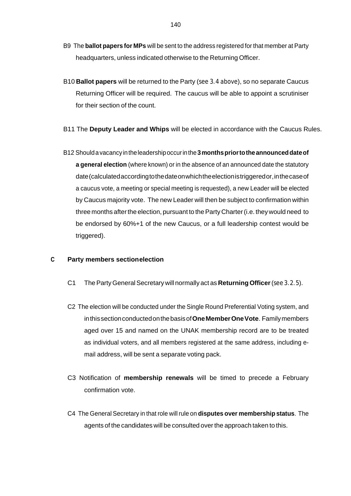- B9 The **ballot papers for MPs** will be sent to the address registered for that member at Party headquarters, unless indicated otherwise to the Returning Officer.
- B10 **Ballot papers** will be returned to the Party (*see 3.4 above*), so no separate Caucus Returning Officer will be required. The caucus will be able to appoint a scrutiniser for their section of the count.
- B11 The **Deputy Leader and Whips** will be elected in accordance with the Caucus Rules.
- B12 Shouldavacancyintheleadershipoccurinthe**3monthspriortotheannounceddateof a general election** (where known) or in the absence of an announced date the statutory date(calculatedaccordingtothedateonwhichtheelectionistriggeredor,inthecaseof a caucus vote, a meeting or special meeting is requested), a new Leader will be elected by Caucus majority vote. The new Leader will then be subject to confirmation within three months after the election, pursuant to the Party Charter (i.e. they would need to be endorsed by 60%+1 of the new Caucus, or a full leadership contest would be triggered).

## **C Party members sectionelection**

- C1 ThePartyGeneralSecretary will normally act as **ReturningOfficer**(*see 3.2.5*).
- C2 The election will be conducted under the Single Round Preferential Voting system, and inthissectionconductedonthebasisof**OneMemberOneVote**. Familymembers aged over 15 and named on the UNAK membership record are to be treated as individual voters, and all members registered at the same address, including email address, will be sent a separate voting pack.
- C3 Notification of **membership renewals** will be timed to precede a February confirmation vote.
- C4 The General Secretary in that role will rule on **disputes over membership status**. The agents of the candidates will be consulted over the approach taken to this.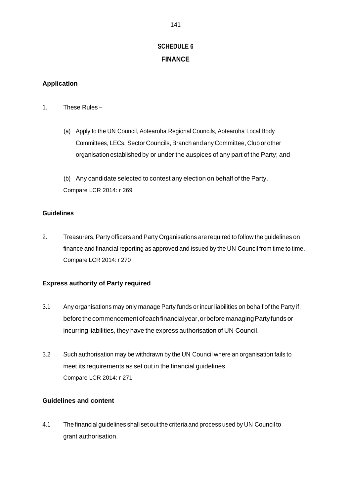# **SCHEDULE 6 FINANCE**

## **Application**

- 1. These Rules
	- (a) Apply to the UN Council, Aotearoha Regional Councils, Aotearoha Local Body Committees, LECs, Sector Councils, Branch and any Committee, Club or other organisation established by or under the auspices of any part of the Party; and

(b) Any candidate selected to contest any election on behalf of the Party. Compare LCR 2014: r 269

## **Guidelines**

2. Treasurers, Party officers and Party Organisations are required to follow the guidelines on finance and financial reporting as approved and issued by the UN Council from time to time. Compare LCR 2014: r 270

# **Express authority of Party required**

- 3.1 Any organisations may only manage Party funds or incur liabilities on behalf of the Party if, before the commencement of each financial year, or before managing Party funds or incurring liabilities, they have the express authorisation of UN Council.
- 3.2 Such authorisation may be withdrawn by the UN Council where an organisation fails to meet its requirements as set out in the financial guidelines. Compare LCR 2014: r 271

## **Guidelines and content**

4.1 The financial guidelines shall set out the criteria and process used by UN Council to grant authorisation.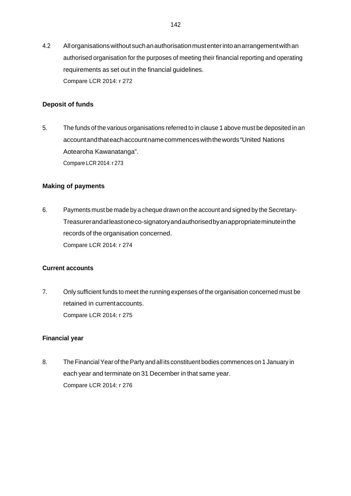4.2 Allorganisationswithoutsuchanauthorisationmustenterintoanarrangementwithan authorised organisation for the purposes of meeting their financial reporting and operating requirements as set out in the financial guidelines. Compare LCR 2014: r 272

## **Deposit of funds**

5. The funds of the various organisations referred to in clause 1 above must be deposited in an accountandthateachaccountnamecommenceswiththewords"United Nations Aotearoha Kawanatanga". Compare LCR 2014: r 273

## **Making of payments**

6. Payments must be made by a cheque drawn on the account and signed by the Secretary-Treasurerandatleastoneco-signatoryandauthorisedbyanappropriateminuteinthe records of the organisation concerned. Compare LCR 2014: r 274

# **Current accounts**

7. Only sufficient funds to meet the running expenses of the organisation concerned must be retained in currentaccounts. Compare LCR 2014: r 275

## **Financial year**

8. The Financial Year of the Party and all its constituent bodies commences on 1 January in each year and terminate on 31 December in that same year. Compare LCR 2014: r 276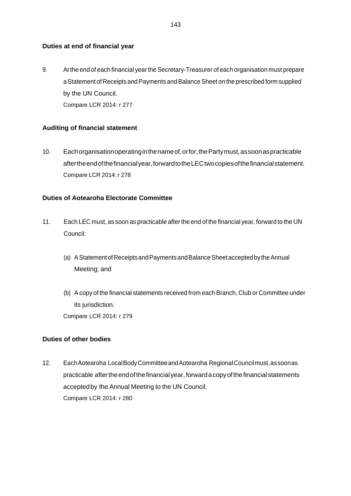## **Duties at end of financial year**

9. At the end of each financial yearthe Secretary-Treasurer of each organisation must prepare a Statement of Receipts and Payments and Balance Sheet on the prescribed form supplied by the UN Council. Compare LCR 2014: r 277

## **Auditing of financial statement**

10. Eachorganisationoperatinginthenameof,orfor,thePartymust,assoonaspracticable aftertheendofthefinancialyear,forwardtotheLECtwocopiesofthefinancialstatement. Compare LCR 2014: r 278

## **Duties of Aotearoha Electorate Committee**

- 11. Each LEC must, as soon as practicable afterthe end of the financial year, forward to the UN Council:
	- (a) AStatementofReceiptsandPaymentsandBalanceSheetacceptedbytheAnnual Meeting; and
	- (b) A copy of the financial statements received from each Branch, Club or Committee under its jurisdiction. Compare LCR 2014: r 279

## **Duties of other bodies**

12. EachAotearoha LocalBodyCommitteeandAotearoha RegionalCouncilmust,assoonas practicable after the end of the financial year, forward a copy of the financial statements acceptedby the Annual Meeting to the UN Council. Compare LCR 2014: r 280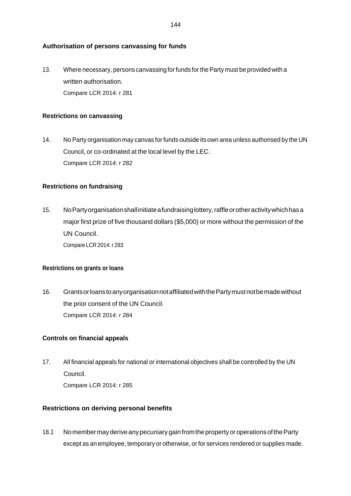## **Authorisation of persons canvassing for funds**

13. Where necessary, persons canvassing forfunds forthe Party must be provided with a written authorisation. Compare LCR 2014: r 281

#### **Restrictions on canvassing**

14. No Party organisation may canvas for funds outside its own area unless authorised by the UN Council, or co-ordinated at the local level by the LEC. Compare LCR 2014: r 282

## **Restrictions on fundraising**

15. NoPartyorganisationshallinitiateafundraisinglottery,raffleorotheractivitywhichhasa major first prize of five thousand dollars (\$5,000) or more without the permission of the UN Council.

Compare LCR 2014: r 283

#### **Restrictions on grants or loans**

16. GrantsorloanstoanyorganisationnotaffiliatedwiththePartymustnotbemadewithout the prior consent of the UN Council. Compare LCR 2014: r 284

## **Controls on financial appeals**

17. All financial appeals for national or international objectives shall be controlled by the UN Council.

Compare LCR 2014: r 285

## **Restrictions on deriving personal benefits**

18.1 NomembermayderiveanypecuniarygainfromthepropertyoroperationsoftheParty except as an employee, temporary or otherwise, or for services rendered or supplies made.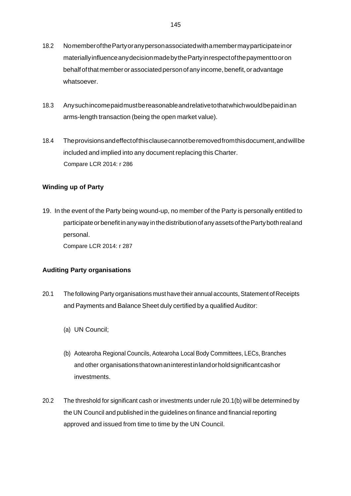- 18.2 NomemberofthePartyoranypersonassociatedwithamembermayparticipateinor materiallyinfluenceanydecisionmadebythePartyinrespectofthepaymenttooron behalf of that member or associated person of any income, benefit, or advantage whatsoever.
- 18.3 Anysuchincomepaidmustbereasonableandrelativetothatwhichwouldbepaidinan arms-length transaction (being the open market value).
- 18.4 Theprovisionsandeffectofthisclausecannotberemovedfromthisdocument,andwillbe included and implied into any document replacing this Charter. Compare LCR 2014: r 286

## **Winding up of Party**

19. In the event of the Party being wound-up, no member of the Party is personally entitled to participate or benefit in any way in the distribution of any assets of the Party both real and personal.

Compare LCR 2014: r 287

## **Auditing Party organisations**

- 20.1 The following Party organisations must have their annual accounts, Statement of Receipts and Payments and Balance Sheet duly certified by a qualified Auditor:
	- (a) UN Council;
	- (b) Aotearoha Regional Councils, Aotearoha Local Body Committees, LECs, Branches and other organisationsthatownaninterestinlandorholdsignificantcashor investments.
- 20.2 The threshold for significant cash or investments under rule 20.1(b) will be determined by the UN Council and published in the guidelines on finance and financial reporting approved and issued from time to time by the UN Council.